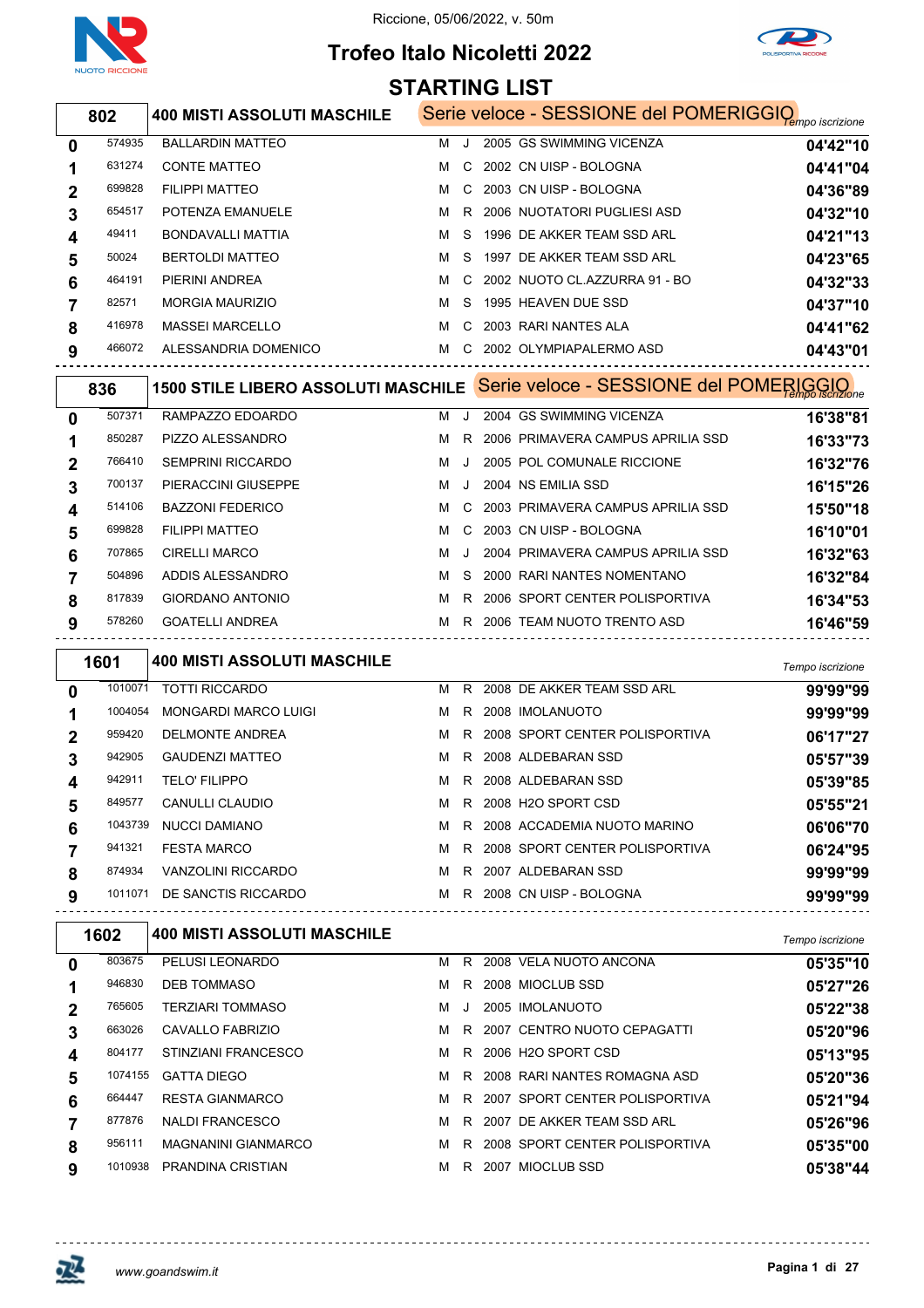



# **Trofeo Italo Nicoletti 2022**

|                  |         |                                                                            | <b>STARTING LIST</b> |         |                                                                   |                      |
|------------------|---------|----------------------------------------------------------------------------|----------------------|---------|-------------------------------------------------------------------|----------------------|
|                  | 802     | <b>400 MISTI ASSOLUTI MASCHILE</b>                                         |                      |         | Serie veloce - SESSIONE del POMERIGGIQ <sub>empo iscrizione</sub> |                      |
| 0                | 574935  | <b>BALLARDIN MATTEO</b>                                                    | м                    | J       | 2005 GS SWIMMING VICENZA                                          | 04'42"10             |
| 1                | 631274  | <b>CONTE MATTEO</b>                                                        | м                    | C       | 2002 CN UISP - BOLOGNA                                            | 04'41"04             |
| 2                | 699828  | <b>FILIPPI MATTEO</b>                                                      | м                    | C       | 2003 CN UISP - BOLOGNA                                            | 04'36"89             |
| 3                | 654517  | POTENZA EMANUELE                                                           | м                    |         | R 2006 NUOTATORI PUGLIESI ASD                                     | 04'32"10             |
| 4                | 49411   | BONDAVALLI MATTIA                                                          | м                    | S       | 1996 DE AKKER TEAM SSD ARL                                        | 04'21"13             |
| 5                | 50024   | <b>BERTOLDI MATTEO</b>                                                     | м                    | S       | 1997 DE AKKER TEAM SSD ARL                                        | 04'23"65             |
| 6                | 464191  | PIERINI ANDREA                                                             | м                    | C       | 2002 NUOTO CL.AZZURRA 91 - BO                                     | 04'32"33             |
| 7                | 82571   | <b>MORGIA MAURIZIO</b>                                                     | м                    | S       | 1995 HEAVEN DUE SSD                                               | 04'37"10             |
| 8                | 416978  | <b>MASSEI MARCELLO</b>                                                     | м                    | C       | 2003 RARI NANTES ALA                                              | 04'41"62             |
| 9                | 466072  | ALESSANDRIA DOMENICO                                                       |                      |         | M C 2002 OLYMPIAPALERMO ASD                                       | 04'43"01             |
|                  | 836     | 1500 STILE LIBERO ASSOLUTI MASCHILE Serie veloce - SESSIONE del POMERIGGIO |                      |         |                                                                   |                      |
|                  | 507371  | RAMPAZZO EDOARDO                                                           | м                    | J       | 2004 GS SWIMMING VICENZA                                          |                      |
| 0                | 850287  | PIZZO ALESSANDRO                                                           | м                    | R       | 2006 PRIMAVERA CAMPUS APRILIA SSD                                 | 16'38"81             |
| 1                | 766410  | <b>SEMPRINI RICCARDO</b>                                                   | м                    | $\cdot$ | 2005 POL COMUNALE RICCIONE                                        | 16'33"73             |
| 2                | 700137  | PIERACCINI GIUSEPPE                                                        | м                    | J       | 2004 NS EMILIA SSD                                                | 16'32"76<br>16'15"26 |
| 3                | 514106  | <b>BAZZONI FEDERICO</b>                                                    | м                    | С       | 2003 PRIMAVERA CAMPUS APRILIA SSD                                 | 15'50"18             |
| 4                | 699828  | <b>FILIPPI MATTEO</b>                                                      | м                    | C       | 2003 CN UISP - BOLOGNA                                            | 16'10"01             |
| 5                | 707865  | <b>CIRELLI MARCO</b>                                                       | м                    | J.      | 2004 PRIMAVERA CAMPUS APRILIA SSD                                 | 16'32"63             |
| 6                | 504896  | ADDIS ALESSANDRO                                                           | м                    | S       | 2000 RARI NANTES NOMENTANO                                        | 16'32"84             |
| 7                | 817839  | <b>GIORDANO ANTONIO</b>                                                    | м                    | R.      | 2006 SPORT CENTER POLISPORTIVA                                    | 16'34"53             |
| 8<br>9           | 578260  | <b>GOATELLI ANDREA</b>                                                     |                      |         | M R 2006 TEAM NUOTO TRENTO ASD                                    | 16'46"59             |
|                  |         |                                                                            |                      |         |                                                                   |                      |
|                  | 1601    | <b>400 MISTI ASSOLUTI MASCHILE</b>                                         |                      |         |                                                                   | Tempo iscrizione     |
| 0                | 1010071 | <b>TOTTI RICCARDO</b>                                                      | м                    |         | R 2008 DE AKKER TEAM SSD ARL                                      | 99'99"99             |
| 1                | 1004054 | <b>MONGARDI MARCO LUIGI</b>                                                | M                    |         | R 2008 IMOLANUOTO                                                 | 99'99"99             |
| 2                | 959420  | DELMONTE ANDREA                                                            | м                    |         | R 2008 SPORT CENTER POLISPORTIVA                                  | 06'17"27             |
| 3                | 942905  | <b>GAUDENZI MATTEO</b>                                                     | м                    |         | R 2008 ALDEBARAN SSD                                              | 05'57"39             |
| 4                | 942911  | TELO' FILIPPO                                                              |                      |         | R 2008 ALDEBARAN SSD                                              | 05'39"85             |
| 5                | 849577  | CANULLI CLAUDIO                                                            | м                    |         | R 2008 H2O SPORT CSD                                              | 05'55"21             |
| 6                | 1043739 | <b>NUCCI DAMIANO</b>                                                       | M                    |         | R   2008  ACCADEMIA NUOTO MARINO                                  | 06'06"70             |
| 7                | 941321  | <b>FESTA MARCO</b>                                                         |                      |         | M R 2008 SPORT CENTER POLISPORTIVA                                | 06'24"95             |
| 8                | 874934  | VANZOLINI RICCARDO                                                         |                      |         | M R 2007 ALDEBARAN SSD                                            | 99'99"99             |
| 9                |         | 1011071 DE SANCTIS RICCARDO                                                |                      |         | M R 2008 CN UISP - BOLOGNA                                        | 99'99"99             |
|                  | 1602    | <b>400 MISTI ASSOLUTI MASCHILE</b>                                         |                      |         |                                                                   | Tempo iscrizione     |
| 0                | 803675  | PELUSI LEONARDO                                                            |                      |         | M R 2008 VELA NUOTO ANCONA                                        | 05'35"10             |
| 1                | 946830  | <b>DEB TOMMASO</b>                                                         |                      |         | M R 2008 MIOCLUB SSD                                              | 05'27"26             |
| $\boldsymbol{2}$ | 765605  | <b>TERZIARI TOMMASO</b>                                                    | MJ.                  |         | 2005 IMOLANUOTO                                                   | 05'22"38             |
| 3                | 663026  | CAVALLO FABRIZIO                                                           | м                    |         | R 2007 CENTRO NUOTO CEPAGATTI                                     | 05'20"96             |
| 4                | 804177  | STINZIANI FRANCESCO                                                        |                      |         | M R 2006 H2O SPORT CSD                                            | 05'13"95             |
| 5                | 1074155 | <b>GATTA DIEGO</b>                                                         | M                    |         | R 2008 RARI NANTES ROMAGNA ASD                                    | 05'20"36             |
| 6                | 664447  | RESTA GIANMARCO                                                            |                      |         | M R 2007 SPORT CENTER POLISPORTIVA                                | 05'21"94             |
| 7                | 877876  | NALDI FRANCESCO                                                            | м                    |         | R 2007 DE AKKER TEAM SSD ARL                                      | 05'26"96             |
| 8                | 956111  | <b>MAGNANINI GIANMARCO</b>                                                 |                      |         | M R 2008 SPORT CENTER POLISPORTIVA                                | 05'35"00             |

PRANDINA CRISTIAN M R 2007 MIOCLUB SSD **05'38"44**

------------------------------

 $\ddotsc$ 

 $- - - - - -$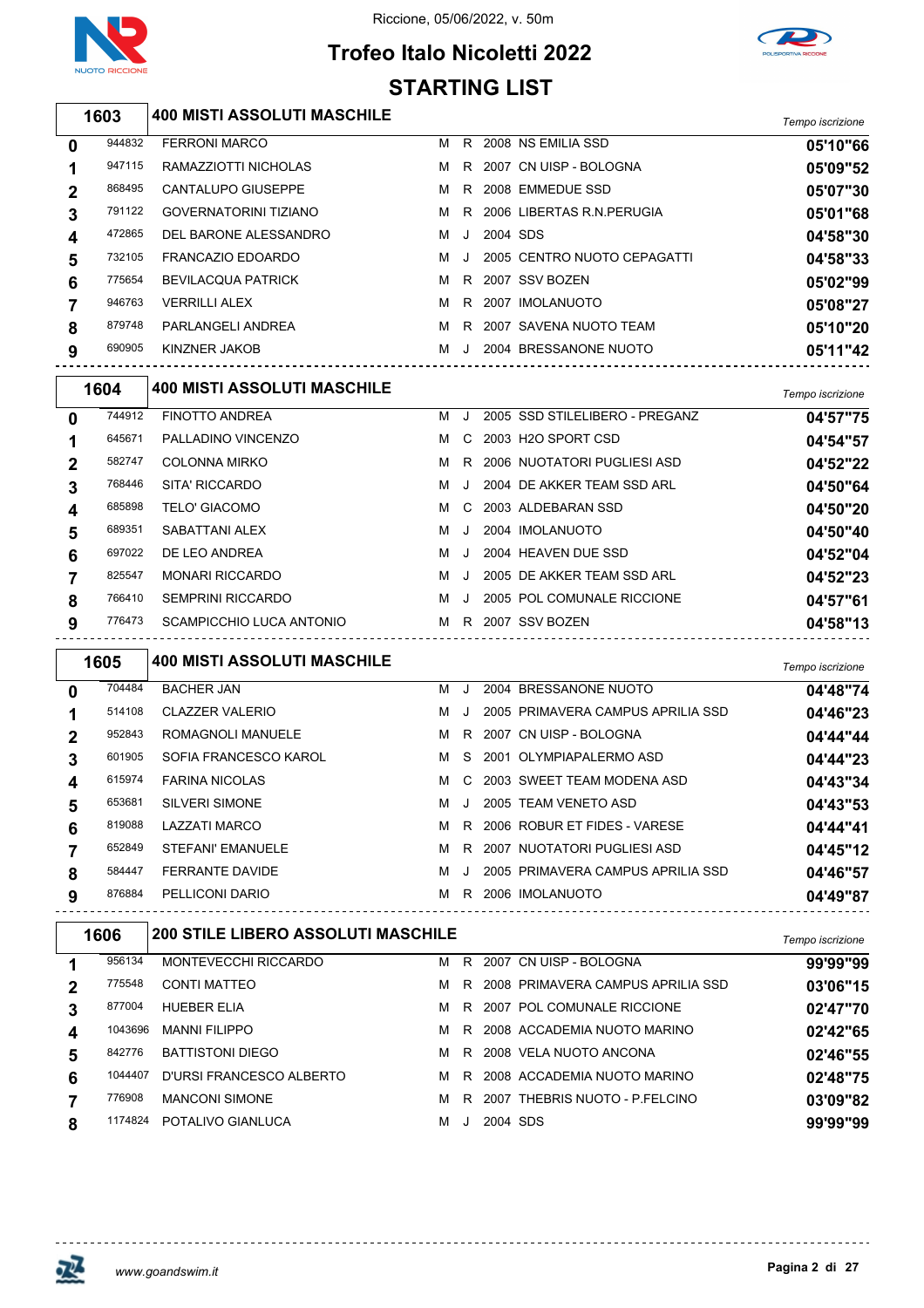

# **Trofeo Italo Nicoletti 2022 STARTING LIST**



*Tempo iscrizione* **400 MISTI ASSOLUTI MASCHILE**

| 0            | 944832 | <b>FERRONI MARCO</b>         | м | R  |          | 2008 NS EMILIA SSD          | 05'10"66 |
|--------------|--------|------------------------------|---|----|----------|-----------------------------|----------|
| 1            | 947115 | RAMAZZIOTTI NICHOLAS         | м | R. |          | 2007 CN UISP - BOLOGNA      | 05'09"52 |
| $\mathbf{2}$ | 868495 | CANTALUPO GIUSEPPE           | м | R  |          | 2008 EMMEDUE SSD            | 05'07"30 |
| 3            | 791122 | <b>GOVERNATORINI TIZIANO</b> | м | R. |          | 2006 LIBERTAS R.N.PERUGIA   | 05'01"68 |
| 4            | 472865 | DEL BARONE ALESSANDRO        | м | J. | 2004 SDS |                             | 04'58"30 |
| 5            | 732105 | FRANCAZIO EDOARDO            | м | J  |          | 2005 CENTRO NUOTO CEPAGATTI | 04'58"33 |
| 6            | 775654 | <b>BEVILACQUA PATRICK</b>    | м |    |          | R 2007 SSV BOZEN            | 05'02"99 |
|              | 946763 | <b>VERRILLI ALEX</b>         | м | R  |          | 2007 IMOLANUOTO             | 05'08"27 |
| 8            | 879748 | PARLANGELI ANDREA            | м | R. |          | 2007 SAVENA NUOTO TEAM      | 05'10"20 |
| 9            | 690905 | KINZNER JAKOB                | м | J  |          | 2004 BRESSANONE NUOTO       | 05'11"42 |
|              |        |                              |   |    |          |                             |          |

|                | 1604   | <b>400 MISTI ASSOLUTI MASCHILE</b> |   |         |                                | Tempo iscrizione |
|----------------|--------|------------------------------------|---|---------|--------------------------------|------------------|
| 0              | 744912 | <b>FINOTTO ANDREA</b>              | м | $\cdot$ | 2005 SSD STILELIBERO - PREGANZ | 04'57"75         |
| 1              | 645671 | PALLADINO VINCENZO                 | м | C.      | 2003 H2O SPORT CSD             | 04'54"57         |
| $\overline{2}$ | 582747 | <b>COLONNA MIRKO</b>               | м | R.      | 2006 NUOTATORI PUGLIESI ASD    | 04'52"22         |
| 3              | 768446 | SITA' RICCARDO                     | м | $\cdot$ | 2004 DE AKKER TEAM SSD ARL     | 04'50"64         |
| 4              | 685898 | <b>TELO' GIACOMO</b>               | м | C.      | 2003 ALDEBARAN SSD             | 04'50"20         |
| 5              | 689351 | SABATTANI ALEX                     | м | $\cdot$ | 2004 IMOLANUOTO                | 04'50"40         |
| 6              | 697022 | DE LEO ANDREA                      | м | $\cdot$ | 2004 HEAVEN DUE SSD            | 04'52"04         |
|                | 825547 | <b>MONARI RICCARDO</b>             | м | $\cdot$ | 2005 DE AKKER TEAM SSD ARL     | 04'52"23         |
| 8              | 766410 | <b>SEMPRINI RICCARDO</b>           | м | $\cdot$ | 2005 POL COMUNALE RICCIONE     | 04'57"61         |
| 9              | 776473 | SCAMPICCHIO LUCA ANTONIO           | м | R.      | 2007 SSV BOZEN                 | 04'58"13         |
|                |        |                                    |   |         |                                |                  |

|   | 1605   | <b>400 MISTI ASSOLUTI MASCHILE</b> |   |         |                                   | Tempo iscrizione |
|---|--------|------------------------------------|---|---------|-----------------------------------|------------------|
| 0 | 704484 | <b>BACHER JAN</b>                  | м | J.      | 2004 BRESSANONE NUOTO             | 04'48"74         |
|   | 514108 | <b>CLAZZER VALERIO</b>             | м | $\cdot$ | 2005 PRIMAVERA CAMPUS APRILIA SSD | 04'46"23         |
| 2 | 952843 | ROMAGNOLI MANUELE                  | м | R.      | 2007 CN UISP - BOLOGNA            | 04'44"44         |
| 3 | 601905 | SOFIA FRANCESCO KAROL              | м | S.      | 2001 OLYMPIAPALERMO ASD           | 04'44"23         |
| 4 | 615974 | <b>FARINA NICOLAS</b>              | м | C.      | 2003 SWEET TEAM MODENA ASD        | 04'43"34         |
| 5 | 653681 | <b>SILVERI SIMONE</b>              | м | $\cdot$ | 2005 TEAM VENETO ASD              | 04'43"53         |
| 6 | 819088 | LAZZATI MARCO                      | м | R.      | 2006 ROBUR ET FIDES - VARESE      | 04'44"41         |
|   | 652849 | STEFANI' EMANUELE                  | м | R.      | 2007 NUOTATORI PUGLIESI ASD       | 04'45"12         |
| 8 | 584447 | <b>FERRANTE DAVIDE</b>             | м | $\cdot$ | 2005 PRIMAVERA CAMPUS APRILIA SSD | 04'46"57         |
| 9 | 876884 | PELLICONI DARIO                    | м | R.      | 2006 IMOLANUOTO                   | 04'49"87         |

| 1606 |         | <b>200 STILE LIBERO ASSOLUTI MASCHILE</b> | Tempo iscrizione |    |                                   |          |
|------|---------|-------------------------------------------|------------------|----|-----------------------------------|----------|
|      | 956134  | MONTEVECCHI RICCARDO                      | м                | R  | CN UISP - BOLOGNA<br>2007         | 99'99"99 |
|      | 775548  | <b>CONTI MATTEO</b>                       | м                | R  | 2008 PRIMAVERA CAMPUS APRILIA SSD | 03'06"15 |
| 3    | 877004  | <b>HUEBER ELIA</b>                        | м                | R  | 2007 POL COMUNALE RICCIONE        | 02'47"70 |
| 4    | 1043696 | <b>MANNI FILIPPO</b>                      | м                | R  | 2008 ACCADEMIA NUOTO MARINO       | 02'42"65 |
|      | 842776  | <b>BATTISTONI DIEGO</b>                   | м                | R. | 2008 VELA NUOTO ANCONA            | 02'46"55 |
| 6    | 1044407 | D'URSI FRANCESCO ALBERTO                  | м                | R. | 2008 ACCADEMIA NUOTO MARINO       | 02'48"75 |
|      | 776908  | <b>MANCONI SIMONE</b>                     | м                | R  | 2007 THEBRIS NUOTO - P FELCINO    | 03'09"82 |
| 8    | 1174824 | POTALIVO GIANLUCA                         | м                |    | 2004 SDS                          | 99'99"99 |



JR.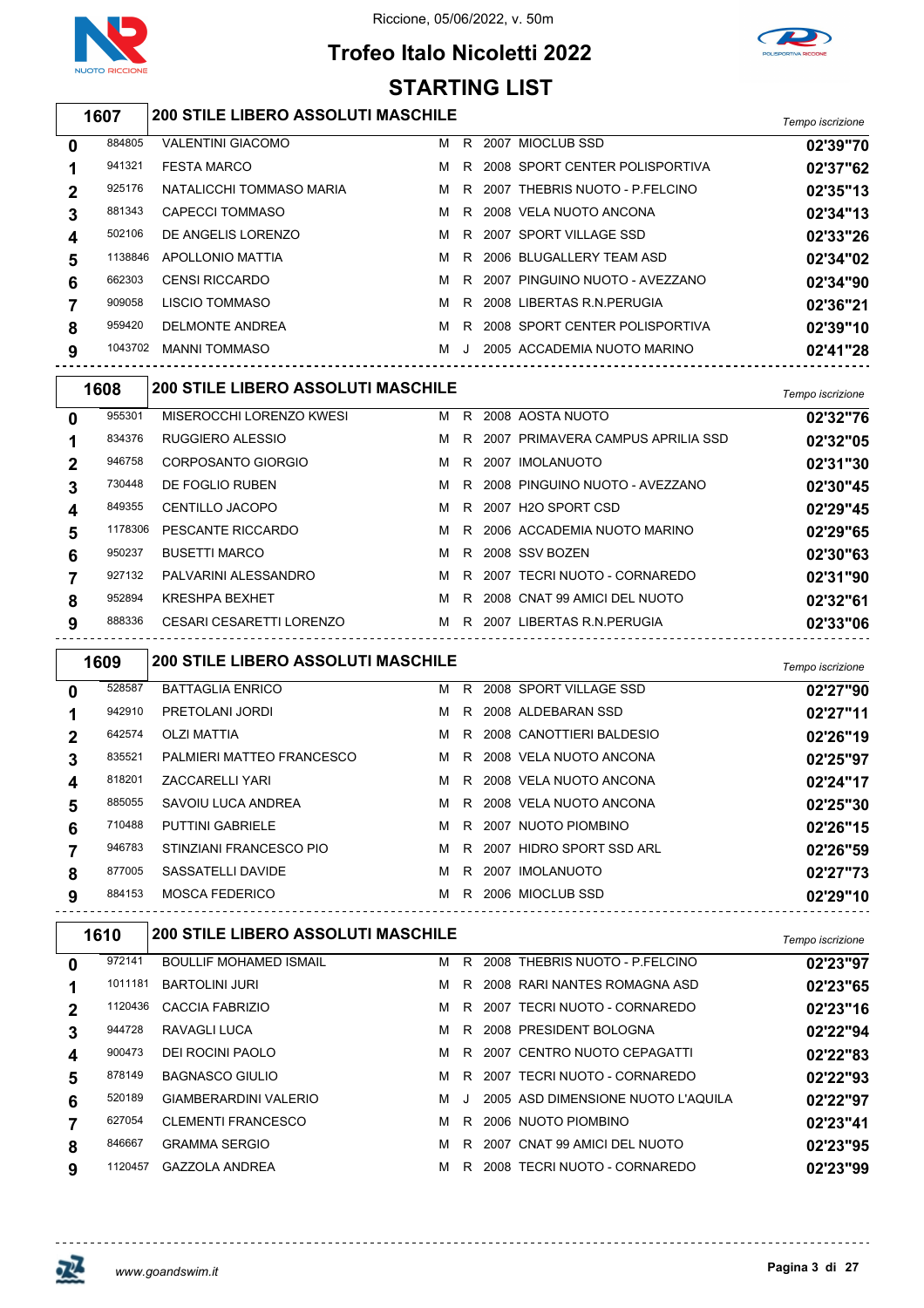

## **Trofeo Italo Nicoletti 2022 STARTING LIST**



#### *Tempo iscrizione* **200 STILE LIBERO ASSOLUTI MASCHILE**

| 0           | 884805  | <b>VALENTINI GIACOMO</b> | м | R.      | 2007 MIOCLUB SSD                 | 02'39"70 |
|-------------|---------|--------------------------|---|---------|----------------------------------|----------|
|             | 941321  | <b>FESTA MARCO</b>       | м | R.      | 2008 SPORT CENTER POLISPORTIVA   | 02'37"62 |
| $\mathbf 2$ | 925176  | NATALICCHI TOMMASO MARIA | м | R       | 2007 THEBRIS NUOTO - P.FELCINO   | 02'35"13 |
| 3           | 881343  | CAPECCI TOMMASO          | м | R.      | 2008 VELA NUOTO ANCONA           | 02'34"13 |
| 4           | 502106  | DE ANGELIS LORENZO       | M |         | R 2007 SPORT VILLAGE SSD         | 02'33"26 |
| 5           | 1138846 | APOLLONIO MATTIA         | M |         | R 2006 BLUGALLERY TEAM ASD       | 02'34"02 |
| 6           | 662303  | <b>CENSI RICCARDO</b>    | M |         | R 2007 PINGUINO NUOTO - AVEZZANO | 02'34"90 |
|             | 909058  | <b>LISCIO TOMMASO</b>    | м |         | R 2008 LIBERTAS R.N. PERUGIA     | 02'36"21 |
| 8           | 959420  | <b>DELMONTE ANDREA</b>   | м | R       | 2008 SPORT CENTER POLISPORTIVA   | 02'39"10 |
| 9           | 1043702 | <b>MANNI TOMMASO</b>     | м | $\cdot$ | 2005 ACCADEMIA NUOTO MARINO      | 02'41"28 |
|             |         |                          |   |         |                                  |          |

| 1608         |         | <b>200 STILE LIBERO ASSOLUTI MASCHILE</b> |   |    |  |                                     |          |  |  |  |
|--------------|---------|-------------------------------------------|---|----|--|-------------------------------------|----------|--|--|--|
| $\mathbf{0}$ | 955301  | MISEROCCHI LORENZO KWESI                  | M | R  |  | 2008 AOSTA NUOTO                    | 02'32"76 |  |  |  |
| 1            | 834376  | <b>RUGGIERO ALESSIO</b>                   | M |    |  | R 2007 PRIMAVERA CAMPUS APRILIA SSD | 02'32"05 |  |  |  |
| $\mathbf{2}$ | 946758  | CORPOSANTO GIORGIO                        | м | R. |  | 2007 IMOLANUOTO                     | 02'31"30 |  |  |  |
| 3            | 730448  | DE FOGLIO RUBEN                           | M |    |  | R 2008 PINGUINO NUOTO - AVEZZANO    | 02'30"45 |  |  |  |
| 4            | 849355  | <b>CENTILLO JACOPO</b>                    | м |    |  | R 2007 H2O SPORT CSD                | 02'29"45 |  |  |  |
| 5            | 1178306 | PESCANTE RICCARDO                         | м |    |  | R 2006 ACCADEMIA NUOTO MARINO       | 02'29"65 |  |  |  |
| 6            | 950237  | <b>BUSETTI MARCO</b>                      | м |    |  | R 2008 SSV BOZEN                    | 02'30"63 |  |  |  |
|              | 927132  | PALVARINI ALESSANDRO                      | M |    |  | R 2007 TECRI NUOTO - CORNAREDO      | 02'31"90 |  |  |  |
| 8            | 952894  | <b>KRESHPA BEXHET</b>                     | м | R. |  | 2008 CNAT 99 AMICI DEL NUOTO        | 02'32"61 |  |  |  |
| 9            | 888336  | CESARI CESARETTI LORENZO                  | M |    |  | R 2007 LIBERTAS R.N. PERUGIA        | 02'33"06 |  |  |  |
|              |         |                                           |   |    |  |                                     |          |  |  |  |

|              | 1609   | <b>200 STILE LIBERO ASSOLUTI MASCHILE</b> |   |    |                            | Tempo iscrizione |
|--------------|--------|-------------------------------------------|---|----|----------------------------|------------------|
| $\mathbf{0}$ | 528587 | <b>BATTAGLIA ENRICO</b>                   | м | R. | 2008 SPORT VILLAGE SSD     | 02'27"90         |
|              | 942910 | PRETOLANI JORDI                           | м | R. | 2008 ALDEBARAN SSD         | 02'27"11         |
| 2            | 642574 | <b>OLZI MATTIA</b>                        | м |    | R 2008 CANOTTIERI BALDESIO | 02'26"19         |
| 3            | 835521 | PALMIERI MATTEO FRANCESCO                 | M | R. | 2008 VELA NUOTO ANCONA     | 02'25"97         |
| 4            | 818201 | <b>ZACCARELLI YARI</b>                    | м | R. | 2008 VELA NUOTO ANCONA     | 02'24"17         |
| 5            | 885055 | SAVOIU LUCA ANDREA                        | м | R. | 2008 VELA NUOTO ANCONA     | 02'25"30         |
| 6            | 710488 | <b>PUTTINI GABRIELE</b>                   | м | R. | 2007 NUOTO PIOMBINO        | 02'26"15         |
|              | 946783 | STINZIANI FRANCESCO PIO                   | м | R. | 2007 HIDRO SPORT SSD ARL   | 02'26"59         |
| 8            | 877005 | SASSATELLI DAVIDE                         | м | R. | 2007 IMOLANUOTO            | 02'27"73         |
| 9            | 884153 | <b>MOSCA FEDERICO</b>                     | м | R  | 2006 MIOCLUB SSD           | 02'29"10         |

| 1610    |                               |         |         |                                           | Tempo iscrizione                                                                                                                                                                                                                                                                                                        |
|---------|-------------------------------|---------|---------|-------------------------------------------|-------------------------------------------------------------------------------------------------------------------------------------------------------------------------------------------------------------------------------------------------------------------------------------------------------------------------|
| 972141  | <b>BOULLIF MOHAMED ISMAIL</b> | м       | R       |                                           | 02'23"97                                                                                                                                                                                                                                                                                                                |
| 1011181 | <b>BARTOLINI JURI</b>         | м       | R.      |                                           | 02'23"65                                                                                                                                                                                                                                                                                                                |
|         | CACCIA FABRIZIO               | м       | R.      |                                           | 02'23"16                                                                                                                                                                                                                                                                                                                |
| 944728  | RAVAGLI LUCA                  | м       | R.      |                                           | 02'22"94                                                                                                                                                                                                                                                                                                                |
| 900473  | DEI ROCINI PAOLO              | м       | R.      |                                           | 02'22"83                                                                                                                                                                                                                                                                                                                |
| 878149  | <b>BAGNASCO GIULIO</b>        | м       | R.      |                                           | 02'22"93                                                                                                                                                                                                                                                                                                                |
| 520189  | <b>GIAMBERARDINI VALERIO</b>  | м       | $\cdot$ |                                           | 02'22"97                                                                                                                                                                                                                                                                                                                |
| 627054  | <b>CLEMENTI FRANCESCO</b>     | м       | R.      |                                           | 02'23"41                                                                                                                                                                                                                                                                                                                |
| 846667  | <b>GRAMMA SERGIO</b>          | м       | R       |                                           | 02'23"95                                                                                                                                                                                                                                                                                                                |
| 1120457 | <b>GAZZOLA ANDREA</b>         | м       | R       |                                           | 02'23"99                                                                                                                                                                                                                                                                                                                |
|         |                               | 1120436 |         | <b>200 STILE LIBERO ASSOLUTI MASCHILE</b> | 2008 THEBRIS NUOTO - P FELCINO<br>2008 RARI NANTES ROMAGNA ASD<br>2007 TECRI NUOTO - CORNAREDO<br>2008 PRESIDENT BOLOGNA<br>2007 CENTRO NUOTO CEPAGATTI<br>2007 TECRI NUOTO - CORNAREDO<br>2005 ASD DIMENSIONE NUOTO L'AQUILA<br>2006 NUOTO PIOMBINO<br>CNAT 99 AMICI DEL NUOTO<br>2007<br>2008 TECRI NUOTO - CORNAREDO |

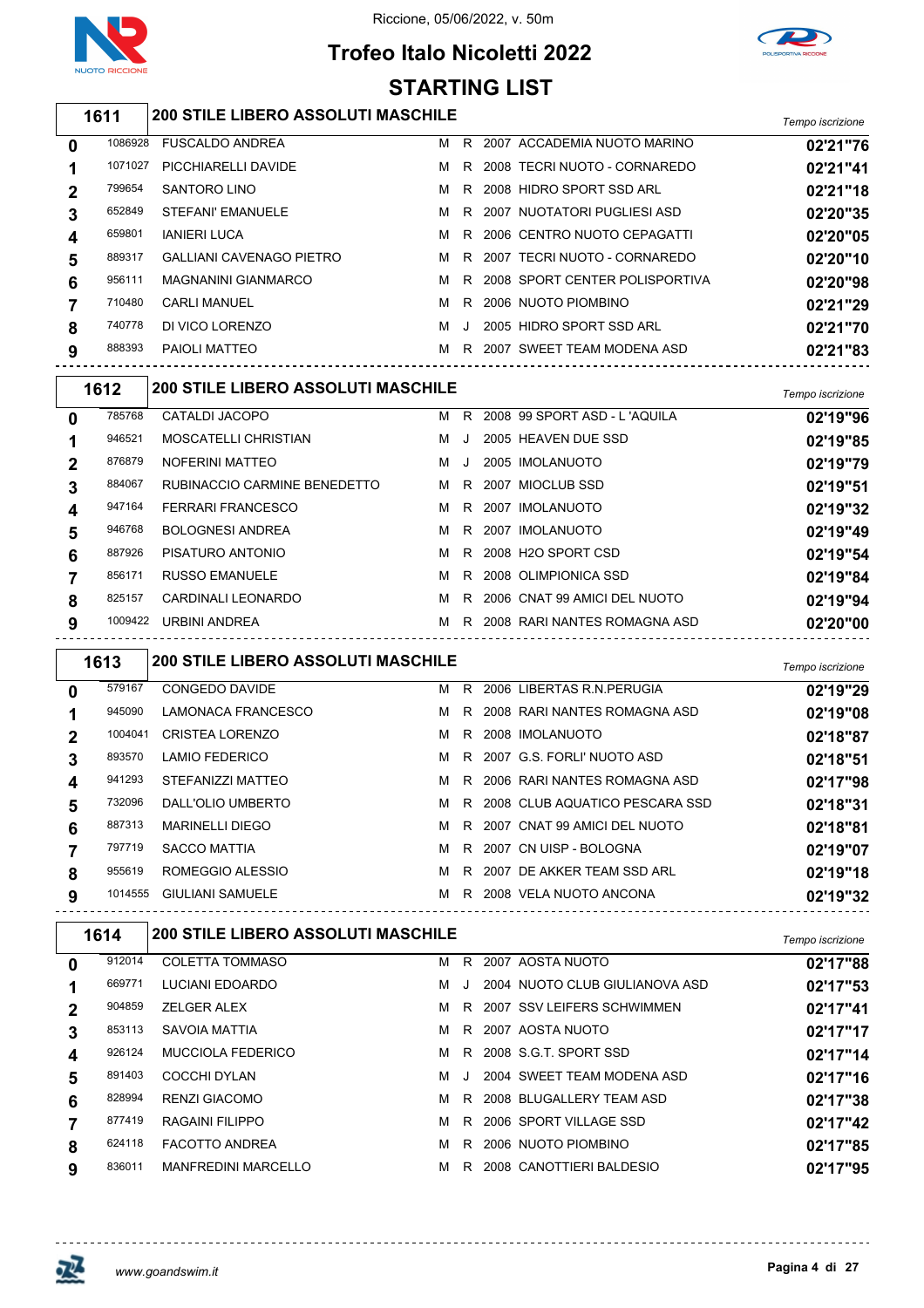

# **Trofeo Italo Nicoletti 2022 STARTING LIST**



#### *Tempo iscrizione* **200 STILE LIBERO ASSOLUTI MASCHILE**

| 0 | 1086928 | <b>FUSCALDO ANDREA</b>          | м |         | R 2007 ACCADEMIA NUOTO MARINO  | 02'21"76 |
|---|---------|---------------------------------|---|---------|--------------------------------|----------|
|   | 1071027 | PICCHIARELLI DAVIDE             | м | R.      | 2008 TECRI NUOTO - CORNAREDO   | 02'21"41 |
|   | 799654  | <b>SANTORO LINO</b>             | м | R.      | 2008 HIDRO SPORT SSD ARL       | 02'21"18 |
| 3 | 652849  | STEFANI' EMANUELE               | м |         | R 2007 NUOTATORI PUGLIESI ASD  | 02'20"35 |
|   | 659801  | <b>IANIERI LUCA</b>             | м |         | R 2006 CENTRO NUOTO CEPAGATTI  | 02'20"05 |
| 5 | 889317  | <b>GALLIANI CAVENAGO PIETRO</b> | м | R.      | 2007 TECRI NUOTO - CORNAREDO   | 02'20"10 |
| 6 | 956111  | <b>MAGNANINI GIANMARCO</b>      | м | R       | 2008 SPORT CENTER POLISPORTIVA | 02'20"98 |
|   | 710480  | <b>CARLI MANUEL</b>             | м |         | R 2006 NUOTO PIOMBINO          | 02'21"29 |
| 8 | 740778  | DI VICO LORENZO                 | м | $\cdot$ | 2005 HIDRO SPORT SSD ARL       | 02'21"70 |
| 9 | 888393  | PAIOLI MATTEO                   | м | R.      | 2007 SWEET TEAM MODENA ASD     | 02'21"83 |
|   |         |                                 |   |         |                                |          |

|              | 1612    | <b>200 STILE LIBERO ASSOLUTI MASCHILE</b> | Tempo iscrizione |        |                                |          |
|--------------|---------|-------------------------------------------|------------------|--------|--------------------------------|----------|
| $\mathbf{0}$ | 785768  | CATALDI JACOPO                            | M                | R.     | 2008 99 SPORT ASD - L'AQUILA   | 02'19"96 |
|              | 946521  | MOSCATELLI CHRISTIAN                      | M                | $\Box$ | 2005 HEAVEN DUE SSD            | 02'19"85 |
| $\mathbf 2$  | 876879  | NOFERINI MATTEO                           | м                |        | 2005 IMOLANUOTO                | 02'19"79 |
| 3            | 884067  | RUBINACCIO CARMINE BENEDETTO              | M                |        | R 2007 MIOCLUB SSD             | 02'19"51 |
| 4            | 947164  | <b>FERRARI FRANCESCO</b>                  | м                |        | R 2007 IMOLANUOTO              | 02'19"32 |
| 5            | 946768  | <b>BOLOGNESI ANDREA</b>                   | M                |        | R 2007 IMOLANUOTO              | 02'19"49 |
| 6            | 887926  | PISATURO ANTONIO                          | м                | R.     | 2008 H2O SPORT CSD             | 02'19"54 |
|              | 856171  | <b>RUSSO EMANUELE</b>                     | м                |        | R 2008 OLIMPIONICA SSD         | 02'19"84 |
| 8            | 825157  | CARDINALI LEONARDO                        | м                |        | R 2006 CNAT 99 AMICI DEL NUOTO | 02'19"94 |
| 9            | 1009422 | URBINI ANDREA                             | м                | R.     | 2008 RARI NANTES ROMAGNA ASD   | 02'20"00 |

|             | 1613    | <b>200 STILE LIBERO ASSOLUTI MASCHILE</b> | Tempo iscrizione |    |                                  |          |
|-------------|---------|-------------------------------------------|------------------|----|----------------------------------|----------|
| 0           | 579167  | <b>CONGEDO DAVIDE</b>                     | м                | R  | 2006 LIBERTAS R.N. PERUGIA       | 02'19"29 |
|             | 945090  | LAMONACA FRANCESCO                        | м                |    | R 2008 RARI NANTES ROMAGNA ASD   | 02'19"08 |
| $\mathbf 2$ | 1004041 | <b>CRISTEA LORENZO</b>                    | м                | R. | 2008 IMOLANUOTO                  | 02'18"87 |
| 3           | 893570  | <b>LAMIO FEDERICO</b>                     | м                |    | R 2007 G.S. FORLI' NUOTO ASD     | 02'18"51 |
| 4           | 941293  | STEFANIZZI MATTEO                         | м                |    | R 2006 RARI NANTES ROMAGNA ASD   | 02'17"98 |
| 5           | 732096  | DALL'OLIO UMBERTO                         | м                |    | R 2008 CLUB AQUATICO PESCARA SSD | 02'18"31 |
| 6           | 887313  | <b>MARINELLI DIEGO</b>                    | м                | R. | 2007 CNAT 99 AMICI DEL NUOTO     | 02'18"81 |
|             | 797719  | <b>SACCO MATTIA</b>                       | м                | R  | 2007 CN UISP - BOLOGNA           | 02'19"07 |
| 8           | 955619  | ROMEGGIO ALESSIO                          | м                | R. | 2007 DE AKKER TEAM SSD ARL       | 02'19"18 |
| 9           | 1014555 | <b>GIULIANI SAMUELE</b>                   | м                | R. | 2008 VELA NUOTO ANCONA           | 02'19"32 |

|                | 1614   | <b>200 STILE LIBERO ASSOLUTI MASCHILE</b> |   |    |                                | Tempo iscrizione |
|----------------|--------|-------------------------------------------|---|----|--------------------------------|------------------|
| 0              | 912014 | <b>COLETTA TOMMASO</b>                    | м | R. | 2007 AOSTA NUOTO               | 02'17"88         |
|                | 669771 | LUCIANI EDOARDO                           | м |    | 2004 NUOTO CLUB GIULIANOVA ASD | 02'17"53         |
| $\overline{2}$ | 904859 | <b>ZELGER ALEX</b>                        | м |    | R 2007 SSV LEIFERS SCHWIMMEN   | 02'17"41         |
| 3              | 853113 | SAVOIA MATTIA                             | м |    | R 2007 AOSTA NUOTO             | 02'17"17         |
| 4              | 926124 | MUCCIOLA FEDERICO                         | м | R. | 2008 S.G.T. SPORT SSD          | 02'17"14         |
| 5              | 891403 | COCCHI DYLAN                              | м |    | 2004 SWEET TEAM MODENA ASD     | 02'17"16         |
| 6              | 828994 | <b>RENZI GIACOMO</b>                      | м |    | R 2008 BLUGALLERY TEAM ASD     | 02'17"38         |
|                | 877419 | RAGAINI FILIPPO                           | м | R. | 2006 SPORT VILLAGE SSD         | 02'17"42         |
| 8              | 624118 | <b>FACOTTO ANDREA</b>                     | м | R  | 2006 NUOTO PIOMBINO            | 02'17"85         |
| 9              | 836011 | <b>MANFREDINI MARCELLO</b>                | м | R  | 2008 CANOTTIERI BALDESIO       | 02'17"95         |
|                |        |                                           |   |    |                                |                  |

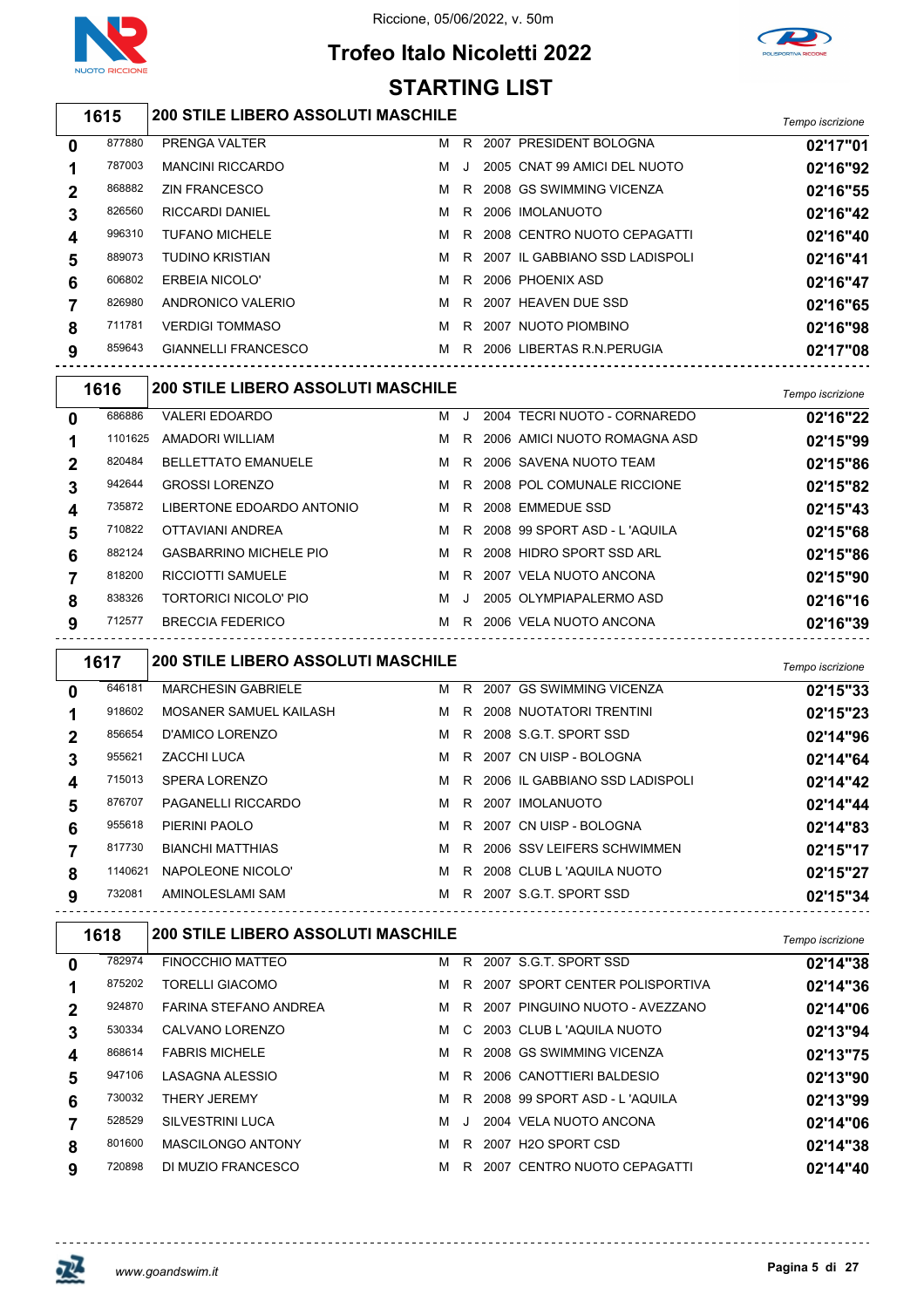

## **Trofeo Italo Nicoletti 2022 STARTING LIST**



### *Tempo iscrizione* **200 STILE LIBERO ASSOLUTI MASCHILE**

| 0 | 877880 | PRENGA VALTER              | м | R. | 2007 PRESIDENT BOLOGNA           | 02'17"01 |
|---|--------|----------------------------|---|----|----------------------------------|----------|
|   | 787003 | <b>MANCINI RICCARDO</b>    | м | J. | 2005 CNAT 99 AMICI DEL NUOTO     | 02'16"92 |
|   | 868882 | <b>ZIN FRANCESCO</b>       | м | R  | 2008 GS SWIMMING VICENZA         | 02'16"55 |
| 3 | 826560 | <b>RICCARDI DANIEL</b>     | м |    | R 2006 IMOLANUOTO                | 02'16"42 |
| 4 | 996310 | <b>TUFANO MICHELE</b>      | м |    | R 2008 CENTRO NUOTO CEPAGATTI    | 02'16"40 |
| 5 | 889073 | <b>TUDINO KRISTIAN</b>     | м |    | R 2007 IL GABBIANO SSD LADISPOLI | 02'16"41 |
| 6 | 606802 | <b>ERBEIA NICOLO'</b>      | м |    | R 2006 PHOENIX ASD               | 02'16"47 |
|   | 826980 | ANDRONICO VALERIO          | м |    | R 2007 HEAVEN DUE SSD            | 02'16"65 |
| 8 | 711781 | <b>VERDIGI TOMMASO</b>     | м | R. | 2007 NUOTO PIOMBINO              | 02'16"98 |
| 9 | 859643 | <b>GIANNELLI FRANCESCO</b> | м | R. | 2006 LIBERTAS R.N. PERUGIA       | 02'17"08 |
|   |        |                            |   |    |                                  |          |

|             | 1616    | <b>200 STILE LIBERO ASSOLUTI MASCHILE</b> |   |              |                                | Tempo iscrizione |
|-------------|---------|-------------------------------------------|---|--------------|--------------------------------|------------------|
| 0           | 686886  | <b>VALERI EDOARDO</b>                     | м | $\mathbf{I}$ | 2004 TECRI NUOTO - CORNAREDO   | 02'16"22         |
|             | 1101625 | AMADORI WILLIAM                           | м | R            | 2006 AMICI NUOTO ROMAGNA ASD   | 02'15"99         |
| $\mathbf 2$ | 820484  | <b>BELLETTATO EMANUELE</b>                | м | R            | 2006 SAVENA NUOTO TEAM         | 02'15"86         |
|             | 942644  | <b>GROSSI LORENZO</b>                     | M |              | R 2008 POL COMUNALE RICCIONE   | 02'15"82         |
| 4           | 735872  | LIBERTONE EDOARDO ANTONIO                 | M | R.           | 2008 EMMEDUE SSD               | 02'15"43         |
| 5           | 710822  | OTTAVIANI ANDREA                          | M |              | R 2008 99 SPORT ASD - L'AQUILA | 02'15"68         |
| 6           | 882124  | <b>GASBARRINO MICHELE PIO</b>             | м | R.           | 2008 HIDRO SPORT SSD ARL       | 02'15"86         |
|             | 818200  | <b>RICCIOTTI SAMUELE</b>                  | м | R.           | 2007 VELA NUOTO ANCONA         | 02'15"90         |
| 8           | 838326  | TORTORICI NICOLO' PIO                     | м | $\Box$       | 2005 OLYMPIAPALERMO ASD        | 02'16"16         |
| 9           | 712577  | <b>BRECCIA FEDERICO</b>                   | м | R            | 2006 VELA NUOTO ANCONA         | 02'16"39         |

|              | 1617    | <b>200 STILE LIBERO ASSOLUTI MASCHILE</b> |  |                                    | Tempo iscrizione |
|--------------|---------|-------------------------------------------|--|------------------------------------|------------------|
| $\mathbf{0}$ | 646181  | <b>MARCHESIN GABRIELE</b>                 |  | M R 2007 GS SWIMMING VICENZA       | 02'15"33         |
|              | 918602  | MOSANER SAMUEL KAILASH                    |  | M R 2008 NUOTATORI TRENTINI        | 02'15"23         |
| $\mathbf{2}$ | 856654  | D'AMICO LORENZO                           |  | M R 2008 S.G.T. SPORT SSD          | 02'14"96         |
| 3            | 955621  | ZACCHI LUCA                               |  | M R 2007 CN UISP - BOLOGNA         | 02'14"64         |
| 4            | 715013  | <b>SPERA LORENZO</b>                      |  | M R 2006 IL GABBIANO SSD LADISPOLI | 02'14"42         |
| 5            | 876707  | <b>PAGANELLI RICCARDO</b>                 |  | M R 2007 IMOLANUOTO                | 02'14"44         |
| 6            | 955618  | PIERINI PAOLO                             |  | M R 2007 CN UISP - BOLOGNA         | 02'14"83         |
|              | 817730  | <b>BIANCHI MATTHIAS</b>                   |  | M R 2006 SSV LEIFERS SCHWIMMEN     | 02'15"17         |
| 8            | 1140621 | NAPOLEONE NICOLO'                         |  | M R 2008 CLUB L'AQUILA NUOTO       | 02'15"27         |
| 9            | 732081  | AMINOLESLAMI SAM                          |  | M R 2007 S.G.T. SPORT SSD          | 02'15"34         |

|   | 1618   | <b>200 STILE LIBERO ASSOLUTI MASCHILE</b> |   |    |      |                                | Tempo iscrizione |
|---|--------|-------------------------------------------|---|----|------|--------------------------------|------------------|
| 0 | 782974 | FINOCCHIO MATTEO                          | м |    |      | R 2007 S.G.T. SPORT SSD        | 02'14"38         |
|   | 875202 | <b>TORELLI GIACOMO</b>                    | м | R. |      | 2007 SPORT CENTER POLISPORTIVA | 02'14"36         |
| 2 | 924870 | FARINA STEFANO ANDREA                     | м | R. |      | 2007 PINGUINO NUOTO - AVEZZANO | 02'14"06         |
| 3 | 530334 | CALVANO LORENZO                           | м |    |      | C 2003 CLUB L 'AQUILA NUOTO    | 02'13"94         |
| 4 | 868614 | <b>FABRIS MICHELE</b>                     | м | R. |      | 2008 GS SWIMMING VICENZA       | 02'13"75         |
| 5 | 947106 | LASAGNA ALESSIO                           | м | R. |      | 2006 CANOTTIERI BALDESIO       | 02'13"90         |
| 6 | 730032 | <b>THERY JEREMY</b>                       | м | R. |      | 2008 99 SPORT ASD - L'AQUILA   | 02'13"99         |
|   | 528529 | <b>SILVESTRINI LUCA</b>                   | м |    |      | 2004 VELA NUOTO ANCONA         | 02'14"06         |
| 8 | 801600 | <b>MASCILONGO ANTONY</b>                  | м | R. |      | 2007 H2O SPORT CSD             | 02'14"38         |
| 9 | 720898 | DI MUZIO FRANCESCO                        | м | R. | 2007 | CENTRO NUOTO CEPAGATTI         | 02'14"40         |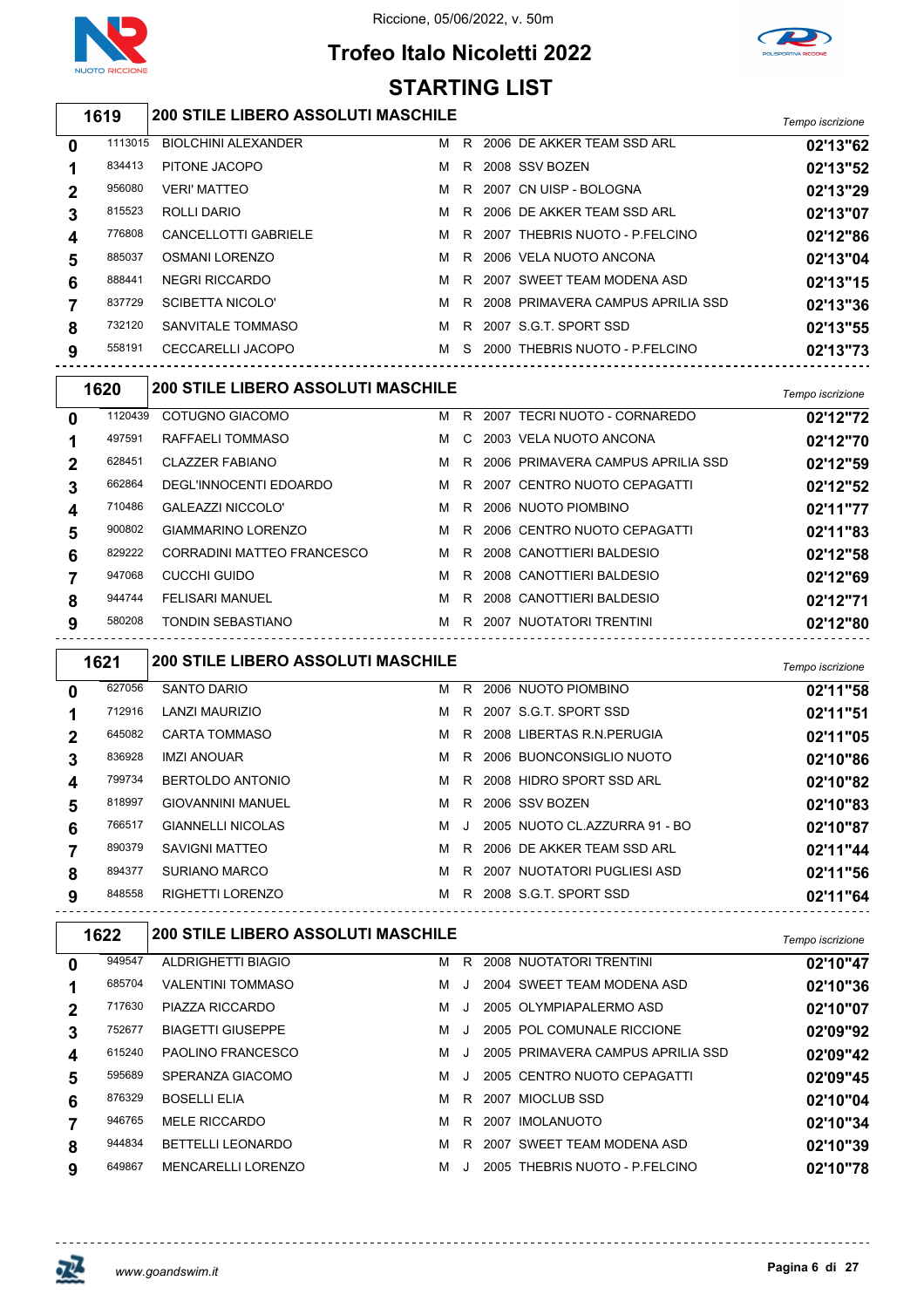

# **Trofeo Italo Nicoletti 2022 STARTING LIST**



### *Tempo iscrizione* **200 STILE LIBERO ASSOLUTI MASCHILE**

| 0              | 1113015 | <b>BIOLCHINI ALEXANDER</b>  | м | R  | 2006 DE AKKER TEAM SSD ARL          | 02'13"62 |
|----------------|---------|-----------------------------|---|----|-------------------------------------|----------|
|                | 834413  | PITONE JACOPO               | м | R. | 2008 SSV BOZEN                      | 02'13"52 |
| $\overline{2}$ | 956080  | <b>VERI' MATTEO</b>         | м |    | R 2007 CN UISP - BOLOGNA            | 02'13"29 |
| 3              | 815523  | ROLLI DARIO                 | м |    | R 2006 DE AKKER TEAM SSD ARL        | 02'13"07 |
| 4              | 776808  | <b>CANCELLOTTI GABRIELE</b> | M |    | R 2007 THEBRIS NUOTO - P.FELCINO    | 02'12"86 |
| 5              | 885037  | <b>OSMANI LORENZO</b>       | м |    | R 2006 VELA NUOTO ANCONA            | 02'13"04 |
| 6              | 888441  | NEGRI RICCARDO              | м | R  | 2007 SWEET TEAM MODENA ASD          | 02'13"15 |
|                | 837729  | SCIBETTA NICOLO'            | м |    | R 2008 PRIMAVERA CAMPUS APRILIA SSD | 02'13"36 |
| 8              | 732120  | SANVITALE TOMMASO           | м |    | R 2007 S.G.T. SPORT SSD             | 02'13"55 |
| 9              | 558191  | CECCARELLI JACOPO           | м | S. | 2000 THEBRIS NUOTO - P FELCINO      | 02'13"73 |
|                |         |                             |   |    |                                     |          |

|   | 1620    | <b>200 STILE LIBERO ASSOLUTI MASCHILE</b> |   |    |                                   | Tempo iscrizione |
|---|---------|-------------------------------------------|---|----|-----------------------------------|------------------|
| 0 | 1120439 | COTUGNO GIACOMO                           | м | R. | 2007 TECRI NUOTO - CORNAREDO      | 02'12"72         |
|   | 497591  | RAFFAELI TOMMASO                          | M | C. | 2003 VELA NUOTO ANCONA            | 02'12"70         |
| 2 | 628451  | <b>CLAZZER FABIANO</b>                    | м | R. | 2006 PRIMAVERA CAMPUS APRILIA SSD | 02'12"59         |
| 3 | 662864  | DEGL'INNOCENTI EDOARDO                    | м |    | R 2007 CENTRO NUOTO CEPAGATTI     | 02'12"52         |
| 4 | 710486  | <b>GALEAZZI NICCOLO'</b>                  | м | R. | 2006 NUOTO PIOMBINO               | 02'11"77         |
| 5 | 900802  | GIAMMARINO LORENZO                        | м |    | R 2006 CENTRO NUOTO CEPAGATTI     | 02'11"83         |
| 6 | 829222  | CORRADINI MATTEO FRANCESCO                | м | R. | 2008 CANOTTIERI BALDESIO          | 02'12"58         |
|   | 947068  | CUCCHI GUIDO                              | м | R. | 2008 CANOTTIERI BALDESIO          | 02'12"69         |
| 8 | 944744  | <b>FELISARI MANUEL</b>                    | м | R. | 2008 CANOTTIERI BALDESIO          | 02'12"71         |
| 9 | 580208  | TONDIN SEBASTIANO                         | м | R. | 2007 NUOTATORI TRENTINI           | 02'12"80         |
|   |         |                                           |   |    |                                   |                  |

|              | 1621   | <b>200 STILE LIBERO ASSOLUTI MASCHILE</b> |   |    |                               | Tempo iscrizione |
|--------------|--------|-------------------------------------------|---|----|-------------------------------|------------------|
| $\mathbf{0}$ | 627056 | SANTO DARIO                               | м |    | R 2006 NUOTO PIOMBINO         | 02'11"58         |
|              | 712916 | LANZI MAURIZIO                            | м |    | R 2007 S.G.T. SPORT SSD       | 02'11"51         |
| $\mathbf 2$  | 645082 | <b>CARTA TOMMASO</b>                      | м | R. | 2008 LIBERTAS R.N.PERUGIA     | 02'11"05         |
| 3            | 836928 | <b>IMZI ANOUAR</b>                        | м |    | R 2006 BUONCONSIGLIO NUOTO    | 02'10"86         |
| 4            | 799734 | <b>BERTOLDO ANTONIO</b>                   | M | R. | 2008 HIDRO SPORT SSD ARL      | 02'10"82         |
| 5            | 818997 | <b>GIOVANNINI MANUEL</b>                  | M |    | R 2006 SSV BOZEN              | 02'10"83         |
| 6            | 766517 | <b>GIANNELLI NICOLAS</b>                  | м | J  | 2005 NUOTO CL.AZZURRA 91 - BO | 02'10"87         |
|              | 890379 | SAVIGNI MATTEO                            | м |    | R 2006 DE AKKER TEAM SSD ARL  | 02'11"44         |
| 8            | 894377 | <b>SURIANO MARCO</b>                      | м | R. | 2007 NUOTATORI PUGLIESI ASD   | 02'11"56         |
| 9            | 848558 | RIGHETTI LORENZO                          | M |    | R 2008 S.G.T. SPORT SSD       | 02'11"64         |

| 1622        |        | <b>200 STILE LIBERO ASSOLUTI MASCHILE</b> | Tempo iscrizione |    |                                   |          |
|-------------|--------|-------------------------------------------|------------------|----|-----------------------------------|----------|
| 0           | 949547 | ALDRIGHETTI BIAGIO                        | м                | R  | 2008 NUOTATORI TRENTINI           | 02'10"47 |
|             | 685704 | <b>VALENTINI TOMMASO</b>                  | м                |    | 2004 SWEET TEAM MODENA ASD        | 02'10"36 |
| $\mathbf 2$ | 717630 | PIAZZA RICCARDO                           | м                |    | 2005 OLYMPIAPALERMO ASD           | 02'10"07 |
| 3           | 752677 | <b>BIAGETTI GIUSEPPE</b>                  | м                |    | 2005 POL COMUNALE RICCIONE        | 02'09"92 |
| 4           | 615240 | PAOLINO FRANCESCO                         | м                |    | 2005 PRIMAVERA CAMPUS APRILIA SSD | 02'09"42 |
| 5           | 595689 | SPERANZA GIACOMO                          | м                |    | 2005 CENTRO NUOTO CEPAGATTI       | 02'09"45 |
| 6           | 876329 | <b>BOSELLI ELIA</b>                       | м                | R. | 2007 MIOCLUB SSD                  | 02'10"04 |
|             | 946765 | <b>MELE RICCARDO</b>                      | м                | R  | 2007 IMOLANUOTO                   | 02'10"34 |
| 8           | 944834 | <b>BETTELLI LEONARDO</b>                  | м                | R. | 2007 SWEET TEAM MODENA ASD        | 02'10"39 |
| 9           | 649867 | MENCARELLI LORENZO                        | м                |    | 2005 THEBRIS NUOTO - P.FELCINO    | 02'10"78 |
|             |        |                                           |                  |    |                                   |          |

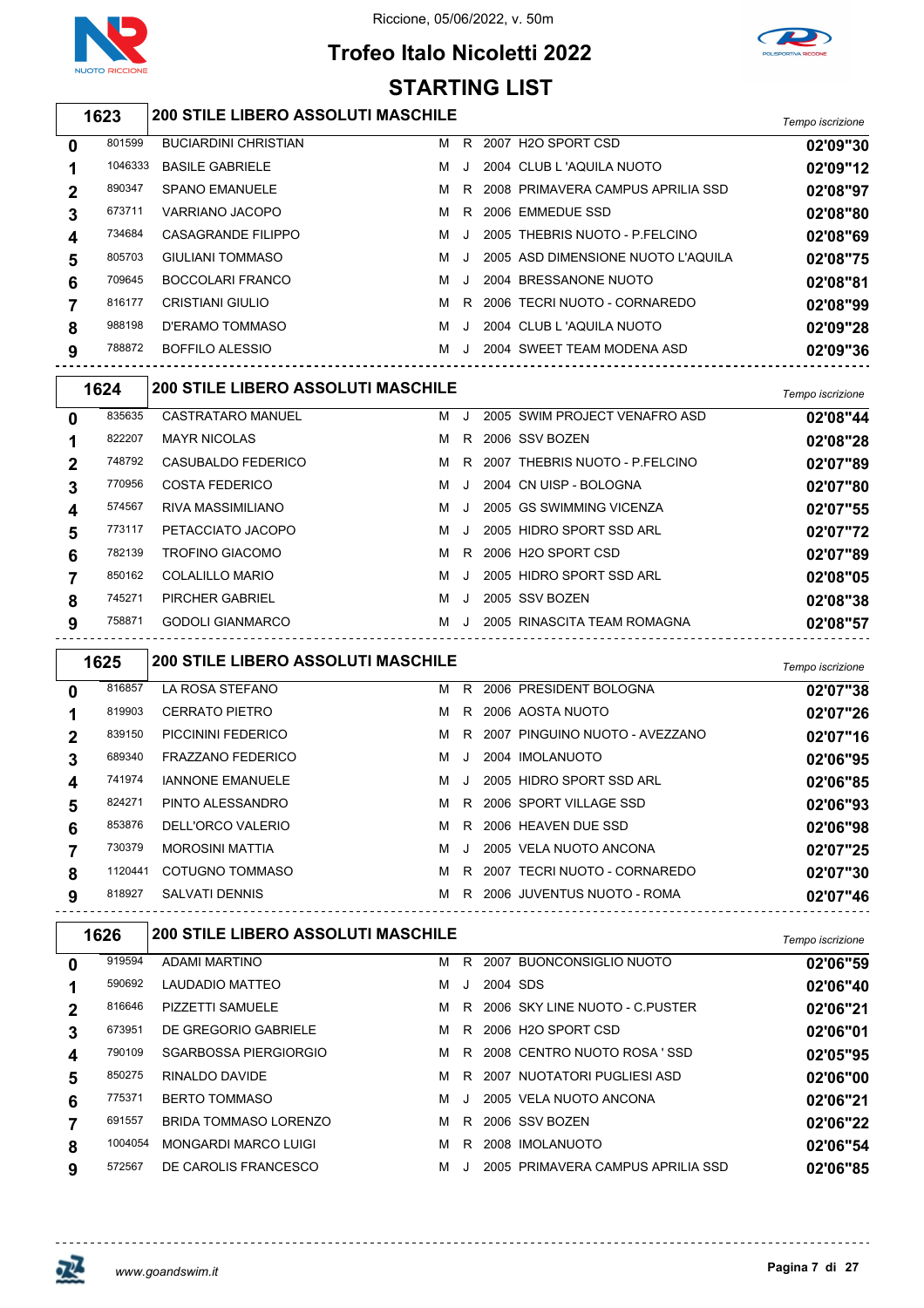

## **Trofeo Italo Nicoletti 2022 STARTING LIST**



### *Tempo iscrizione* **200 STILE LIBERO ASSOLUTI MASCHILE**

| 0 | 801599  | <b>BUCIARDINI CHRISTIAN</b> | м | R       | 2007 H <sub>2</sub> O SPORT CSD    | 02'09"30 |
|---|---------|-----------------------------|---|---------|------------------------------------|----------|
|   | 1046333 | <b>BASILE GABRIELE</b>      | м | $\cdot$ | 2004 CLUB L 'AQUILA NUOTO          | 02'09"12 |
| 2 | 890347  | <b>SPANO EMANUELE</b>       | м | R       | 2008 PRIMAVERA CAMPUS APRILIA SSD  | 02'08"97 |
| 3 | 673711  | VARRIANO JACOPO             | м | R       | 2006 EMMEDUE SSD                   | 02'08"80 |
| 4 | 734684  | CASAGRANDE FILIPPO          | м | $\cdot$ | 2005 THEBRIS NUOTO - P.FELCINO     | 02'08"69 |
| 5 | 805703  | <b>GIULIANI TOMMASO</b>     | м | $\cdot$ | 2005 ASD DIMENSIONE NUOTO L'AQUILA | 02'08"75 |
| 6 | 709645  | BOCCOLARI FRANCO            | м | $\cdot$ | 2004 BRESSANONE NUOTO              | 02'08"81 |
|   | 816177  | CRISTIANI GIULIO            | м | R       | 2006 TECRI NUOTO - CORNAREDO       | 02'08"99 |
| 8 | 988198  | D'ERAMO TOMMASO             | м | J       | 2004 CLUB L 'AQUILA NUOTO          | 02'09"28 |
| 9 | 788872  | <b>BOFFILO ALESSIO</b>      | м | $\cdot$ | 2004 SWEET TEAM MODENA ASD         | 02'09"36 |
|   |         |                             |   |         |                                    |          |

|              | 1624   | <b>200 STILE LIBERO ASSOLUTI MASCHILE</b> |   |              |                                  | Tempo iscrizione |
|--------------|--------|-------------------------------------------|---|--------------|----------------------------------|------------------|
| $\mathbf{0}$ | 835635 | <b>CASTRATARO MANUEL</b>                  | м | J.           | 2005 SWIM PROJECT VENAFRO ASD    | 02'08"44         |
|              | 822207 | <b>MAYR NICOLAS</b>                       | м | R.           | 2006 SSV BOZEN                   | 02'08"28         |
|              | 748792 | CASUBALDO FEDERICO                        | м |              | R 2007 THEBRIS NUOTO - P.FELCINO | 02'07"89         |
| 3            | 770956 | <b>COSTA FEDERICO</b>                     | м | $\mathbf{I}$ | 2004 CN UISP - BOLOGNA           | 02'07"80         |
| 4            | 574567 | RIVA MASSIMILIANO                         | м | J.           | 2005 GS SWIMMING VICENZA         | 02'07"55         |
| 5            | 773117 | PETACCIATO JACOPO                         | м | - 1          | 2005 HIDRO SPORT SSD ARL         | 02'07"72         |
| 6            | 782139 | <b>TROFINO GIACOMO</b>                    | м | R.           | 2006 H2O SPORT CSD               | 02'07"89         |
|              | 850162 | COLALILLO MARIO                           | м | - 1          | 2005 HIDRO SPORT SSD ARL         | 02'08"05         |
| 8            | 745271 | PIRCHER GABRIEL                           | м | J.           | 2005 SSV BOZEN                   | 02'08"38         |
| 9            | 758871 | <b>GODOLI GIANMARCO</b>                   | м | $\cdot$      | 2005 RINASCITA TEAM ROMAGNA      | 02'08"57         |

|             | 1625    | <b>200 STILE LIBERO ASSOLUTI MASCHILE</b> |   |    |      |                                | Tempo iscrizione |
|-------------|---------|-------------------------------------------|---|----|------|--------------------------------|------------------|
| 0           | 816857  | LA ROSA STEFANO                           | м | R. |      | 2006 PRESIDENT BOLOGNA         | 02'07"38         |
|             | 819903  | <b>CERRATO PIETRO</b>                     | м | R  |      | 2006 AOSTA NUOTO               | 02'07"26         |
| $\mathbf 2$ | 839150  | PICCININI FEDERICO                        | м | R. |      | 2007 PINGUINO NUOTO - AVEZZANO | 02'07"16         |
| 3           | 689340  | <b>FRAZZANO FEDERICO</b>                  | м |    |      | 2004 IMOLANUOTO                | 02'06"95         |
| 4           | 741974  | <b>IANNONE EMANUELE</b>                   | м |    |      | 2005 HIDRO SPORT SSD ARL       | 02'06"85         |
| 5           | 824271  | PINTO ALESSANDRO                          | м | R. |      | 2006 SPORT VILLAGE SSD         | 02'06"93         |
| 6           | 853876  | DELL'ORCO VALERIO                         | м | R. |      | 2006 HEAVEN DUE SSD            | 02'06"98         |
|             | 730379  | <b>MOROSINI MATTIA</b>                    | м |    |      | 2005 VELA NUOTO ANCONA         | 02'07"25         |
| 8           | 1120441 | COTUGNO TOMMASO                           | м | R. | 2007 | TECRI NUOTO - CORNAREDO        | 02'07"30         |
| 9           | 818927  | <b>SALVATI DENNIS</b>                     | м | R. |      | 2006 JUVENTUS NUOTO - ROMA     | 02'07"46         |

|        |                       |         |         |                                           |    | Tempo iscrizione                                                                                                                                                                                                                                               |
|--------|-----------------------|---------|---------|-------------------------------------------|----|----------------------------------------------------------------------------------------------------------------------------------------------------------------------------------------------------------------------------------------------------------------|
| 919594 | ADAMI MARTINO         | м       | R.      |                                           |    | 02'06"59                                                                                                                                                                                                                                                       |
| 590692 | LAUDADIO MATTEO       | м       | $\cdot$ |                                           |    | 02'06"40                                                                                                                                                                                                                                                       |
| 816646 | PIZZETTI SAMUELE      | м       |         |                                           |    | 02'06"21                                                                                                                                                                                                                                                       |
| 673951 | DE GREGORIO GABRIELE  | м       | R.      |                                           |    | 02'06"01                                                                                                                                                                                                                                                       |
| 790109 | SGARBOSSA PIERGIORGIO | м       | R.      |                                           |    | 02'05"95                                                                                                                                                                                                                                                       |
| 850275 | RINALDO DAVIDE        | м       | R       |                                           |    | 02'06"00                                                                                                                                                                                                                                                       |
| 775371 | <b>BERTO TOMMASO</b>  | м       |         |                                           |    | 02'06"21                                                                                                                                                                                                                                                       |
| 691557 | BRIDA TOMMASO LORENZO | м       | R.      |                                           |    | 02'06"22                                                                                                                                                                                                                                                       |
|        | MONGARDI MARCO LUIGI  | м       | R       |                                           |    | 02'06"54                                                                                                                                                                                                                                                       |
| 572567 | DE CAROLIS FRANCESCO  | м       | $\cdot$ |                                           |    | 02'06"85                                                                                                                                                                                                                                                       |
|        | 1626                  | 1004054 |         | <b>200 STILE LIBERO ASSOLUTI MASCHILE</b> | R. | 2007 BUONCONSIGLIO NUOTO<br>2004 SDS<br>2006 SKY LINE NUOTO - C PUSTER<br>2006 H2O SPORT CSD<br>2008 CENTRO NUOTO ROSA 'SSD<br>2007 NUOTATORI PUGLIESI ASD<br>2005 VELA NUOTO ANCONA<br>2006 SSV BOZEN<br>2008 IMOLANUOTO<br>2005 PRIMAVERA CAMPUS APRILIA SSD |

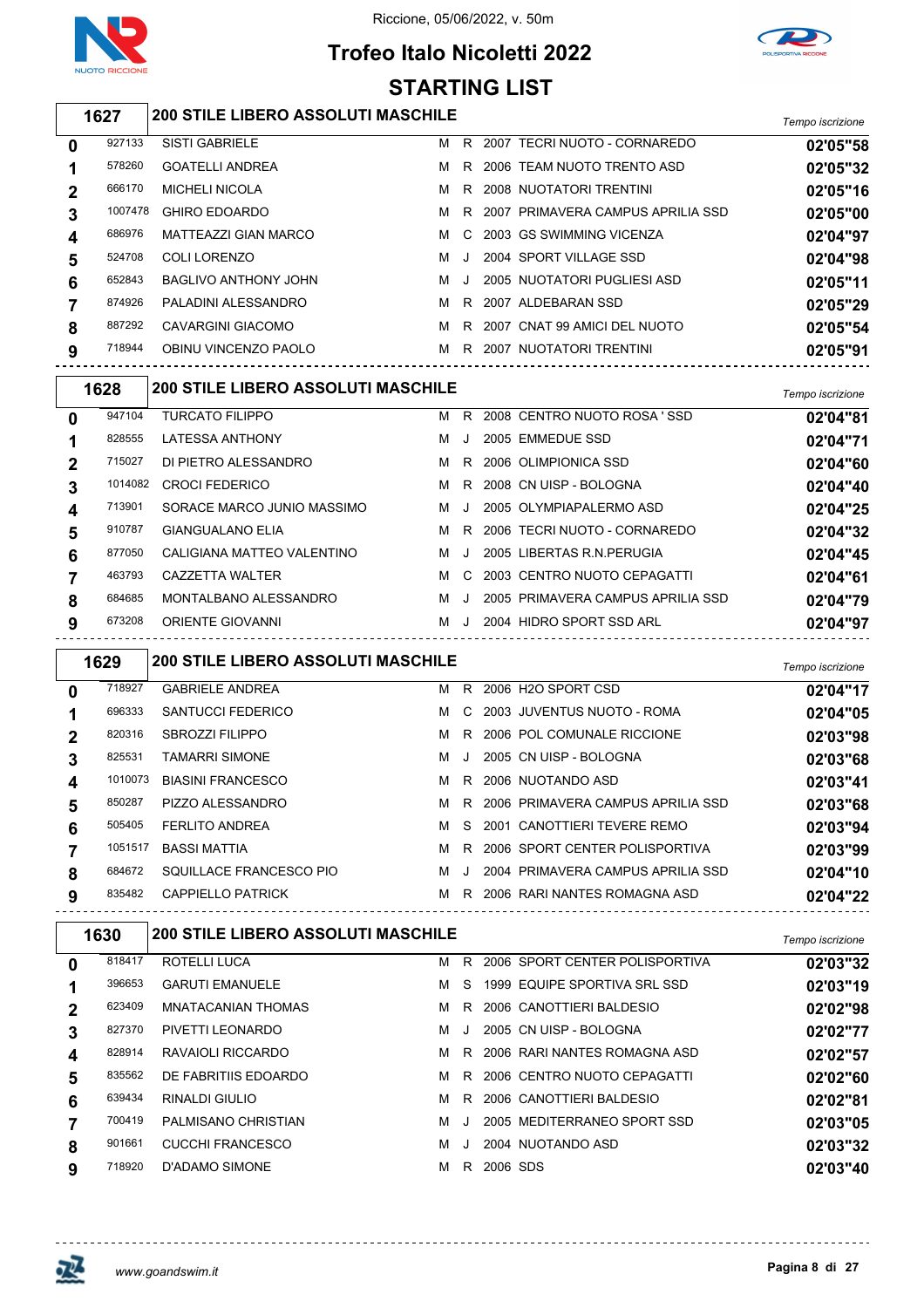

## **Trofeo Italo Nicoletti 2022 STARTING LIST**



#### *Tempo iscrizione* **200 STILE LIBERO ASSOLUTI MASCHILE**

| 0 | 927133  | <b>SISTI GABRIELE</b>       | м | R       | 2007 TECRI NUOTO - CORNAREDO        | 02'05"58 |
|---|---------|-----------------------------|---|---------|-------------------------------------|----------|
|   | 578260  | <b>GOATELLI ANDREA</b>      | м |         | R 2006 TEAM NUOTO TRENTO ASD        | 02'05"32 |
| 2 | 666170  | <b>MICHELI NICOLA</b>       | м |         | R 2008 NUOTATORI TRENTINI           | 02'05"16 |
| 3 | 1007478 | <b>GHIRO EDOARDO</b>        | м |         | R 2007 PRIMAVERA CAMPUS APRILIA SSD | 02'05"00 |
| 4 | 686976  | <b>MATTEAZZI GIAN MARCO</b> | м |         | C 2003 GS SWIMMING VICENZA          | 02'04"97 |
| 5 | 524708  | COLI LORENZO                | м | $\cdot$ | 2004 SPORT VILLAGE SSD              | 02'04"98 |
| 6 | 652843  | BAGLIVO ANTHONY JOHN        | м | $\cdot$ | 2005 NUOTATORI PUGLIESI ASD         | 02'05"11 |
|   | 874926  | PALADINI ALESSANDRO         | м |         | R 2007 ALDEBARAN SSD                | 02'05"29 |
| 8 | 887292  | CAVARGINI GIACOMO           | м |         | R 2007 CNAT 99 AMICI DEL NUOTO      | 02'05"54 |
| 9 | 718944  | OBINU VINCENZO PAOLO        | м |         | R 2007 NUOTATORI TRENTINI           | 02'05"91 |
|   |         |                             |   |         |                                     |          |

|             | 1628    | <b>200 STILE LIBERO ASSOLUTI MASCHILE</b> |   |           |                                   | Tempo iscrizione |
|-------------|---------|-------------------------------------------|---|-----------|-----------------------------------|------------------|
| 0           | 947104  | <b>TURCATO FILIPPO</b>                    | м | R.        | 2008 CENTRO NUOTO ROSA 'SSD       | 02'04"81         |
|             | 828555  | <b>LATESSA ANTHONY</b>                    | м | J.        | 2005 EMMEDUE SSD                  | 02'04"71         |
| $\mathbf 2$ | 715027  | DI PIETRO ALESSANDRO                      | м |           | R 2006 OLIMPIONICA SSD            | 02'04"60         |
| 3           | 1014082 | <b>CROCI FEDERICO</b>                     | м | R.        | 2008 CN UISP - BOLOGNA            | 02'04"40         |
| 4           | 713901  | SORACE MARCO JUNIO MASSIMO                | м | $\cdot$ . | 2005 OLYMPIAPALERMO ASD           | 02'04"25         |
| 5           | 910787  | <b>GIANGUALANO ELIA</b>                   | м | R.        | 2006 TECRI NUOTO - CORNAREDO      | 02'04"32         |
| 6           | 877050  | CALIGIANA MATTEO VALENTINO                | м | $\cdot$   | 2005 LIBERTAS R.N. PERUGIA        | 02'04"45         |
|             | 463793  | CAZZETTA WALTER                           | м | C.        | 2003 CENTRO NUOTO CEPAGATTI       | 02'04"61         |
| 8           | 684685  | MONTALBANO ALESSANDRO                     | м | $\cdot$   | 2005 PRIMAVERA CAMPUS APRILIA SSD | 02'04"79         |
| 9           | 673208  | <b>ORIENTE GIOVANNI</b>                   | м |           | 2004 HIDRO SPORT SSD ARL          | 02'04"97         |

|              | 1629    | <b>200 STILE LIBERO ASSOLUTI MASCHILE</b> |   |           |                                   | Tempo iscrizione |
|--------------|---------|-------------------------------------------|---|-----------|-----------------------------------|------------------|
| $\mathbf{0}$ | 718927  | <b>GABRIELE ANDREA</b>                    |   |           | M R 2006 H2O SPORT CSD            | 02'04"17         |
|              | 696333  | SANTUCCI FEDERICO                         | м | C.        | 2003 JUVENTUS NUOTO - ROMA        | 02'04"05         |
| $\mathbf 2$  | 820316  | <b>SBROZZI FILIPPO</b>                    | м | R         | 2006 POL COMUNALE RICCIONE        | 02'03"98         |
| 3            | 825531  | <b>TAMARRI SIMONE</b>                     | м | J.        | 2005 CN UISP - BOLOGNA            | 02'03"68         |
| 4            | 1010073 | <b>BIASINI FRANCESCO</b>                  | м | R.        | 2006 NUOTANDO ASD                 | 02'03"41         |
| 5            | 850287  | PIZZO ALESSANDRO                          | м | R         | 2006 PRIMAVERA CAMPUS APRILIA SSD | 02'03"68         |
| 6            | 505405  | <b>FERLITO ANDREA</b>                     | м | S.        | 2001 CANOTTIERI TEVERE REMO       | 02'03"94         |
|              | 1051517 | <b>BASSI MATTIA</b>                       | м | R.        | 2006 SPORT CENTER POLISPORTIVA    | 02'03"99         |
| 8            | 684672  | SQUILLACE FRANCESCO PIO                   | м | $\cdot$ . | 2004 PRIMAVERA CAMPUS APRILIA SSD | 02'04"10         |
| 9            | 835482  | CAPPIELLO PATRICK                         | м | R.        | 2006 RARI NANTES ROMAGNA ASD      | 02'04"22         |

| 1630   |                           |   |         |                                           | Tempo iscrizione                                                                                                                                                                                                                                                                |
|--------|---------------------------|---|---------|-------------------------------------------|---------------------------------------------------------------------------------------------------------------------------------------------------------------------------------------------------------------------------------------------------------------------------------|
| 818417 | <b>ROTELLI LUCA</b>       | м | R.      |                                           | 02'03"32                                                                                                                                                                                                                                                                        |
| 396653 | <b>GARUTI EMANUELE</b>    | м | S.      |                                           | 02'03"19                                                                                                                                                                                                                                                                        |
| 623409 | <b>MNATACANIAN THOMAS</b> | м | R.      |                                           | 02'02"98                                                                                                                                                                                                                                                                        |
| 827370 | PIVETTI LEONARDO          | м | $\cdot$ |                                           | 02'02"77                                                                                                                                                                                                                                                                        |
| 828914 | RAVAIOLI RICCARDO         | м | R.      |                                           | 02'02"57                                                                                                                                                                                                                                                                        |
| 835562 | DE FABRITIIS EDOARDO      | м | R.      |                                           | 02'02"60                                                                                                                                                                                                                                                                        |
| 639434 | RINALDI GIULIO            | м | R.      |                                           | 02'02"81                                                                                                                                                                                                                                                                        |
| 700419 | PALMISANO CHRISTIAN       | м |         |                                           | 02'03"05                                                                                                                                                                                                                                                                        |
| 901661 | <b>CUCCHI FRANCESCO</b>   | м |         |                                           | 02'03"32                                                                                                                                                                                                                                                                        |
| 718920 | D'ADAMO SIMONE            | м | R.      |                                           | 02'03"40                                                                                                                                                                                                                                                                        |
|        |                           |   |         | <b>200 STILE LIBERO ASSOLUTI MASCHILE</b> | 2006 SPORT CENTER POLISPORTIVA<br>1999 EQUIPE SPORTIVA SRL SSD<br>2006 CANOTTIERI BALDESIO<br>2005 CN UISP - BOLOGNA<br>2006 RARI NANTES ROMAGNA ASD<br>2006 CENTRO NUOTO CEPAGATTI<br>2006 CANOTTIERI BALDESIO<br>2005 MEDITERRANEO SPORT SSD<br>2004 NUOTANDO ASD<br>2006 SDS |

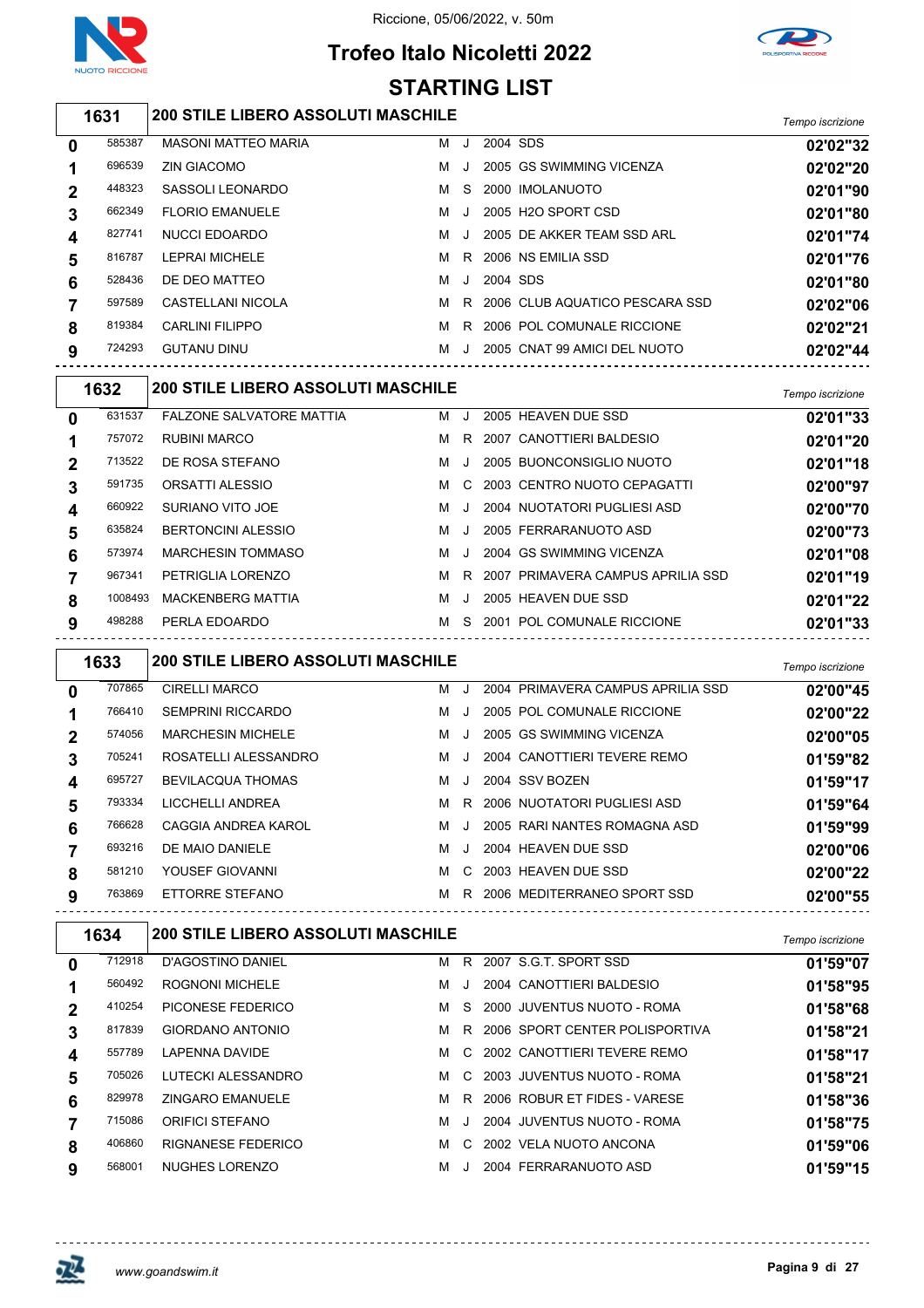

# **Trofeo Italo Nicoletti 2022 STARTING LIST**



#### *Tempo iscrizione* **200 STILE LIBERO ASSOLUTI MASCHILE**

| $\mathbf 0$             | 585387 | <b>MASONI MATTEO MARIA</b> | м | J       | 2004 SDS |                                  | 02'02"32 |
|-------------------------|--------|----------------------------|---|---------|----------|----------------------------------|----------|
|                         | 696539 | <b>ZIN GIACOMO</b>         | м | $\cdot$ |          | 2005 GS SWIMMING VICENZA         | 02'02"20 |
| $\mathbf 2$             | 448323 | SASSOLI LEONARDO           | м |         |          | S 2000 IMOLANUOTO                | 02'01"90 |
| 3                       | 662349 | <b>FLORIO EMANUELE</b>     | м | J       |          | 2005 H2O SPORT CSD               | 02'01"80 |
| $\overline{\mathbf{4}}$ | 827741 | <b>NUCCI EDOARDO</b>       | м | . . I   |          | 2005 DE AKKER TEAM SSD ARL       | 02'01"74 |
| 5                       | 816787 | LEPRAI MICHELE             | м |         |          | R 2006 NS EMILIA SSD             | 02'01"76 |
| 6                       | 528436 | DE DEO MATTEO              | м | $\cdot$ | 2004 SDS |                                  | 02'01"80 |
|                         | 597589 | CASTELLANI NICOLA          | м |         |          | R 2006 CLUB AQUATICO PESCARA SSD | 02'02"06 |
| 8                       | 819384 | <b>CARLINI FILIPPO</b>     | м |         |          | R 2006 POL COMUNALE RICCIONE     | 02'02"21 |
| 9                       | 724293 | <b>GUTANU DINU</b>         | м | $\cdot$ |          | 2005 CNAT 99 AMICI DEL NUOTO     | 02'02"44 |
|                         |        |                            |   |         |          |                                  |          |

|        |                                 |         |              |                                                  | Tempo iscrizione                        |
|--------|---------------------------------|---------|--------------|--------------------------------------------------|-----------------------------------------|
| 631537 | <b>FALZONE SALVATORE MATTIA</b> | м       |              | 2005 HEAVEN DUE SSD                              | 02'01"33                                |
| 757072 | <b>RUBINI MARCO</b>             | м       | R.           | 2007 CANOTTIERI BALDESIO                         | 02'01"20                                |
| 713522 | DE ROSA STEFANO                 | м       | $\cdot$      | 2005 BUONCONSIGLIO NUOTO                         | 02'01"18                                |
| 591735 | ORSATTI ALESSIO                 | м       |              | 2003 CENTRO NUOTO CEPAGATTI                      | 02'00"97                                |
| 660922 | SURIANO VITO JOE                | м       | $\mathbf{J}$ | 2004 NUOTATORI PUGLIESI ASD                      | 02'00"70                                |
| 635824 | <b>BERTONCINI ALESSIO</b>       | м       | $\mathbf{J}$ | 2005 FERRARANUOTO ASD                            | 02'00"73                                |
| 573974 | <b>MARCHESIN TOMMASO</b>        | м       | $\cdot$      | 2004 GS SWIMMING VICENZA                         | 02'01"08                                |
| 967341 | PETRIGLIA LORENZO               | м       | R.           |                                                  | 02'01"19                                |
|        | <b>MACKENBERG MATTIA</b>        | м       |              | 2005 HEAVEN DUE SSD                              | 02'01"22                                |
| 498288 | PERLA EDOARDO                   | м       | S.           | 2001 POL COMUNALE RICCIONE                       | 02'01"33                                |
|        | 1632                            | 1008493 |              | <b>200 STILE LIBERO ASSOLUTI MASCHILE</b><br>- J | C.<br>2007 PRIMAVERA CAMPUS APRILIA SSD |

|          | 1633   | <b>200 STILE LIBERO ASSOLUTI MASCHILE</b> |   |         |                                   | Tempo iscrizione |
|----------|--------|-------------------------------------------|---|---------|-----------------------------------|------------------|
| $\bf{0}$ | 707865 | <b>CIRELLI MARCO</b>                      | м | ا.      | 2004 PRIMAVERA CAMPUS APRILIA SSD | 02'00"45         |
|          | 766410 | <b>SEMPRINI RICCARDO</b>                  | м | -J      | 2005 POL COMUNALE RICCIONE        | 02'00"22         |
| 2        | 574056 | <b>MARCHESIN MICHELE</b>                  | м | $\cdot$ | 2005 GS SWIMMING VICENZA          | 02'00"05         |
| 3        | 705241 | ROSATELLI ALESSANDRO                      | м | . . 1   | 2004 CANOTTIERI TEVERE REMO       | 01'59"82         |
| 4        | 695727 | <b>BEVILACQUA THOMAS</b>                  | м | $\cdot$ | 2004 SSV BOZEN                    | 01'59"17         |
| 5        | 793334 | LICCHELLI ANDREA                          | м |         | R 2006 NUOTATORI PUGLIESI ASD     | 01'59"64         |
| 6        | 766628 | CAGGIA ANDREA KAROL                       | м | . . 1   | 2005 RARI NANTES ROMAGNA ASD      | 01'59"99         |
|          | 693216 | DE MAIO DANIELE                           | м | $\cdot$ | 2004 HEAVEN DUE SSD               | 02'00"06         |
| 8        | 581210 | YOUSEF GIOVANNI                           | м | C.      | 2003 HEAVEN DUE SSD               | 02'00"22         |
| 9        | 763869 | ETTORRE STEFANO                           | м |         | R 2006 MEDITERRANEO SPORT SSD     | 02'00"55         |

|             | 1634   | <b>200 STILE LIBERO ASSOLUTI MASCHILE</b> |   |      |                                | Tempo iscrizione |
|-------------|--------|-------------------------------------------|---|------|--------------------------------|------------------|
| 0           | 712918 | D'AGOSTINO DANIEL                         | м | R.   | 2007 S.G.T. SPORT SSD          | 01'59"07         |
|             | 560492 | <b>ROGNONI MICHELE</b>                    | м |      | 2004 CANOTTIERI BALDESIO       | 01'58"95         |
| $\mathbf 2$ | 410254 | PICONESE FEDERICO                         | м | S.   | 2000 JUVENTUS NUOTO - ROMA     | 01'58"68         |
| 3           | 817839 | <b>GIORDANO ANTONIO</b>                   | м | R.   | 2006 SPORT CENTER POLISPORTIVA | 01'58"21         |
| 4           | 557789 | <b>LAPENNA DAVIDE</b>                     | м |      | C 2002 CANOTTIERI TEVERE REMO  | 01'58"17         |
| 5           | 705026 | LUTECKI ALESSANDRO                        | м |      | C 2003 JUVENTUS NUOTO - ROMA   | 01'58"21         |
| 6           | 829978 | <b>ZINGARO EMANUELE</b>                   | м | R.   | 2006 ROBUR ET FIDES - VARESE   | 01'58"36         |
|             | 715086 | <b>ORIFICI STEFANO</b>                    | м | - 11 | 2004 JUVENTUS NUOTO - ROMA     | 01'58"75         |
| 8           | 406860 | RIGNANESE FEDERICO                        | м | C.   | 2002 VELA NUOTO ANCONA         | 01'59"06         |
| 9           | 568001 | NUGHES LORENZO                            | м |      | 2004 FERRARANUOTO ASD          | 01'59"15         |

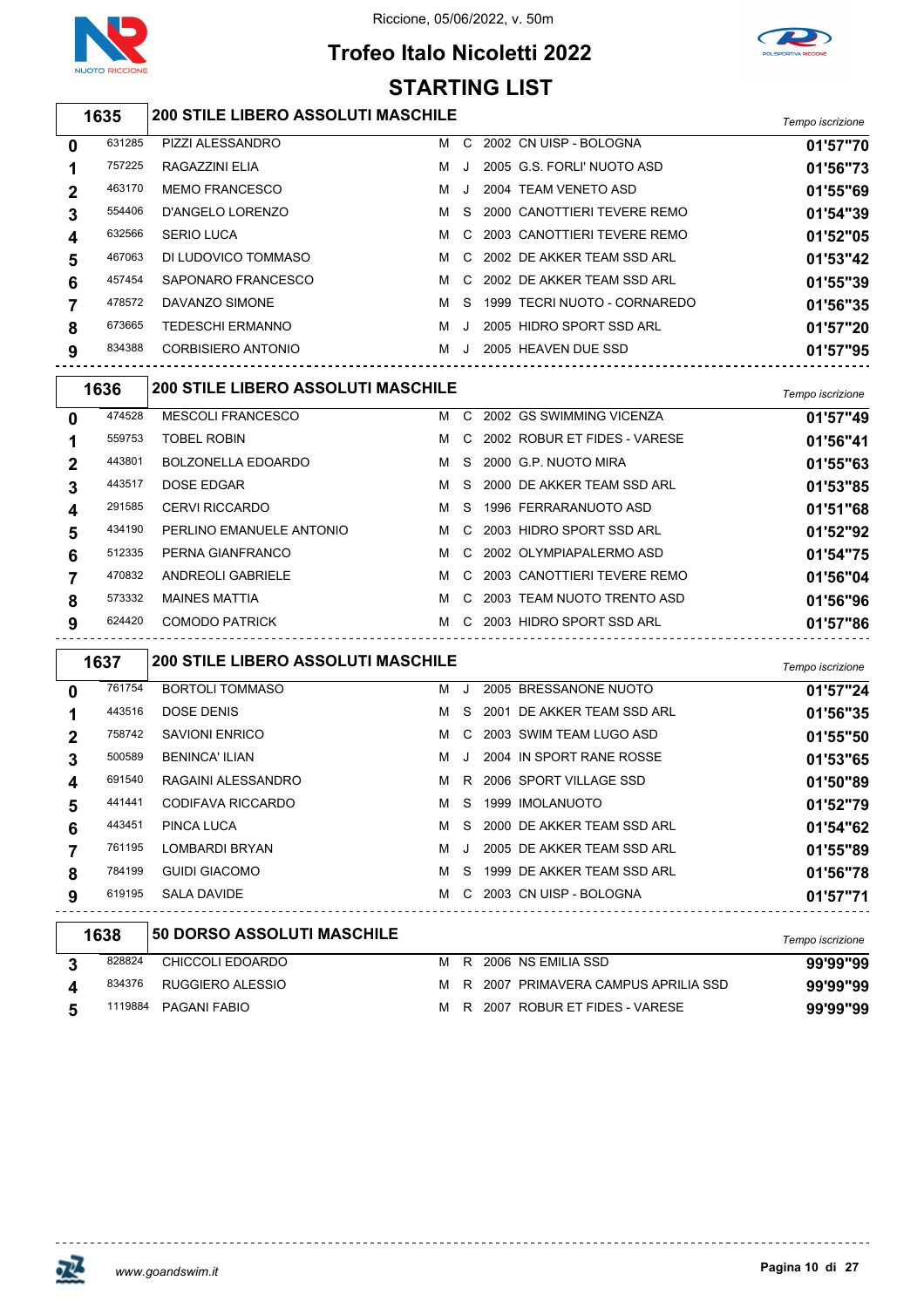

## **Trofeo Italo Nicoletti 2022 STARTING LIST**



#### *Tempo iscrizione* **200 STILE LIBERO ASSOLUTI MASCHILE**

| 0           | 631285 | PIZZI ALESSANDRO      | м | C.      | 2002 CN UISP - BOLOGNA        | 01'57"70 |
|-------------|--------|-----------------------|---|---------|-------------------------------|----------|
|             | 757225 | RAGAZZINI ELIA        | м | $\cdot$ | 2005 G.S. FORLI' NUOTO ASD    | 01'56"73 |
| $\mathbf 2$ | 463170 | <b>MEMO FRANCESCO</b> | м | $\cdot$ | 2004 TEAM VENETO ASD          | 01'55"69 |
| 3           | 554406 | D'ANGELO LORENZO      | м | S.      | 2000 CANOTTIERI TEVERE REMO   | 01'54"39 |
| 4           | 632566 | <b>SERIO LUCA</b>     | м |         | C 2003 CANOTTIERI TEVERE REMO | 01'52"05 |
| 5           | 467063 | DI LUDOVICO TOMMASO   | м | C.      | 2002 DE AKKER TEAM SSD ARL    | 01'53"42 |
| 6           | 457454 | SAPONARO FRANCESCO    | м | C.      | 2002 DE AKKER TEAM SSD ARI    | 01'55"39 |
|             | 478572 | DAVANZO SIMONE        | м | S.      | 1999 TECRI NUOTO - CORNAREDO  | 01'56"35 |
| 8           | 673665 | TEDESCHI ERMANNO      | м | J.      | 2005 HIDRO SPORT SSD ARL      | 01'57"20 |
| 9           | 834388 | CORBISIERO ANTONIO    | м | $\cdot$ | 2005 HEAVEN DUE SSD           | 01'57"95 |
|             |        |                       |   |         |                               |          |

|   | 1636   | <b>200 STILE LIBERO ASSOLUTI MASCHILE</b> |   |    |                              | Tempo iscrizione |
|---|--------|-------------------------------------------|---|----|------------------------------|------------------|
| 0 | 474528 | <b>MESCOLI FRANCESCO</b>                  | м | C. | 2002 GS SWIMMING VICENZA     | 01'57"49         |
| 1 | 559753 | <b>TOBEL ROBIN</b>                        | м | C. | 2002 ROBUR ET FIDES - VARESE | 01'56"41         |
| 2 | 443801 | <b>BOLZONELLA EDOARDO</b>                 | м | S. | 2000 G.P. NUOTO MIRA         | 01'55"63         |
| 3 | 443517 | DOSE EDGAR                                | м | S. | 2000 DE AKKER TEAM SSD ARL   | 01'53"85         |
| 4 | 291585 | <b>CERVI RICCARDO</b>                     | м | S. | 1996 FERRARANUOTO ASD        | 01'51"68         |
| 5 | 434190 | PERLINO EMANUELE ANTONIO                  | M | C. | 2003 HIDRO SPORT SSD ARL     | 01'52"92         |
| 6 | 512335 | PERNA GIANFRANCO                          | м | .C | 2002 OLYMPIAPALERMO ASD      | 01'54"75         |
|   | 470832 | <b>ANDREOLI GABRIELE</b>                  | м | C. | 2003 CANOTTIERI TEVERE REMO  | 01'56"04         |
| 8 | 573332 | <b>MAINES MATTIA</b>                      | м | C. | 2003 TEAM NUOTO TRENTO ASD   | 01'56"96         |
| 9 | 624420 | <b>COMODO PATRICK</b>                     | м | C. | 2003 HIDRO SPORT SSD ARL     | 01'57"86         |

|             | 1637   | <b>200 STILE LIBERO ASSOLUTI MASCHILE</b> |   |           |                              | Tempo iscrizione |
|-------------|--------|-------------------------------------------|---|-----------|------------------------------|------------------|
| $\mathbf 0$ | 761754 | <b>BORTOLI TOMMASO</b>                    | м | . . 1     | 2005 BRESSANONE NUOTO        | 01'57"24         |
|             | 443516 | DOSE DENIS                                | м |           | S 2001 DE AKKER TEAM SSD ARL | 01'56"35         |
| $\mathbf 2$ | 758742 | <b>SAVIONI ENRICO</b>                     | м |           | C 2003 SWIM TEAM LUGO ASD    | 01'55"50         |
| 3           | 500589 | <b>BENINCA' ILIAN</b>                     | м | $\cdot$ . | 2004 IN SPORT RANE ROSSE     | 01'53"65         |
| 4           | 691540 | RAGAINI ALESSANDRO                        | м |           | R 2006 SPORT VILLAGE SSD     | 01'50"89         |
| 5           | 441441 | CODIFAVA RICCARDO                         | м | S.        | 1999 IMOLANUOTO              | 01'52"79         |
| 6           | 443451 | PINCA LUCA                                | м |           | S 2000 DE AKKER TEAM SSD ARL | 01'54"62         |
|             | 761195 | LOMBARDI BRYAN                            | м | $\cdot$ . | 2005 DE AKKER TEAM SSD ARL   | 01'55"89         |
| 8           | 784199 | <b>GUIDI GIACOMO</b>                      | м | S.        | 1999 DE AKKER TEAM SSD ARL   | 01'56"78         |
| 9           | 619195 | SALA DAVIDE                               | M |           | C 2003 CN UISP - BOLOGNA     | 01'57"71         |
|             | 1638   | 50 DORSO ASSOLUTI MASCHILE                |   |           |                              |                  |

| סטסו   | I 90 DUNGU AGGULUTI MAGUNILEI |  |                                       | Tempo iscrizione |
|--------|-------------------------------|--|---------------------------------------|------------------|
| 828824 | CHICCOLI EDOARDO              |  | M R 2006 NS EMILIA SSD                | 99'99"99         |
| 834376 | RUGGIERO ALESSIO              |  | M R 2007 PRIMAVERA CAMPUS APRILIA SSD | 99'99"99         |
|        | 1119884 PAGANI FABIO          |  | M R 2007 ROBUR ET FIDES - VARESE      | 99'99"99         |

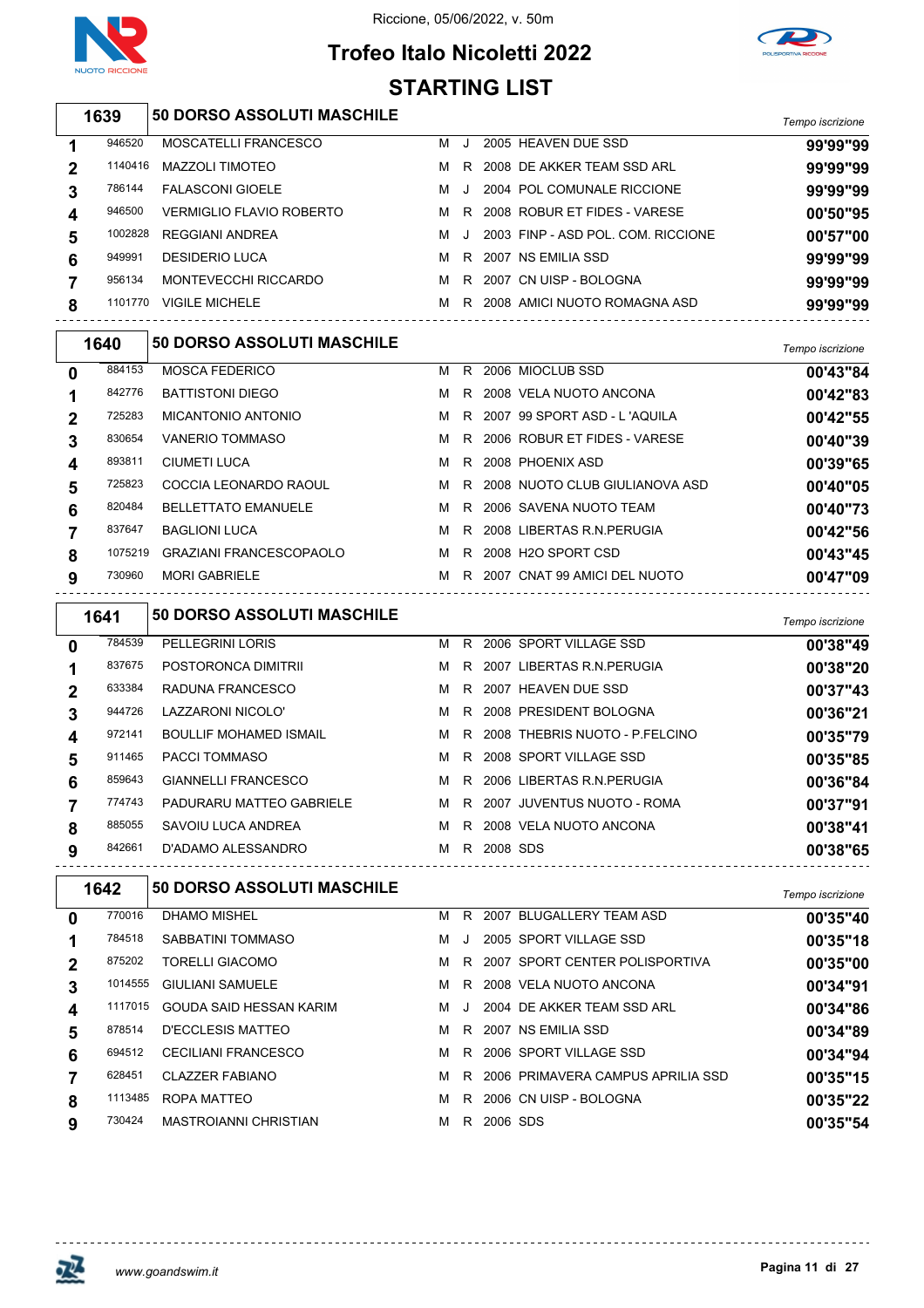



#### **Trofeo Italo Nicoletti 2022 STARTING LIST**

|             | 1639    | <b>50 DORSO ASSOLUTI MASCHILE</b>  |   |    |                                       |                  |
|-------------|---------|------------------------------------|---|----|---------------------------------------|------------------|
|             |         |                                    |   |    |                                       | Tempo iscrizione |
| 1           | 946520  | MOSCATELLI FRANCESCO               | M | J  | 2005 HEAVEN DUE SSD                   | 99'99"99         |
| 2           | 1140416 | <b>MAZZOLI TIMOTEO</b>             | м | R  | 2008 DE AKKER TEAM SSD ARL            | 99'99"99         |
| 3           | 786144  | <b>FALASCONI GIOELE</b>            | M | J  | 2004 POL COMUNALE RICCIONE            | 99'99"99         |
| 4           | 946500  | <b>VERMIGLIO FLAVIO ROBERTO</b>    | M | R. | 2008 ROBUR ET FIDES - VARESE          | 00'50"95         |
| 5           | 1002828 | <b>REGGIANI ANDREA</b>             | м | J. | 2003 FINP - ASD POL. COM. RICCIONE    | 00'57"00         |
| 6           | 949991  | <b>DESIDERIO LUCA</b>              | м | R  | 2007 NS EMILIA SSD                    | 99'99"99         |
| 7           | 956134  | MONTEVECCHI RICCARDO               | М |    | R 2007 CN UISP - BOLOGNA              | 99'99"99         |
| 8           | 1101770 | <b>VIGILE MICHELE</b>              |   |    | M R 2008 AMICI NUOTO ROMAGNA ASD      | 99'99"99         |
|             | 1640    | 50 DORSO ASSOLUTI MASCHILE         |   |    |                                       | Tempo iscrizione |
| 0           | 884153  | <b>MOSCA FEDERICO</b>              |   |    | M R 2006 MIOCLUB SSD                  | 00'43"84         |
| 1           | 842776  | <b>BATTISTONI DIEGO</b>            | M |    | R 2008 VELA NUOTO ANCONA              | 00'42"83         |
| $\mathbf 2$ | 725283  | <b>MICANTONIO ANTONIO</b>          | M |    | R 2007 99 SPORT ASD - L'AQUILA        | 00'42"55         |
| 3           | 830654  | <b>VANERIO TOMMASO</b>             | M | R  | 2006 ROBUR ET FIDES - VARESE          | 00'40"39         |
| 4           | 893811  | <b>CIUMETI LUCA</b>                | M | R  | 2008 PHOENIX ASD                      | 00'39"65         |
| 5           | 725823  | COCCIA LEONARDO RAOUL              | м | R  | 2008 NUOTO CLUB GIULIANOVA ASD        | 00'40"05         |
| 6           | 820484  | <b>BELLETTATO EMANUELE</b>         | M | R  | 2006 SAVENA NUOTO TEAM                | 00'40"73         |
| 7           | 837647  | <b>BAGLIONI LUCA</b>               | M | R  | 2008 LIBERTAS R.N. PERUGIA            | 00'42"56         |
| 8           | 1075219 | GRAZIANI FRANCESCOPAOLO            | M |    | R 2008 H2O SPORT CSD                  | 00'43"45         |
| 9           | 730960  | <b>MORI GABRIELE</b>               |   |    | M R 2007 CNAT 99 AMICI DEL NUOTO      | 00'47"09         |
|             | 1641    | <b>50 DORSO ASSOLUTI MASCHILE</b>  |   |    |                                       |                  |
|             |         |                                    |   |    |                                       | Tempo iscrizione |
| 0           | 784539  | <b>PELLEGRINI LORIS</b>            |   |    | M R 2006 SPORT VILLAGE SSD            | 00'38"49         |
| 1           | 837675  | POSTORONCA DIMITRII                | M |    | R 2007 LIBERTAS R.N. PERUGIA          | 00'38"20         |
| 2           | 633384  | RADUNA FRANCESCO                   | M | R  | 2007 HEAVEN DUE SSD                   | 00'37"43         |
| 3           | 944726  | LAZZARONI NICOLO'                  | M | R  | 2008 PRESIDENT BOLOGNA                | 00'36"21         |
| 4           | 972141  | <b>BOULLIF MOHAMED ISMAIL</b>      | M | R  | 2008 THEBRIS NUOTO - P.FELCINO        | 00'35"79         |
|             | 911465  | <b>PACCI TOMMASO</b>               | м | R  | 2008 SPORT VILLAGE SSD                | 00'35"85         |
| 6           | 859643  | <b>GIANNELLI FRANCESCO</b>         | м |    | R 2006 LIBERTAS R.N. PERUGIA          | 00'36"84         |
| 7           | 774743  | PADURARU MATTEO GABRIELE           |   |    | M R 2007 JUVENTUS NUOTO - ROMA        | 00'37"91         |
| 8           | 885055  | SAVOIU LUCA ANDREA                 |   |    |                                       |                  |
|             |         |                                    |   |    | M R 2008 VELA NUOTO ANCONA            | 00'38"41         |
| 9           | 842661  | M R 2008 SDS<br>D'ADAMO ALESSANDRO |   |    |                                       | 00'38"65         |
|             | 1642    | <b>50 DORSO ASSOLUTI MASCHILE</b>  |   |    |                                       | Tempo iscrizione |
| 0           | 770016  | DHAMO MISHEL                       |   |    | M R 2007 BLUGALLERY TEAM ASD          | 00'35"40         |
| 1           | 784518  | SABBATINI TOMMASO                  |   |    | M J 2005 SPORT VILLAGE SSD            | 00'35"18         |
| 2           | 875202  | <b>TORELLI GIACOMO</b>             |   |    | M R 2007 SPORT CENTER POLISPORTIVA    | 00'35"00         |
| $\mathbf 3$ | 1014555 | GIULIANI SAMUELE                   |   |    | M R 2008 VELA NUOTO ANCONA            | 00'34"91         |
| 4           |         | 1117015 GOUDA SAID HESSAN KARIM    |   |    | M J 2004 DE AKKER TEAM SSD ARL        | 00'34"86         |
| 5           | 878514  | D'ECCLESIS MATTEO                  |   |    | M R 2007 NS EMILIA SSD                | 00'34"89         |
| 6           | 694512  | CECILIANI FRANCESCO                |   |    | M R 2006 SPORT VILLAGE SSD            | 00'34"94         |
| 7           | 628451  | <b>CLAZZER FABIANO</b>             |   |    | M R 2006 PRIMAVERA CAMPUS APRILIA SSD | 00'35"15         |

MASTROIANNI CHRISTIAN M R 2006 SDS **00'35"54**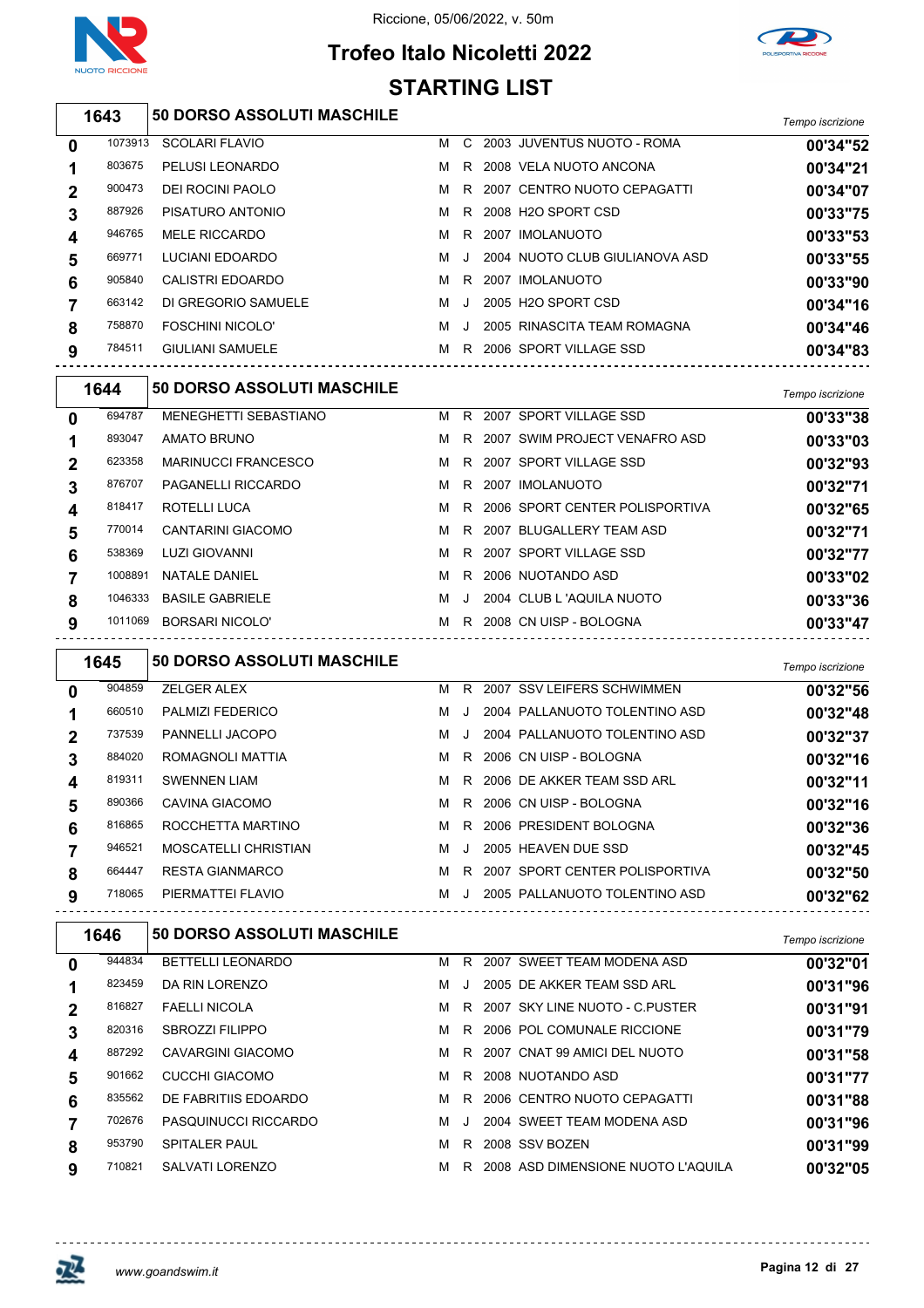



# **Trofeo Italo Nicoletti 2022 STARTING LIST**

| 1643 | <b>50 DORSO ASSOLUTI MASCHILE</b> | Tempo iscrizione |
|------|-----------------------------------|------------------|
|      |                                   |                  |

| 0           | 1073913 | <b>SCOLARI FLAVIO</b>   | м | C.      | 2003 JUVENTUS NUOTO - ROMA     | 00'34"52 |
|-------------|---------|-------------------------|---|---------|--------------------------------|----------|
|             | 803675  | PELUSI LEONARDO         | м | R.      | 2008 VELA NUOTO ANCONA         | 00'34"21 |
| $\mathbf 2$ | 900473  | <b>DEI ROCINI PAOLO</b> | M | R.      | 2007 CENTRO NUOTO CEPAGATTI    | 00'34"07 |
| 3           | 887926  | PISATURO ANTONIO        | M | R       | 2008 H2O SPORT CSD             | 00'33"75 |
| 4           | 946765  | <b>MELE RICCARDO</b>    | M | R       | 2007 IMOLANUOTO                | 00'33"53 |
| 5           | 669771  | LUCIANI EDOARDO         | M | $\Box$  | 2004 NUOTO CLUB GIULIANOVA ASD | 00'33"55 |
| 6           | 905840  | CALISTRI EDOARDO        | м | R       | 2007 IMOLANUOTO                | 00'33"90 |
|             | 663142  | DI GREGORIO SAMUELE     | м | $\cdot$ | 2005 H2O SPORT CSD             | 00'34"16 |
| 8           | 758870  | <b>FOSCHINI NICOLO'</b> | м | J.      | 2005 RINASCITA TEAM ROMAGNA    | 00'34"46 |
| 9           | 784511  | <b>GIULIANI SAMUELE</b> | м | R       | 2006 SPORT VILLAGE SSD         | 00'34"83 |
|             |         |                         |   |         |                                |          |

| 1644    |                              |                                                         |         |  | Tempo iscrizione                                                                                                                                                                                                                                                         |
|---------|------------------------------|---------------------------------------------------------|---------|--|--------------------------------------------------------------------------------------------------------------------------------------------------------------------------------------------------------------------------------------------------------------------------|
| 694787  | <b>MENEGHETTI SEBASTIANO</b> | м                                                       | R       |  | 00'33"38                                                                                                                                                                                                                                                                 |
| 893047  | AMATO BRUNO                  | м                                                       | R       |  | 00'33"03                                                                                                                                                                                                                                                                 |
| 623358  | <b>MARINUCCI FRANCESCO</b>   | м                                                       | R.      |  | 00'32"93                                                                                                                                                                                                                                                                 |
| 876707  | PAGANELLI RICCARDO           | м                                                       | R       |  | 00'32"71                                                                                                                                                                                                                                                                 |
| 818417  | ROTELLI LUCA                 | м                                                       | R.      |  | 00'32"65                                                                                                                                                                                                                                                                 |
| 770014  | CANTARINI GIACOMO            | м                                                       | R.      |  | 00'32"71                                                                                                                                                                                                                                                                 |
| 538369  | <b>LUZI GIOVANNI</b>         | м                                                       | R.      |  | 00'32"77                                                                                                                                                                                                                                                                 |
| 1008891 | NATALE DANIEL                | м                                                       | R       |  | 00'33"02                                                                                                                                                                                                                                                                 |
|         | <b>BASILE GABRIELE</b>       | м                                                       | $\cdot$ |  | 00'33"36                                                                                                                                                                                                                                                                 |
|         | BORSARI NICOLO'              | м                                                       | R       |  | 00'33"47                                                                                                                                                                                                                                                                 |
|         |                              | <b>50 DORSO ASSOLUTI MASCHILE</b><br>1046333<br>1011069 |         |  | 2007 SPORT VILLAGE SSD<br>2007 SWIM PROJECT VENAFRO ASD<br>2007 SPORT VILLAGE SSD<br>2007 IMOLANUOTO<br>2006 SPORT CENTER POLISPORTIVA<br>2007 BLUGALLERY TEAM ASD<br>2007 SPORT VILLAGE SSD<br>2006 NUOTANDO ASD<br>2004 CLUB L 'AQUILA NUOTO<br>2008 CN UISP - BOLOGNA |

|   | 1645   | <b>50 DORSO ASSOLUTI MASCHILE</b> |   |           |                                  | Tempo iscrizione |
|---|--------|-----------------------------------|---|-----------|----------------------------------|------------------|
| 0 | 904859 | <b>ZELGER ALEX</b>                | м | R.        | 2007 SSV LEIFERS SCHWIMMEN       | 00'32"56         |
|   | 660510 | PALMIZI FEDERICO                  | м | $\cdot$ . | 2004 PALLANUOTO TOLENTINO ASD    | 00'32"48         |
| 2 | 737539 | <b>PANNELLI JACOPO</b>            | м | $\cdot$   | 2004 PALLANUOTO TOLENTINO ASD    | 00'32"37         |
| 3 | 884020 | ROMAGNOLI MATTIA                  | м |           | R 2006 CN UISP - BOLOGNA         | 00'32"16         |
| 4 | 819311 | <b>SWENNEN LIAM</b>               | м |           | R 2006 DE AKKER TEAM SSD ARL     | 00'32"11         |
| 5 | 890366 | CAVINA GIACOMO                    | м |           | R 2006 CN UISP - BOLOGNA         | 00'32"16         |
| 6 | 816865 | ROCCHETTA MARTINO                 | м | R.        | 2006 PRESIDENT BOLOGNA           | 00'32"36         |
|   | 946521 | MOSCATELLI CHRISTIAN              | м | $\cdot$   | 2005 HEAVEN DUE SSD              | 00'32"45         |
| 8 | 664447 | <b>RESTA GIANMARCO</b>            | м |           | R 2007 SPORT CENTER POLISPORTIVA | 00'32"50         |
| 9 | 718065 | PIERMATTEI FLAVIO                 | м | J         | 2005 PALLANUOTO TOLENTINO ASD    | 00'32"62         |

|              | 1646   | <b>50 DORSO ASSOLUTI MASCHILE</b> |   |         |                                    | Tempo iscrizione |
|--------------|--------|-----------------------------------|---|---------|------------------------------------|------------------|
| $\mathbf{0}$ | 944834 | <b>BETTELLI LEONARDO</b>          | м | R.      | 2007 SWEET TEAM MODENA ASD         | 00'32"01         |
|              | 823459 | DA RIN LORENZO                    | м | $\cdot$ | 2005 DE AKKER TEAM SSD ARL         | 00'31"96         |
| $\mathbf 2$  | 816827 | <b>FAELLI NICOLA</b>              | м | R       | 2007 SKY LINE NUOTO - C.PUSTER     | 00'31"91         |
| 3            | 820316 | <b>SBROZZI FILIPPO</b>            | м | R.      | 2006 POL COMUNALE RICCIONE         | 00'31"79         |
| 4            | 887292 | CAVARGINI GIACOMO                 | м | R.      | 2007 CNAT 99 AMICI DEL NUOTO       | 00'31"58         |
| 5            | 901662 | CUCCHI GIACOMO                    | м | R.      | 2008 NUOTANDO ASD                  | 00'31"77         |
| 6            | 835562 | DE FABRITIIS EDOARDO              | м | R       | 2006 CENTRO NUOTO CEPAGATTI        | 00'31"88         |
|              | 702676 | PASQUINUCCI RICCARDO              | м |         | 2004 SWEET TEAM MODENA ASD         | 00'31"96         |
| 8            | 953790 | <b>SPITALER PAUL</b>              | м | R.      | 2008 SSV BOZEN                     | 00'31"99         |
| 9            | 710821 | SALVATI LORENZO                   | м | R       | 2008 ASD DIMENSIONE NUOTO L'AQUILA | 00'32"05         |

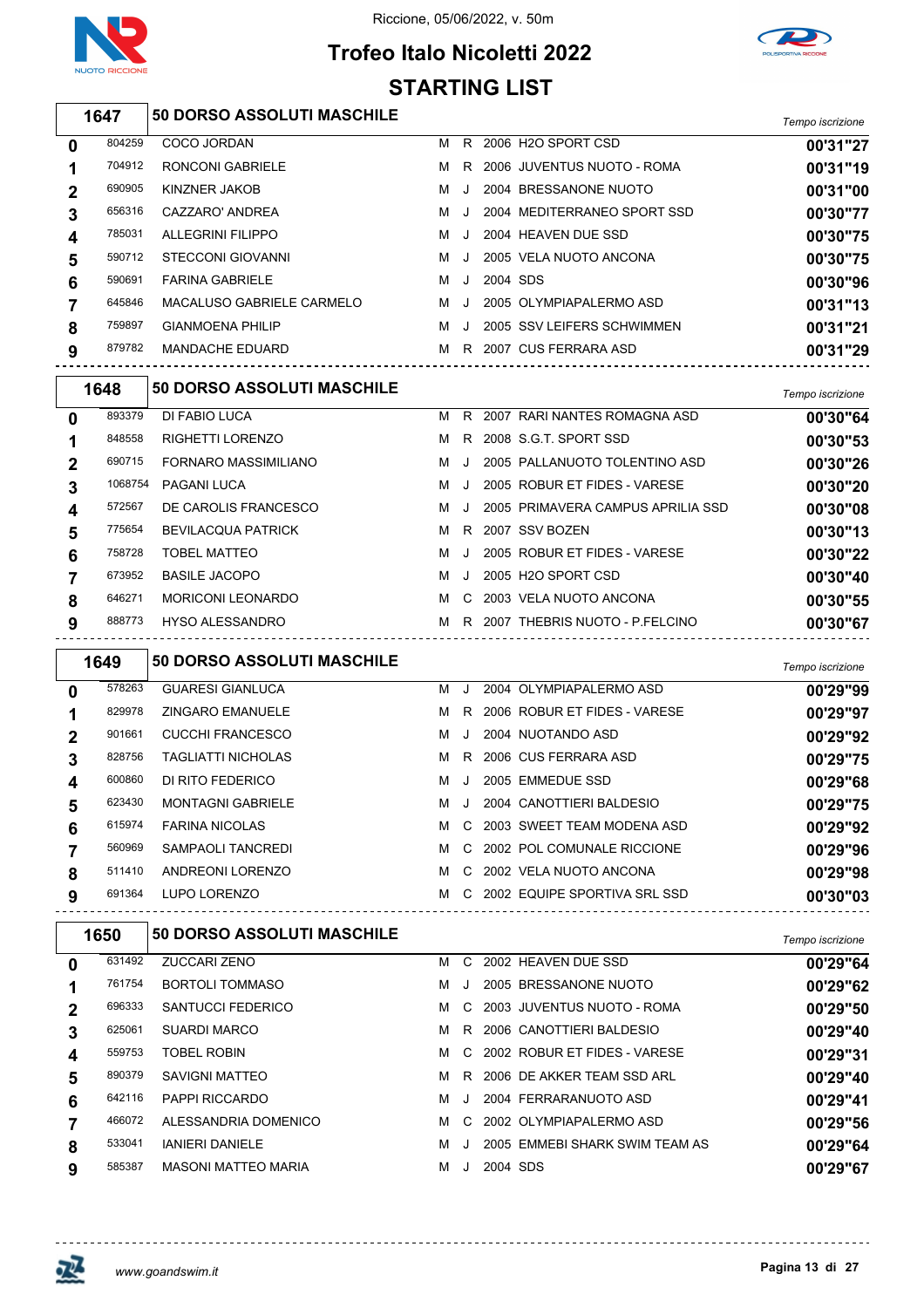





## *Tempo iscrizione* **50 DORSO ASSOLUTI MASCHILE**

| 0           | 804259 | COCO JORDAN               | м | R       |          | 2006 H <sub>2</sub> O SPORT CSD | 00'31"27 |
|-------------|--------|---------------------------|---|---------|----------|---------------------------------|----------|
|             | 704912 | RONCONI GABRIELE          | м |         |          | R 2006 JUVENTUS NUOTO - ROMA    | 00'31"19 |
| $\mathbf 2$ | 690905 | KINZNER JAKOB             | м | $\cdot$ |          | 2004 BRESSANONE NUOTO           | 00'31"00 |
| 3           | 656316 | CAZZARO' ANDREA           | м | $\cdot$ |          | 2004 MEDITERRANEO SPORT SSD     | 00'30"77 |
| 4           | 785031 | <b>ALLEGRINI FILIPPO</b>  | м | J.      |          | 2004 HEAVEN DUE SSD             | 00'30"75 |
| 5           | 590712 | STECCONI GIOVANNI         | м | $\cdot$ |          | 2005 VELA NUOTO ANCONA          | 00'30"75 |
| 6           | 590691 | <b>FARINA GABRIELE</b>    | м | $\cdot$ | 2004 SDS |                                 | 00'30"96 |
|             | 645846 | MACALUSO GABRIELE CARMELO | м | $\cdot$ |          | 2005 OLYMPIAPALERMO ASD         | 00'31"13 |
| 8           | 759897 | <b>GIANMOENA PHILIP</b>   | м | $\cdot$ |          | 2005 SSV LEIFERS SCHWIMMEN      | 00'31"21 |
| 9           | 879782 | <b>MANDACHE EDUARD</b>    | м | R.      |          | 2007 CUS FERRARA ASD            | 00'31"29 |
|             |        |                           |   |         |          |                                 |          |

|                | 1648    | <b>50 DORSO ASSOLUTI MASCHILE</b> |   |           |                                   | Tempo iscrizione |
|----------------|---------|-----------------------------------|---|-----------|-----------------------------------|------------------|
| 0              | 893379  | DI FABIO LUCA                     | м | R.        | 2007 RARI NANTES ROMAGNA ASD      | 00'30"64         |
| 1              | 848558  | <b>RIGHETTI LORENZO</b>           | м | R.        | 2008 S.G.T. SPORT SSD             | 00'30"53         |
| $\overline{2}$ | 690715  | FORNARO MASSIMILIANO              | м |           | 2005 PALLANUOTO TOLENTINO ASD     | 00'30"26         |
| 3              | 1068754 | <b>PAGANI LUCA</b>                | м | $\cdot$ . | 2005 ROBUR ET FIDES - VARESE      | 00'30"20         |
| 4              | 572567  | DE CAROLIS FRANCESCO              | M | J.        | 2005 PRIMAVERA CAMPUS APRILIA SSD | 00'30"08         |
| 5              | 775654  | <b>BEVILACQUA PATRICK</b>         | м | R.        | 2007 SSV BOZEN                    | 00'30"13         |
| 6              | 758728  | <b>TOBEL MATTEO</b>               | м |           | 2005 ROBUR ET FIDES - VARESE      | 00'30"22         |
| 7              | 673952  | <b>BASILE JACOPO</b>              | м | $\cdot$ . | 2005 H2O SPORT CSD                | 00'30"40         |
| 8              | 646271  | <b>MORICONI LEONARDO</b>          | M | C.        | 2003 VELA NUOTO ANCONA            | 00'30"55         |
| 9              | 888773  | <b>HYSO ALESSANDRO</b>            | м |           | R 2007 THEBRIS NUOTO - P.FELCINO  | 00'30"67         |

|   | 1649   | <b>50 DORSO ASSOLUTI MASCHILE</b> |   |               |                              | Tempo iscrizione |
|---|--------|-----------------------------------|---|---------------|------------------------------|------------------|
| 0 | 578263 | <b>GUARESI GIANLUCA</b>           | м | J.            | 2004 OLYMPIAPALERMO ASD      | 00'29"99         |
|   | 829978 | <b>ZINGARO EMANUELE</b>           | м | R.            | 2006 ROBUR ET FIDES - VARESE | 00'29"97         |
| 2 | 901661 | <b>CUCCHI FRANCESCO</b>           | м | J.            | 2004 NUOTANDO ASD            | 00'29"92         |
| 3 | 828756 | <b>TAGLIATTI NICHOLAS</b>         | м |               | R 2006 CUS FERRARA ASD       | 00'29"75         |
| 4 | 600860 | DI RITO FEDERICO                  | м | J.            | 2005 EMMEDUE SSD             | 00'29"68         |
| 5 | 623430 | <b>MONTAGNI GABRIELE</b>          | м | $\cdot$       | 2004 CANOTTIERI BALDESIO     | 00'29"75         |
| 6 | 615974 | <b>FARINA NICOLAS</b>             | M | C.            | 2003 SWEET TEAM MODENA ASD   | 00'29"92         |
|   | 560969 | SAMPAOLI TANCREDI                 | м | $\mathcal{C}$ | 2002 POL COMUNALE RICCIONE   | 00'29"96         |
| 8 | 511410 | ANDREONI LORENZO                  | м | C.            | 2002 VELA NUOTO ANCONA       | 00'29"98         |
| 9 | 691364 | LUPO LORENZO                      | м | C.            | 2002 EQUIPE SPORTIVA SRL SSD | 00'30"03         |

|             | 1650   | <b>50 DORSO ASSOLUTI MASCHILE</b> |   |         |          |                                | Tempo iscrizione |
|-------------|--------|-----------------------------------|---|---------|----------|--------------------------------|------------------|
| $\bf{0}$    | 631492 | ZUCCARI ZENO                      | м | C       |          | 2002 HEAVEN DUE SSD            | 00'29"64         |
|             | 761754 | <b>BORTOLI TOMMASO</b>            | м | $\cdot$ |          | 2005 BRESSANONE NUOTO          | 00'29"62         |
| $\mathbf 2$ | 696333 | SANTUCCI FEDERICO                 | м |         |          | C 2003 JUVENTUS NUOTO - ROMA   | 00'29"50         |
| 3           | 625061 | <b>SUARDI MARCO</b>               | м | R.      |          | 2006 CANOTTIERI BALDESIO       | 00'29"40         |
| 4           | 559753 | <b>TOBEL ROBIN</b>                | м |         |          | C 2002 ROBUR ET FIDES - VARESE | 00'29"31         |
| 5           | 890379 | SAVIGNI MATTEO                    | м |         |          | R 2006 DE AKKER TEAM SSD ARL   | 00'29"40         |
| 6           | 642116 | PAPPI RICCARDO                    | м | $\cdot$ |          | 2004 FERRARANUOTO ASD          | 00'29"41         |
|             | 466072 | ALESSANDRIA DOMENICO              | м | C.      |          | 2002 OLYMPIAPALERMO ASD        | 00'29"56         |
| 8           | 533041 | <b>IANIERI DANIELE</b>            | м | $\cdot$ |          | 2005 EMMEBI SHARK SWIM TEAM AS | 00'29"64         |
| 9           | 585387 | <b>MASONI MATTEO MARIA</b>        | м | $\cdot$ | 2004 SDS |                                | 00'29"67         |

-----------------------------------

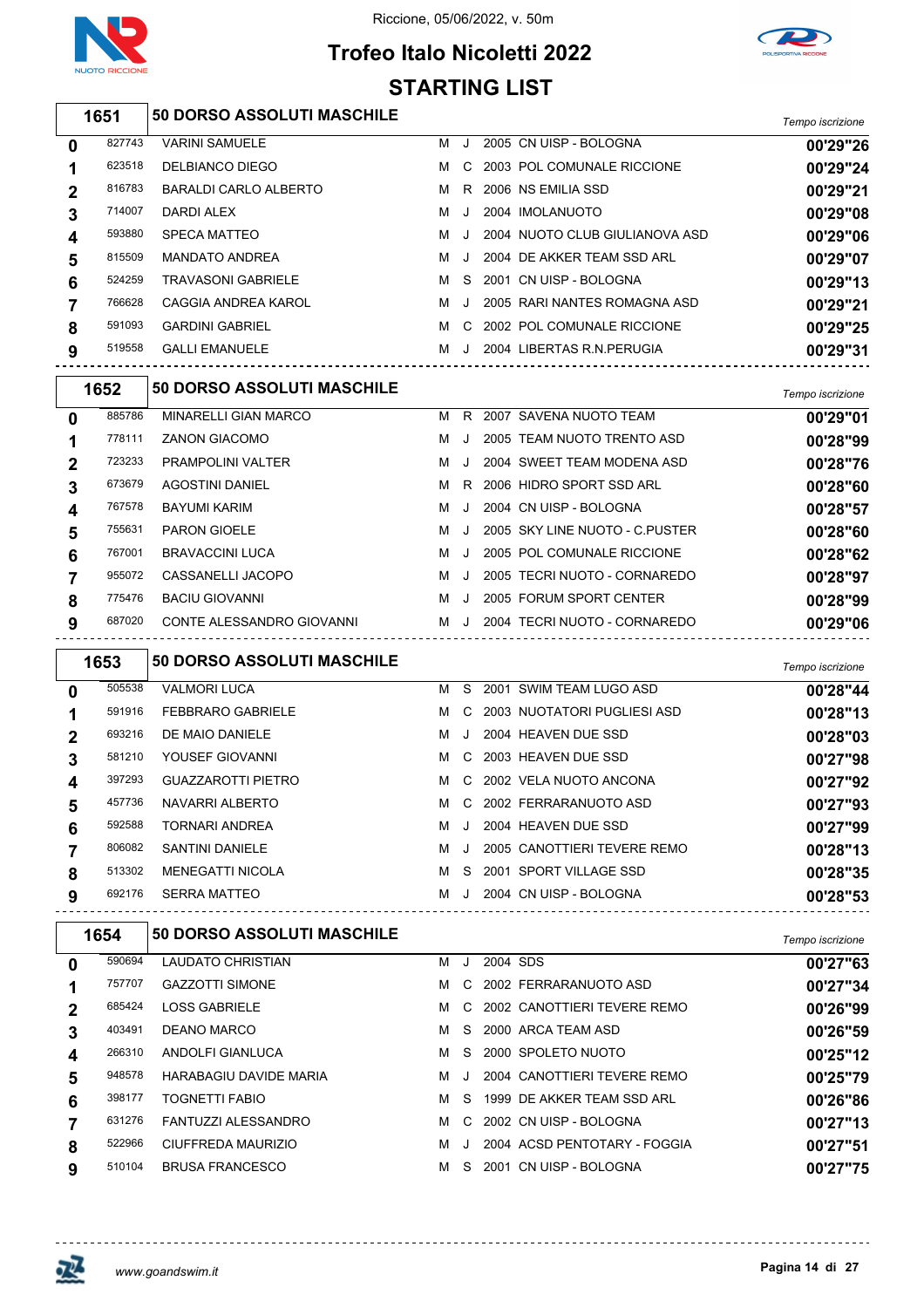

### **Trofeo Italo Nicoletti 2022 STARTING LIST**



|             | 1651   | <b>50 DORSO ASSOLUTI MASCHILE</b> |   |         |                                | Tempo iscrizione |
|-------------|--------|-----------------------------------|---|---------|--------------------------------|------------------|
| 0           | 827743 | <b>VARINI SAMUELE</b>             | м | J.      | 2005 CN UISP - BOLOGNA         | 00'29"26         |
|             | 623518 | DELBIANCO DIEGO                   | м | C.      | 2003 POL COMUNALE RICCIONE     | 00'29"24         |
| $\mathbf 2$ | 816783 | BARALDI CARLO ALBERTO             | м | R       | 2006 NS EMILIA SSD             | 00'29"21         |
| 3           | 714007 | DARDI ALEX                        | м | J.      | 2004 IMOLANUOTO                | 00'29"08         |
| 4           | 593880 | SPECA MATTEO                      | м | $\cdot$ | 2004 NUOTO CLUB GIULIANOVA ASD | 00'29"06         |
| 5           | 815509 | <b>MANDATO ANDREA</b>             | м | $\cdot$ | 2004 DE AKKER TEAM SSD ARL     | 00'29"07         |
| 6           | 524259 | <b>TRAVASONI GABRIELE</b>         | м | S.      | 2001 CN UISP - BOLOGNA         | 00'29"13         |
|             | 766628 | CAGGIA ANDREA KAROL               | м | $\cdot$ | 2005 RARI NANTES ROMAGNA ASD   | 00'29"21         |
| 8           | 591093 | <b>GARDINI GABRIEL</b>            | м | C.      | 2002 POL COMUNALE RICCIONE     | 00'29"25         |
| 9           | 519558 | <b>GALLI EMANUELE</b>             | м | $\cdot$ | 2004 LIBERTAS R.N. PERUGIA     | 00'29"31         |

|              | 1652   | <b>50 DORSO ASSOLUTI MASCHILE</b> |   |         |                                | Tempo iscrizione |
|--------------|--------|-----------------------------------|---|---------|--------------------------------|------------------|
| $\mathbf{0}$ | 885786 | MINARELLI GIAN MARCO              | м | R.      | 2007 SAVENA NUOTO TEAM         | 00'29"01         |
|              | 778111 | <b>ZANON GIACOMO</b>              | м | J       | 2005 TEAM NUOTO TRENTO ASD     | 00'28"99         |
| 2            | 723233 | <b>PRAMPOLINI VALTER</b>          | м | $\cdot$ | 2004 SWEET TEAM MODENA ASD     | 00'28"76         |
| 3            | 673679 | <b>AGOSTINI DANIEL</b>            | м | R.      | 2006 HIDRO SPORT SSD ARL       | 00'28"60         |
| 4            | 767578 | BAYUMI KARIM                      | м | $\cdot$ | 2004 CN UISP - BOLOGNA         | 00'28"57         |
| 5            | 755631 | <b>PARON GIOELE</b>               | м | $\cdot$ | 2005 SKY LINE NUOTO - C PUSTER | 00'28"60         |
| 6            | 767001 | <b>BRAVACCINI LUCA</b>            | м | J.      | 2005 POL COMUNALE RICCIONE     | 00'28"62         |
|              | 955072 | CASSANELLI JACOPO                 | м | $\cdot$ | 2005 TECRI NUOTO - CORNAREDO   | 00'28"97         |
| 8            | 775476 | <b>BACIU GIOVANNI</b>             | м | $\cdot$ | 2005 FORUM SPORT CENTER        | 00'28"99         |
| 9            | 687020 | CONTE ALESSANDRO GIOVANNI         | м |         | 2004 TECRI NUOTO - CORNAREDO   | 00'29"06         |

|             | 1653   | 50 DORSO ASSOLUTI MASCHILE |   |         |                             | Tempo iscrizione |
|-------------|--------|----------------------------|---|---------|-----------------------------|------------------|
| 0           | 505538 | <b>VALMORI LUCA</b>        | м | S.      | 2001 SWIM TEAM LUGO ASD     | 00'28"44         |
| 1           | 591916 | <b>FEBBRARO GABRIELE</b>   | м | C.      | 2003 NUOTATORI PUGLIESI ASD | 00'28"13         |
| $\mathbf 2$ | 693216 | DE MAIO DANIELE            | м | $\cdot$ | 2004 HEAVEN DUE SSD         | 00'28"03         |
| 3           | 581210 | YOUSEF GIOVANNI            | м | C.      | 2003 HEAVEN DUE SSD         | 00'27"98         |
| 4           | 397293 | <b>GUAZZAROTTI PIETRO</b>  | м | C.      | 2002 VELA NUOTO ANCONA      | 00'27"92         |
| 5           | 457736 | NAVARRI ALBERTO            | м | C.      | 2002 FERRARANUOTO ASD       | 00'27"93         |
| 6           | 592588 | <b>TORNARI ANDREA</b>      | м | $\cdot$ | 2004 HEAVEN DUE SSD         | 00'27"99         |
|             | 806082 | <b>SANTINI DANIELE</b>     | м | $\cdot$ | 2005 CANOTTIERI TEVERE REMO | 00'28"13         |
| 8           | 513302 | <b>MENEGATTI NICOLA</b>    | м | -S      | 2001 SPORT VILLAGE SSD      | 00'28"35         |
| 9           | 692176 | <b>SERRA MATTEO</b>        | м | $\cdot$ | 2004 CN UISP - BOLOGNA      | 00'28"53         |

|             | 1654   | <b>50 DORSO ASSOLUTI MASCHILE</b> |   |         |          |                              | Tempo iscrizione |
|-------------|--------|-----------------------------------|---|---------|----------|------------------------------|------------------|
| 0           | 590694 | <b>LAUDATO CHRISTIAN</b>          | м | $\cdot$ | 2004 SDS |                              | 00'27"63         |
|             | 757707 | <b>GAZZOTTI SIMONE</b>            | м |         |          | C 2002 FERRARANUOTO ASD      | 00'27"34         |
| $\mathbf 2$ | 685424 | <b>LOSS GABRIELE</b>              | м | C.      |          | 2002 CANOTTIERI TEVERE REMO  | 00'26"99         |
| 3           | 403491 | DEANO MARCO                       | м | S.      |          | 2000 ARCA TEAM ASD           | 00'26"59         |
| 4           | 266310 | ANDOLFI GIANLUCA                  | м | S.      |          | 2000 SPOLETO NUOTO           | 00'25"12         |
| 5           | 948578 | <b>HARABAGIU DAVIDE MARIA</b>     | м |         |          | 2004 CANOTTIERI TEVERE REMO  | 00'25"79         |
| 6           | 398177 | <b>TOGNETTI FABIO</b>             | м | S.      |          | 1999 DE AKKER TEAM SSD ARL   | 00'26"86         |
|             | 631276 | <b>FANTUZZI ALESSANDRO</b>        | м |         |          | C 2002 CN UISP - BOLOGNA     | 00'27"13         |
| 8           | 522966 | CIUFFREDA MAURIZIO                | м |         |          | 2004 ACSD PENTOTARY - FOGGIA | 00'27"51         |
| 9           | 510104 | <b>BRUSA FRANCESCO</b>            | м | S.      | 2001     | CN UISP - BOLOGNA            | 00'27"75         |



 $\Gamma$ 

<u> - - - - - - - - - - - - -</u>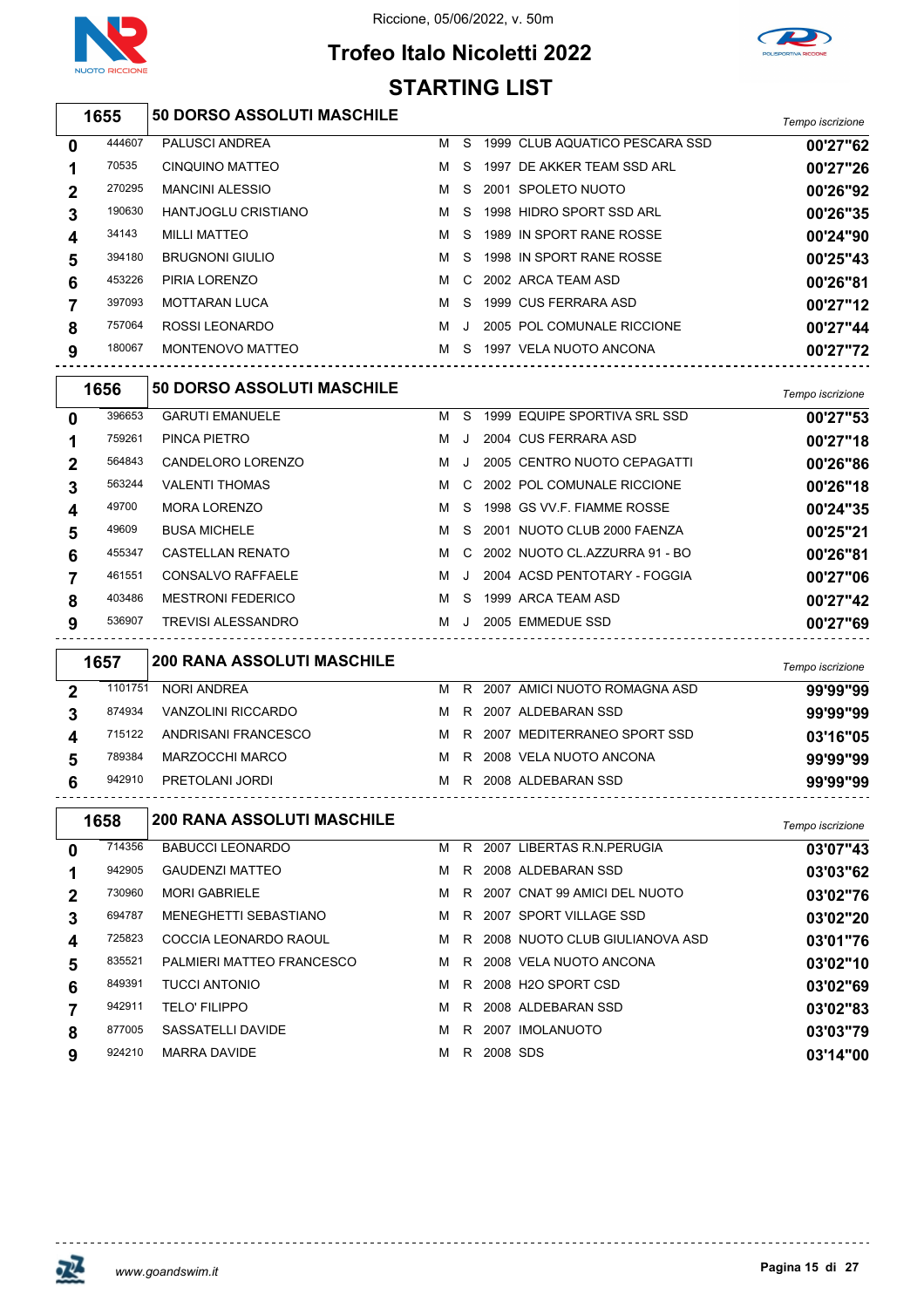

#### **Trofeo Italo Nicoletti 2022 STARTING LIST**



|                | 1655    | <b>50 DORSO ASSOLUTI MASCHILE</b> |   |              |                                | Tempo iscrizione |
|----------------|---------|-----------------------------------|---|--------------|--------------------------------|------------------|
| 0              | 444607  | <b>PALUSCI ANDREA</b>             | м | S            | 1999 CLUB AQUATICO PESCARA SSD | 00'27"62         |
| 1              | 70535   | <b>CINQUINO MATTEO</b>            | м | S            | 1997 DE AKKER TEAM SSD ARL     | 00'27"26         |
| $\overline{2}$ | 270295  | <b>MANCINI ALESSIO</b>            | м | S            | 2001 SPOLETO NUOTO             | 00'26"92         |
| 3              | 190630  | <b>HANTJOGLU CRISTIANO</b>        | м | S            | 1998 HIDRO SPORT SSD ARL       | 00'26"35         |
| 4              | 34143   | <b>MILLI MATTEO</b>               | м | S            | 1989 IN SPORT RANE ROSSE       | 00'24"90         |
| 5              | 394180  | <b>BRUGNONI GIULIO</b>            | м | S            | 1998 IN SPORT RANE ROSSE       | 00'25"43         |
| 6              | 453226  | PIRIA LORENZO                     | м | C            | 2002 ARCA TEAM ASD             | 00'26"81         |
| 7              | 397093  | <b>MOTTARAN LUCA</b>              | м | S            | 1999 CUS FERRARA ASD           | 00'27"12         |
| 8              | 757064  | <b>ROSSI LEONARDO</b>             | м |              | 2005 POL COMUNALE RICCIONE     | 00'27"44         |
| 9              | 180067  | MONTENOVO MATTEO                  | M | S            | 1997 VELA NUOTO ANCONA         | 00'27"72         |
|                | 1656    | 50 DORSO ASSOLUTI MASCHILE        |   |              |                                | Tempo iscrizione |
| 0              | 396653  | <b>GARUTI EMANUELE</b>            | м | S            | 1999 EQUIPE SPORTIVA SRL SSD   | 00'27"53         |
| 1              | 759261  | PINCA PIETRO                      | м | $\cdot$      | 2004 CUS FERRARA ASD           | 00'27"18         |
| 2              | 564843  | CANDELORO LORENZO                 | м | J.           | 2005 CENTRO NUOTO CEPAGATTI    | 00'26"86         |
| 3              | 563244  | <b>VALENTI THOMAS</b>             | м | C            | 2002 POL COMUNALE RICCIONE     | 00'26"18         |
| 4              | 49700   | <b>MORA LORENZO</b>               | м | <sub>S</sub> | 1998 GS VV F. FIAMME ROSSE     | 00'24"35         |
| 5              | 49609   | <b>BUSA MICHELE</b>               | м | S            | 2001 NUOTO CLUB 2000 FAENZA    | 00'25"21         |
| 6              | 455347  | <b>CASTELLAN RENATO</b>           | м | C            | 2002 NUOTO CL.AZZURRA 91 - BO  | 00'26"81         |
| 7              | 461551  | CONSALVO RAFFAELE                 | м | $\cdot$      | 2004 ACSD PENTOTARY - FOGGIA   | 00'27"06         |
| 8              | 403486  | <b>MESTRONI FEDERICO</b>          | м | S            | 1999 ARCA TEAM ASD             | 00'27"42         |
| 9              | 536907  | <b>TREVISI ALESSANDRO</b>         | M | $\cdot$      | 2005 EMMEDUE SSD               | 00'27"69         |
|                | 1657    | <b>200 RANA ASSOLUTI MASCHILE</b> |   |              |                                | Tempo iscrizione |
| $\overline{2}$ | 1101751 | <b>NORI ANDREA</b>                | м | R            | 2007 AMICI NUOTO ROMAGNA ASD   | 99'99"99         |
| 3              | 874934  | <b>VANZOLINI RICCARDO</b>         | м |              | R 2007 ALDEBARAN SSD           | 99'99"99         |
|                |         |                                   |   |              |                                |                  |

|   | 1658   | <b>200 RANA ASSOLUTI MASCHILE</b> |   |  |                               | Tempo iscrizione |
|---|--------|-----------------------------------|---|--|-------------------------------|------------------|
| 6 | 942910 | PRETOLANI JORDI                   | M |  | R 2008 ALDEBARAN SSD          | 99'99"99         |
| 5 | 789384 | MARZOCCHI MARCO                   |   |  | M R 2008 VELA NUOTO ANCONA    | 99'99"99         |
| 4 | 715122 | ANDRISANI FRANCESCO               | M |  | R 2007 MEDITERRANEO SPORT SSD | 03'16"05         |
| 3 | 874934 | VANZOLINI RICCARDO                |   |  | M R 2007 ALDEBARAN SSD        | 99'99"99         |
|   |        |                                   |   |  |                               |                  |

|   |        |                              |   |    |                                  | <b>I GILIDO ISOLIZIOLIG</b> |
|---|--------|------------------------------|---|----|----------------------------------|-----------------------------|
| 0 | 714356 | <b>BABUCCI LEONARDO</b>      | м | R. | 2007 LIBERTAS R.N.PERUGIA        | 03'07"43                    |
|   | 942905 | <b>GAUDENZI MATTEO</b>       | м | R. | 2008 ALDEBARAN SSD               | 03'03"62                    |
|   | 730960 | <b>MORI GABRIELE</b>         | м |    | R 2007 CNAT 99 AMICI DEL NUOTO   | 03'02"76                    |
| 3 | 694787 | <b>MENEGHETTI SEBASTIANO</b> | м |    | R 2007 SPORT VILLAGE SSD         | 03'02"20                    |
| 4 | 725823 | COCCIA LEONARDO RAOUL        | м |    | R 2008 NUOTO CLUB GIULIANOVA ASD | 03'01"76                    |
| 5 | 835521 | PALMIERI MATTEO FRANCESCO    | M |    | R 2008 VELA NUOTO ANCONA         | 03'02"10                    |
| 6 | 849391 | <b>TUCCI ANTONIO</b>         | м | R. | 2008 H2O SPORT CSD               | 03'02"69                    |
|   | 942911 | <b>TELO' FILIPPO</b>         | м | R. | 2008 ALDEBARAN SSD               | 03'02"83                    |
| 8 | 877005 | SASSATELLI DAVIDE            | м | R. | 2007 IMOLANUOTO                  | 03'03"79                    |
| 9 | 924210 | <b>MARRA DAVIDE</b>          | м | R  | 2008 SDS                         | 03'14"00                    |
|   |        |                              |   |    |                                  |                             |



<u> - - - - - - - - - - - - -</u>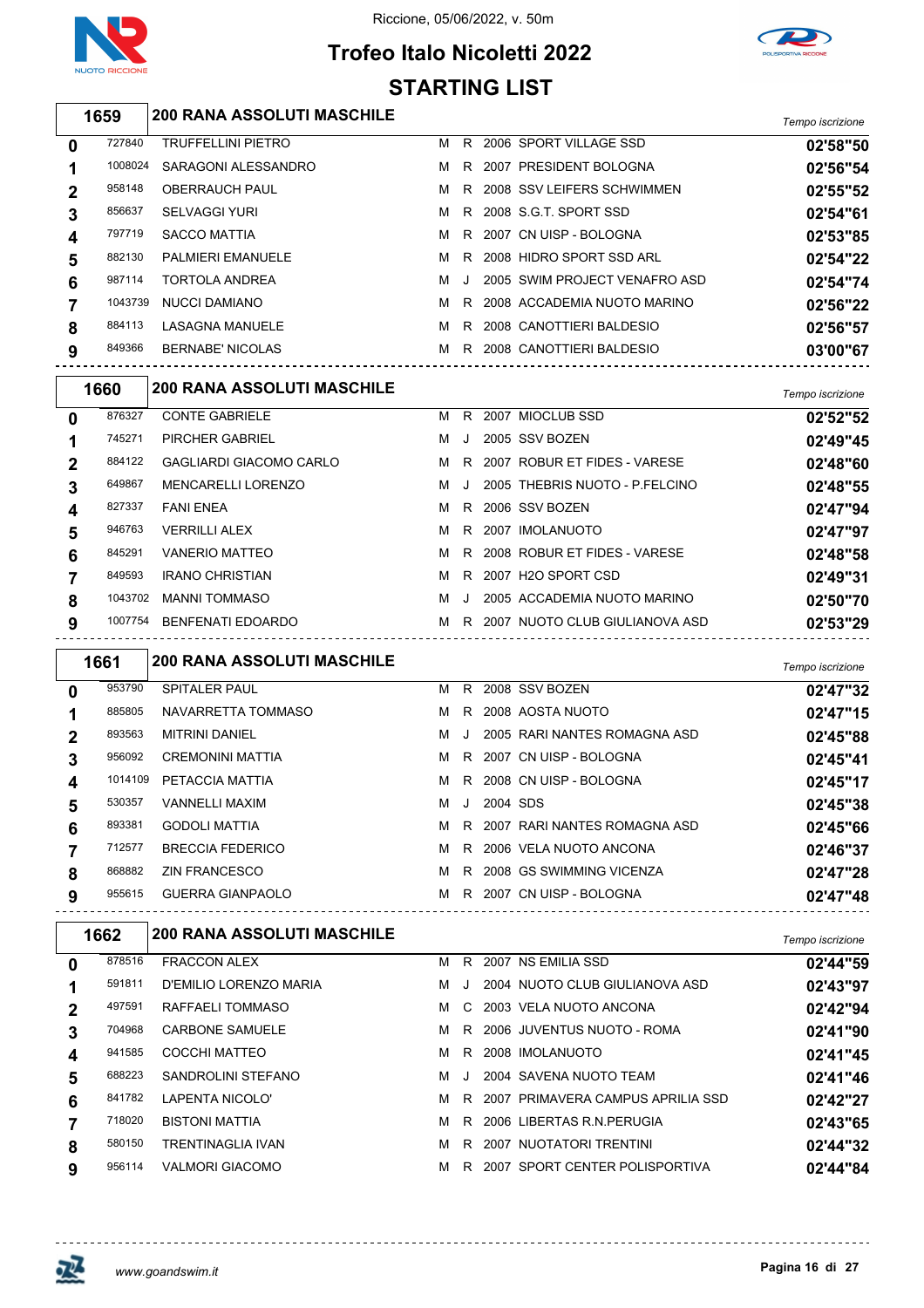



# **Trofeo Italo Nicoletti 2022 STARTING LIST**

*Tempo iscrizione* **200 RANA ASSOLUTI MASCHILE**

|             |         |                           |   |         |                               | <b>UNIVATION</b> |
|-------------|---------|---------------------------|---|---------|-------------------------------|------------------|
| 0           | 727840  | <b>TRUFFELLINI PIETRO</b> | м | R.      | 2006 SPORT VILLAGE SSD        | 02'58"50         |
|             | 1008024 | SARAGONI ALESSANDRO       | м | R.      | 2007 PRESIDENT BOLOGNA        | 02'56"54         |
| $\mathbf 2$ | 958148  | <b>OBERRAUCH PAUL</b>     | м |         | R 2008 SSV LEIFERS SCHWIMMEN  | 02'55"52         |
|             | 856637  | <b>SELVAGGI YURI</b>      | м |         | R 2008 S.G.T. SPORT SSD       | 02'54"61         |
| 4           | 797719  | <b>SACCO MATTIA</b>       | м |         | R 2007 CN UISP - BOLOGNA      | 02'53"85         |
| 5           | 882130  | <b>PALMIERI EMANUELE</b>  | м | R.      | 2008 HIDRO SPORT SSD ARL      | 02'54"22         |
| 6           | 987114  | <b>TORTOLA ANDREA</b>     | м | $\cdot$ | 2005 SWIM PROJECT VENAFRO ASD | 02'54"74         |
|             | 1043739 | NUCCI DAMIANO             | м | R.      | 2008 ACCADEMIA NUOTO MARINO   | 02'56"22         |
| 8           | 884113  | <b>LASAGNA MANUELE</b>    | м | R.      | 2008 CANOTTIERI BALDESIO      | 02'56"57         |
| 9           | 849366  | <b>BERNABE' NICOLAS</b>   | м | R.      | 2008 CANOTTIERI BALDESIO      | 03'00"67         |
|             |         |                           |   |         |                               |                  |

|              | 1660    | <b>200 RANA ASSOLUTI MASCHILE</b> |   |    |      |                                | Tempo iscrizione |
|--------------|---------|-----------------------------------|---|----|------|--------------------------------|------------------|
| $\mathbf{0}$ | 876327  | <b>CONTE GABRIELE</b>             | м | R. | 2007 | MIOCLUB SSD                    | 02'52"52         |
|              | 745271  | <b>PIRCHER GABRIEL</b>            | м |    |      | 2005 SSV BOZEN                 | 02'49"45         |
| $\mathbf 2$  | 884122  | <b>GAGLIARDI GIACOMO CARLO</b>    | м | R. |      | 2007 ROBUR ET FIDES - VARESE   | 02'48"60         |
| 3            | 649867  | MENCARELLI LORENZO                | м |    |      | 2005 THEBRIS NUOTO - P FELCINO | 02'48"55         |
| 4            | 827337  | <b>FANI ENEA</b>                  | м |    |      | R 2006 SSV BOZEN               | 02'47"94         |
| 5            | 946763  | <b>VERRILLI ALEX</b>              | м |    |      | R 2007 IMOLANUOTO              | 02'47"97         |
| 6            | 845291  | <b>VANERIO MATTEO</b>             | м | R. |      | 2008 ROBUR ET FIDES - VARESE   | 02'48"58         |
|              | 849593  | <b>IRANO CHRISTIAN</b>            | м | R  |      | 2007 H2O SPORT CSD             | 02'49"31         |
| 8            | 1043702 | <b>MANNI TOMMASO</b>              | м |    |      | 2005 ACCADEMIA NUOTO MARINO    | 02'50"70         |
| 9            | 1007754 | <b>BENFENATI EDOARDO</b>          | м | R  |      | 2007 NUOTO CLUB GIULIANOVA ASD | 02'53"29         |
|              |         |                                   |   |    |      |                                |                  |

|   | 1661    | <b>200 RANA ASSOLUTI MASCHILE</b> |   |         |          |                              | Tempo iscrizione |
|---|---------|-----------------------------------|---|---------|----------|------------------------------|------------------|
| 0 | 953790  | <b>SPITALER PAUL</b>              | м | R.      |          | 2008 SSV BOZEN               | 02'47"32         |
| 1 | 885805  | NAVARRETTA TOMMASO                | м | R.      |          | 2008 AOSTA NUOTO             | 02'47"15         |
| 2 | 893563  | <b>MITRINI DANIEL</b>             | м | $\cdot$ |          | 2005 RARI NANTES ROMAGNA ASD | 02'45"88         |
| 3 | 956092  | <b>CREMONINI MATTIA</b>           | м | R.      |          | 2007 CN UISP - BOLOGNA       | 02'45"41         |
| 4 | 1014109 | PETACCIA MATTIA                   | м | R       |          | 2008 CN UISP - BOLOGNA       | 02'45"17         |
| 5 | 530357  | <b>VANNELLI MAXIM</b>             | м | $\cdot$ | 2004 SDS |                              | 02'45"38         |
| 6 | 893381  | <b>GODOLI MATTIA</b>              | м | R.      |          | 2007 RARI NANTES ROMAGNA ASD | 02'45"66         |
|   | 712577  | <b>BRECCIA FEDERICO</b>           | м | R.      |          | 2006 VELA NUOTO ANCONA       | 02'46"37         |
| 8 | 868882  | <b>ZIN FRANCESCO</b>              | м | R.      |          | 2008 GS SWIMMING VICENZA     | 02'47"28         |
| 9 | 955615  | <b>GUERRA GIANPAOLO</b>           | м | R.      |          | 2007 CN UISP - BOLOGNA       | 02'47"48         |

|        | <b>200 RANA ASSOLUTI MASCHILE</b> |   |         |  | Tempo iscrizione                                                                                                                                                                                                                                                                          |
|--------|-----------------------------------|---|---------|--|-------------------------------------------------------------------------------------------------------------------------------------------------------------------------------------------------------------------------------------------------------------------------------------------|
| 878516 | <b>FRACCON ALEX</b>               | м | R       |  | 02'44"59                                                                                                                                                                                                                                                                                  |
| 591811 | D'EMILIO LORENZO MARIA            | м | $\cdot$ |  | 02'43"97                                                                                                                                                                                                                                                                                  |
| 497591 | RAFFAELI TOMMASO                  | м | C.      |  | 02'42"94                                                                                                                                                                                                                                                                                  |
| 704968 | <b>CARBONE SAMUELE</b>            | м | R.      |  | 02'41"90                                                                                                                                                                                                                                                                                  |
| 941585 | COCCHI MATTEO                     | м | R       |  | 02'41"45                                                                                                                                                                                                                                                                                  |
| 688223 | SANDROLINI STEFANO                | м |         |  | 02'41"46                                                                                                                                                                                                                                                                                  |
| 841782 | LAPENTA NICOLO'                   | м | R.      |  | 02'42"27                                                                                                                                                                                                                                                                                  |
| 718020 | <b>BISTONI MATTIA</b>             | м | R.      |  | 02'43"65                                                                                                                                                                                                                                                                                  |
| 580150 | <b>TRENTINAGLIA IVAN</b>          | м | R       |  | 02'44"32                                                                                                                                                                                                                                                                                  |
| 956114 | <b>VALMORI GIACOMO</b>            | м | R       |  | 02'44"84                                                                                                                                                                                                                                                                                  |
|        | 1662                              |   |         |  | 2007 NS EMILIA SSD<br>2004 NUOTO CLUB GIULIANOVA ASD<br>2003 VELA NUOTO ANCONA<br>2006 JUVENTUS NUOTO - ROMA<br>2008 IMOLANUOTO<br>2004 SAVENA NUOTO TEAM<br>2007 PRIMAVERA CAMPUS APRILIA SSD<br>2006 LIBERTAS R.N. PERUGIA<br>2007 NUOTATORI TRENTINI<br>2007 SPORT CENTER POLISPORTIVA |

### ol.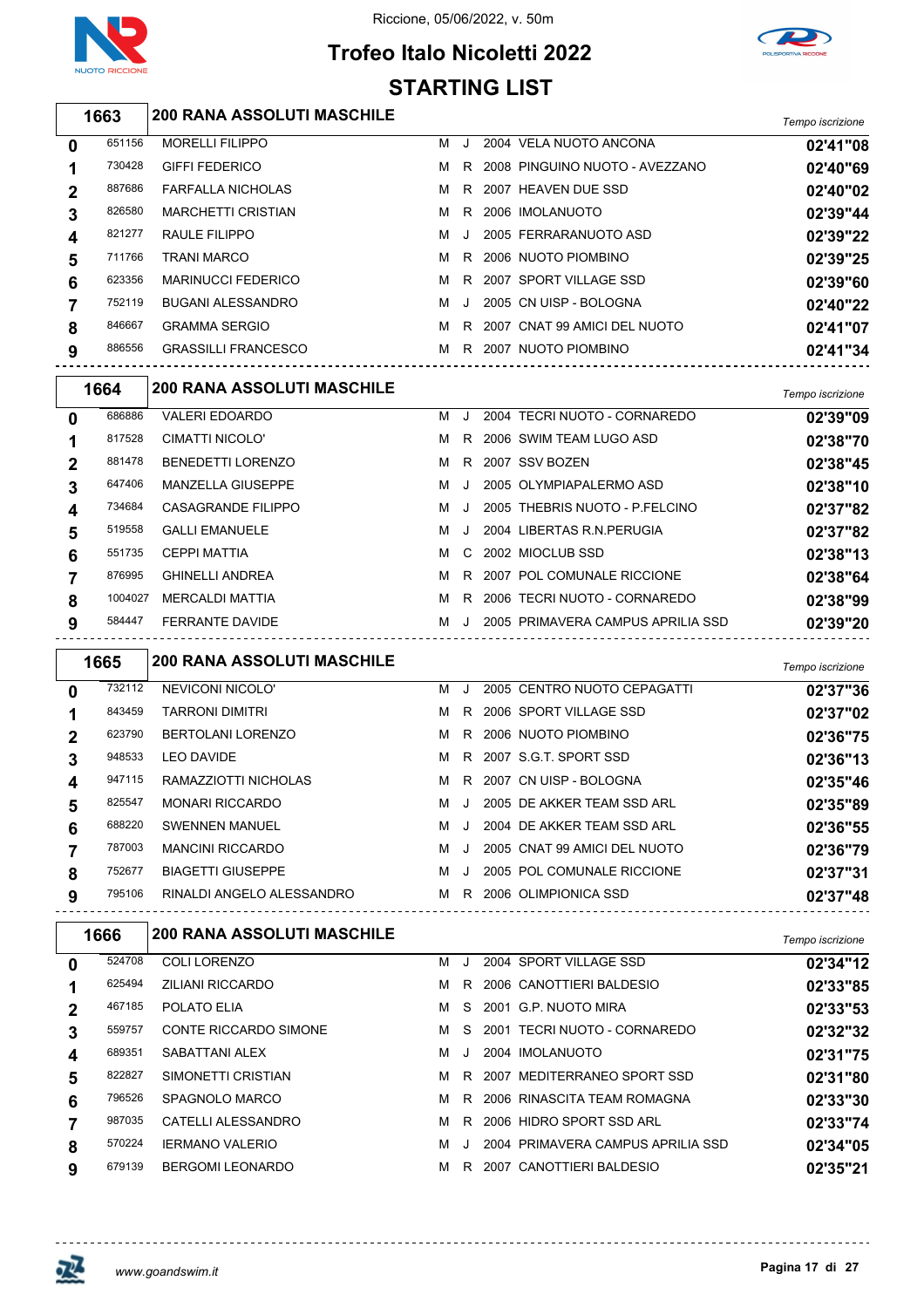



# **Trofeo Italo Nicoletti 2022 STARTING LIST**

| 1663 | <b>200 RANA ASSOLUTI MASCHILE</b> | Tempo iscrizione |
|------|-----------------------------------|------------------|
|      |                                   |                  |

| 0 | 651156 | <b>MORELLI FILIPPO</b>     | м | J       | 2004 VELA NUOTO ANCONA         | 02'41"08 |
|---|--------|----------------------------|---|---------|--------------------------------|----------|
|   | 730428 | <b>GIFFI FEDERICO</b>      | м | R       | 2008 PINGUINO NUOTO - AVEZZANO | 02'40"69 |
| 2 | 887686 | <b>FARFALLA NICHOLAS</b>   | м |         | R 2007 HEAVEN DUE SSD          | 02'40"02 |
| 3 | 826580 | <b>MARCHETTI CRISTIAN</b>  | м | R       | 2006 IMOLANUOTO                | 02'39"44 |
|   | 821277 | RAULE FILIPPO              | м | J.      | 2005 FERRARANUOTO ASD          | 02'39"22 |
| 5 | 711766 | <b>TRANI MARCO</b>         | м | R.      | 2006 NUOTO PIOMBINO            | 02'39"25 |
| 6 | 623356 | <b>MARINUCCI FEDERICO</b>  | м | R       | 2007 SPORT VILLAGE SSD         | 02'39"60 |
|   | 752119 | BUGANI ALESSANDRO          | м | $\cdot$ | 2005 CN UISP - BOLOGNA         | 02'40"22 |
| 8 | 846667 | <b>GRAMMA SERGIO</b>       | м | R       | 2007 CNAT 99 AMICI DEL NUOTO   | 02'41"07 |
| 9 | 886556 | <b>GRASSILLI FRANCESCO</b> | м | R       | 2007 NUOTO PIOMBINO            | 02'41"34 |
|   |        |                            |   |         |                                |          |

|   | 1664    | <b>200 RANA ASSOLUTI MASCHILE</b> |   |         |                                   | Tempo iscrizione |
|---|---------|-----------------------------------|---|---------|-----------------------------------|------------------|
| 0 | 686886  | <b>VALERI EDOARDO</b>             | м |         | 2004 TECRI NUOTO - CORNAREDO      | 02'39"09         |
|   | 817528  | CIMATTI NICOLO'                   | м | R.      | 2006 SWIM TEAM LUGO ASD           | 02'38"70         |
| 2 | 881478  | <b>BENEDETTI LORENZO</b>          | м | R.      | 2007 SSV BOZEN                    | 02'38"45         |
|   | 647406  | <b>MANZELLA GIUSEPPE</b>          | м | $\cdot$ | 2005 OLYMPIAPALERMO ASD           | 02'38"10         |
| 4 | 734684  | CASAGRANDE FILIPPO                | м |         | 2005 THEBRIS NUOTO - P.FELCINO    | 02'37"82         |
| 5 | 519558  | <b>GALLI EMANUELE</b>             | м |         | 2004 LIBERTAS R.N. PERUGIA        | 02'37"82         |
| 6 | 551735  | <b>CEPPI MATTIA</b>               | м |         | C 2002 MIOCLUB SSD                | 02'38"13         |
|   | 876995  | <b>GHINELLI ANDREA</b>            | м | R.      | 2007 POL COMUNALE RICCIONE        | 02'38"64         |
| 8 | 1004027 | <b>MERCALDI MATTIA</b>            | м | R       | 2006 TECRI NUOTO - CORNAREDO      | 02'38"99         |
| 9 | 584447  | <b>FERRANTE DAVIDE</b>            | м | J.      | 2005 PRIMAVERA CAMPUS APRILIA SSD | 02'39"20         |

|              | 1665   | <b>200 RANA ASSOLUTI MASCHILE</b> |   |         |                              | Tempo iscrizione |
|--------------|--------|-----------------------------------|---|---------|------------------------------|------------------|
| 0            | 732112 | NEVICONI NICOLO'                  | м | $\cdot$ | 2005 CENTRO NUOTO CEPAGATTI  | 02'37"36         |
|              | 843459 | <b>TARRONI DIMITRI</b>            | м | R       | 2006 SPORT VILLAGE SSD       | 02'37"02         |
| $\mathbf{2}$ | 623790 | <b>BERTOLANI LORENZO</b>          | м | R.      | 2006 NUOTO PIOMBINO          | 02'36"75         |
| 3            | 948533 | <b>LEO DAVIDE</b>                 | м | R.      | 2007 S.G.T. SPORT SSD        | 02'36"13         |
| 4            | 947115 | RAMAZZIOTTI NICHOLAS              | м | R       | 2007 CN UISP - BOLOGNA       | 02'35"46         |
| 5            | 825547 | <b>MONARI RICCARDO</b>            | м | $\cdot$ | 2005 DE AKKER TEAM SSD ARL   | 02'35"89         |
| 6            | 688220 | <b>SWENNEN MANUEL</b>             | м | $\cdot$ | 2004 DE AKKER TEAM SSD ARL   | 02'36"55         |
|              | 787003 | <b>MANCINI RICCARDO</b>           | м | $\cdot$ | 2005 CNAT 99 AMICI DEL NUOTO | 02'36"79         |
| 8            | 752677 | <b>BIAGETTI GIUSEPPE</b>          | м | $\cdot$ | 2005 POL COMUNALE RICCIONE   | 02'37"31         |
| 9            | 795106 | RINALDI ANGELO ALESSANDRO         | м | R       | 2006 OLIMPIONICA SSD         | 02'37"48         |

|              | 1666   | <b>200 RANA ASSOLUTI MASCHILE</b> |   |    |                                   | Tempo iscrizione |
|--------------|--------|-----------------------------------|---|----|-----------------------------------|------------------|
| $\mathbf{0}$ | 524708 | COLI LORENZO                      | м |    | 2004 SPORT VILLAGE SSD            | 02'34"12         |
|              | 625494 | <b>ZILIANI RICCARDO</b>           | м | R. | 2006 CANOTTIERI BALDESIO          | 02'33"85         |
|              | 467185 | POLATO ELIA                       | м |    | S 2001 G.P. NUOTO MIRA            | 02'33"53         |
| 3            | 559757 | <b>CONTE RICCARDO SIMONE</b>      | м |    | S 2001 TECRI NUOTO - CORNAREDO    | 02'32"32         |
| 4            | 689351 | SABATTANI ALEX                    | м | J. | 2004 IMOLANUOTO                   | 02'31"75         |
| 5            | 822827 | SIMONETTI CRISTIAN                | м |    | R 2007 MEDITERRANEO SPORT SSD     | 02'31"80         |
| 6            | 796526 | SPAGNOLO MARCO                    | м |    | R 2006 RINASCITA TEAM ROMAGNA     | 02'33"30         |
|              | 987035 | CATELLI ALESSANDRO                | M | R. | 2006 HIDRO SPORT SSD ARL          | 02'33"74         |
| 8            | 570224 | <b>IERMANO VALERIO</b>            | м |    | 2004 PRIMAVERA CAMPUS APRILIA SSD | 02'34"05         |
| 9            | 679139 | BERGOMI LEONARDO                  | м | R. | 2007 CANOTTIERI BALDESIO          | 02'35"21         |



 $\overline{1}$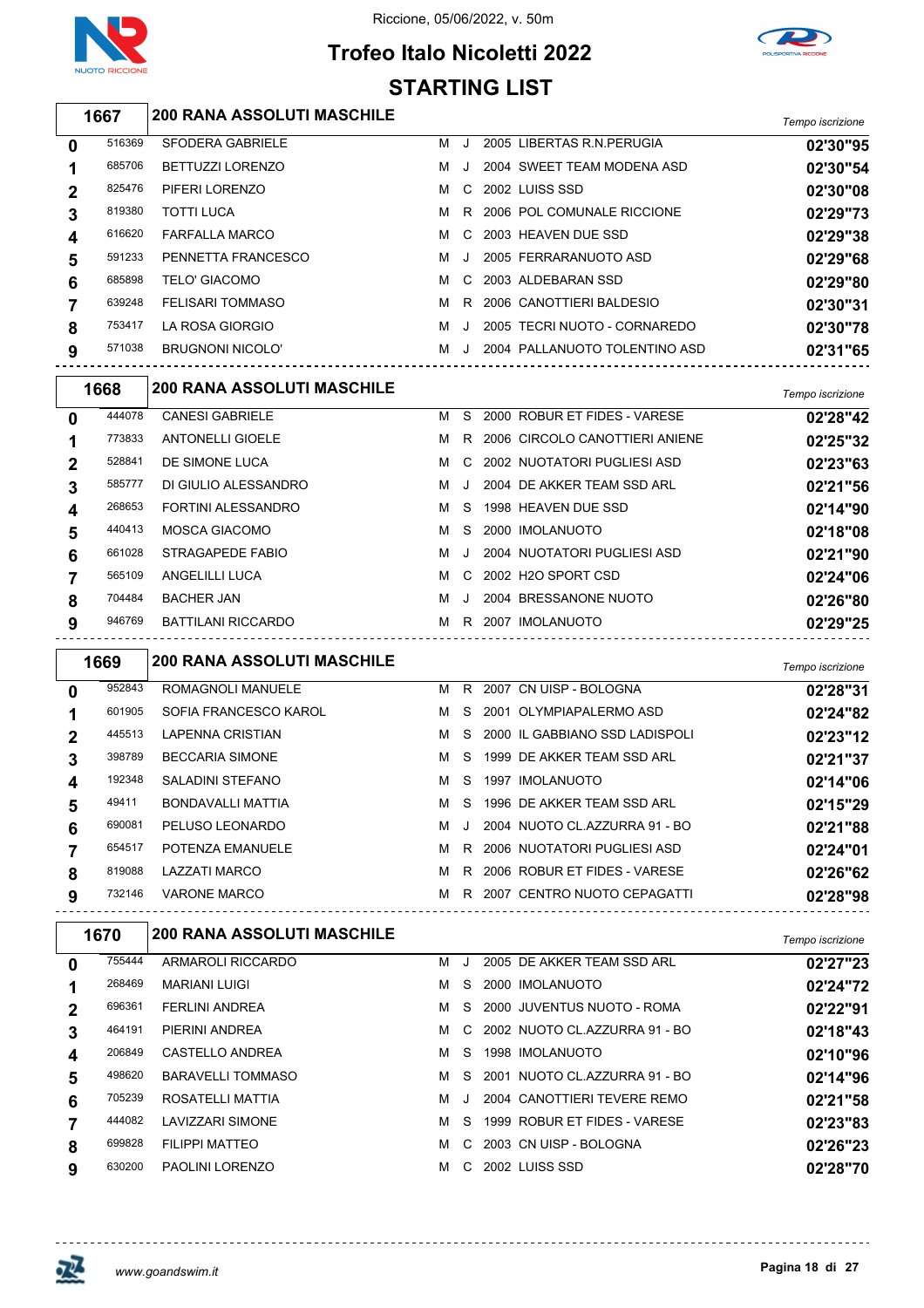

# **Trofeo Italo Nicoletti 2022 STARTING LIST**



|             | 1667   | <b>200 RANA ASSOLUTI MASCHILE</b> |   |              |                               | Tempo iscrizione |
|-------------|--------|-----------------------------------|---|--------------|-------------------------------|------------------|
| $\mathbf 0$ | 516369 | <b>SFODERA GABRIELE</b>           | м |              | 2005 LIBERTAS R.N. PERUGIA    | 02'30"95         |
|             | 685706 | <b>BETTUZZI LORENZO</b>           | м |              | 2004 SWEET TEAM MODENA ASD    | 02'30"54         |
| $\mathbf 2$ | 825476 | PIFERI LORENZO                    | м | C.           | 2002 LUISS SSD                | 02'30"08         |
| 3           | 819380 | <b>TOTTI LUCA</b>                 | м |              | R 2006 POL COMUNALE RICCIONE  | 02'29"73         |
| 4           | 616620 | <b>FARFALLA MARCO</b>             | м | C.           | 2003 HEAVEN DUE SSD           | 02'29"38         |
| 5           | 591233 | PENNETTA FRANCESCO                | м | $\mathbf{I}$ | 2005 FERRARANUOTO ASD         | 02'29"68         |
| 6           | 685898 | TELO' GIACOMO                     | м |              | C 2003 ALDEBARAN SSD          | 02'29"80         |
|             | 639248 | <b>FELISARI TOMMASO</b>           | м | R.           | 2006 CANOTTIERI BALDESIO      | 02'30"31         |
| 8           | 753417 | LA ROSA GIORGIO                   | м | J            | 2005 TECRI NUOTO - CORNAREDO  | 02'30"78         |
| 9           | 571038 | <b>BRUGNONI NICOLO'</b>           | м |              | 2004 PALLANUOTO TOLENTINO ASD | 02'31"65         |

|              | 1668   | <b>200 RANA ASSOLUTI MASCHILE</b> |   |       |                                  | Tempo iscrizione |
|--------------|--------|-----------------------------------|---|-------|----------------------------------|------------------|
| $\mathbf{0}$ | 444078 | <b>CANESI GABRIELE</b>            | M | S.    | 2000 ROBUR ET FIDES - VARESE     | 02'28"42         |
| 1            | 773833 | <b>ANTONELLI GIOELE</b>           | M |       | R 2006 CIRCOLO CANOTTIERI ANIENE | 02'25"32         |
| $\mathbf{2}$ | 528841 | DE SIMONE LUCA                    | м |       | C 2002 NUOTATORI PUGLIESI ASD    | 02'23"63         |
| 3            | 585777 | DI GIULIO ALESSANDRO              | M | . . I | 2004 DE AKKER TEAM SSD ARL       | 02'21"56         |
| 4            | 268653 | <b>FORTINI ALESSANDRO</b>         | M | S.    | 1998 HEAVEN DUE SSD              | 02'14"90         |
| 5            | 440413 | MOSCA GIACOMO                     | м |       | S 2000 IMOLANUOTO                | 02'18"08         |
| 6            | 661028 | STRAGAPEDE FABIO                  | м | J     | 2004 NUOTATORI PUGLIESI ASD      | 02'21"90         |
|              | 565109 | ANGELILLI LUCA                    | м |       | C 2002 H2O SPORT CSD             | 02'24"06         |
| 8            | 704484 | <b>BACHER JAN</b>                 | м | J     | 2004 BRESSANONE NUOTO            | 02'26"80         |
| 9            | 946769 | <b>BATTILANI RICCARDO</b>         | м |       | R 2007 IMOLANUOTO                | 02'29"25         |
|              |        |                                   |   |       |                                  |                  |

|   | 1669   | <b>200 RANA ASSOLUTI MASCHILE</b> |   |         |      |                                | Tempo iscrizione |
|---|--------|-----------------------------------|---|---------|------|--------------------------------|------------------|
| 0 | 952843 | ROMAGNOLI MANUELE                 | м |         |      | R 2007 CN UISP - BOLOGNA       | 02'28"31         |
|   | 601905 | SOFIA FRANCESCO KAROL             | м | S.      |      | 2001 OLYMPIAPALERMO ASD        | 02'24"82         |
| 2 | 445513 | <b>LAPENNA CRISTIAN</b>           | м | S.      |      | 2000 IL GABBIANO SSD LADISPOLI | 02'23"12         |
| 3 | 398789 | <b>BECCARIA SIMONE</b>            | м | S.      |      | 1999 DE AKKER TEAM SSD ARL     | 02'21"37         |
| 4 | 192348 | SALADINI STEFANO                  | м | S.      | 1997 | IMOLANUOTO                     | 02'14"06         |
| 5 | 49411  | <b>BONDAVALLI MATTIA</b>          | м | S.      |      | 1996 DE AKKER TEAM SSD ARL     | 02'15"29         |
| 6 | 690081 | PELUSO LEONARDO                   | м | $\cdot$ |      | 2004 NUOTO CL.AZZURRA 91 - BO  | 02'21"88         |
|   | 654517 | POTENZA EMANUELE                  | м | R.      |      | 2006 NUOTATORI PUGLIESI ASD    | 02'24"01         |
| 8 | 819088 | <b>LAZZATI MARCO</b>              | м | R.      |      | 2006 ROBUR ET FIDES - VARESE   | 02'26"62         |
| 9 | 732146 | <b>VARONE MARCO</b>               | м |         |      | R 2007 CENTRO NUOTO CEPAGATTI  | 02'28"98         |

|             | 1670   | <b>200 RANA ASSOLUTI MASCHILE</b> |   |               |                                | Tempo iscrizione |
|-------------|--------|-----------------------------------|---|---------------|--------------------------------|------------------|
| 0           | 755444 | ARMAROLI RICCARDO                 | м | J.            | 2005 DE AKKER TEAM SSD ARL     | 02'27"23         |
|             | 268469 | <b>MARIANI LUIGI</b>              | м | S.            | 2000 IMOLANUOTO                | 02'24"72         |
| $\mathbf 2$ | 696361 | <b>FERLINI ANDREA</b>             | м | S.            | 2000 JUVENTUS NUOTO - ROMA     | 02'22"91         |
| 3           | 464191 | PIERINI ANDREA                    | м |               | C 2002 NUOTO CLAZZURRA 91 - BO | 02'18"43         |
| 4           | 206849 | CASTELLO ANDREA                   | м | S.            | 1998 IMOLANUOTO                | 02'10"96         |
| 5           | 498620 | <b>BARAVELLI TOMMASO</b>          | м | S.            | 2001 NUOTO CL.AZZURRA 91 - BO  | 02'14"96         |
| 6           | 705239 | ROSATELLI MATTIA                  | м | $\cdot$       | 2004 CANOTTIERI TEVERE REMO    | 02'21"58         |
|             | 444082 | <b>LAVIZZARI SIMONE</b>           | м | S.            | 1999 ROBUR ET FIDES - VARESE   | 02'23"83         |
| 8           | 699828 | <b>FILIPPI MATTEO</b>             | м | $\mathcal{C}$ | 2003 CN UISP - BOLOGNA         | 02'26"23         |
| 9           | 630200 | PAOLINI LORENZO                   | м | C.            | 2002 LUISS SSD                 | 02'28"70         |

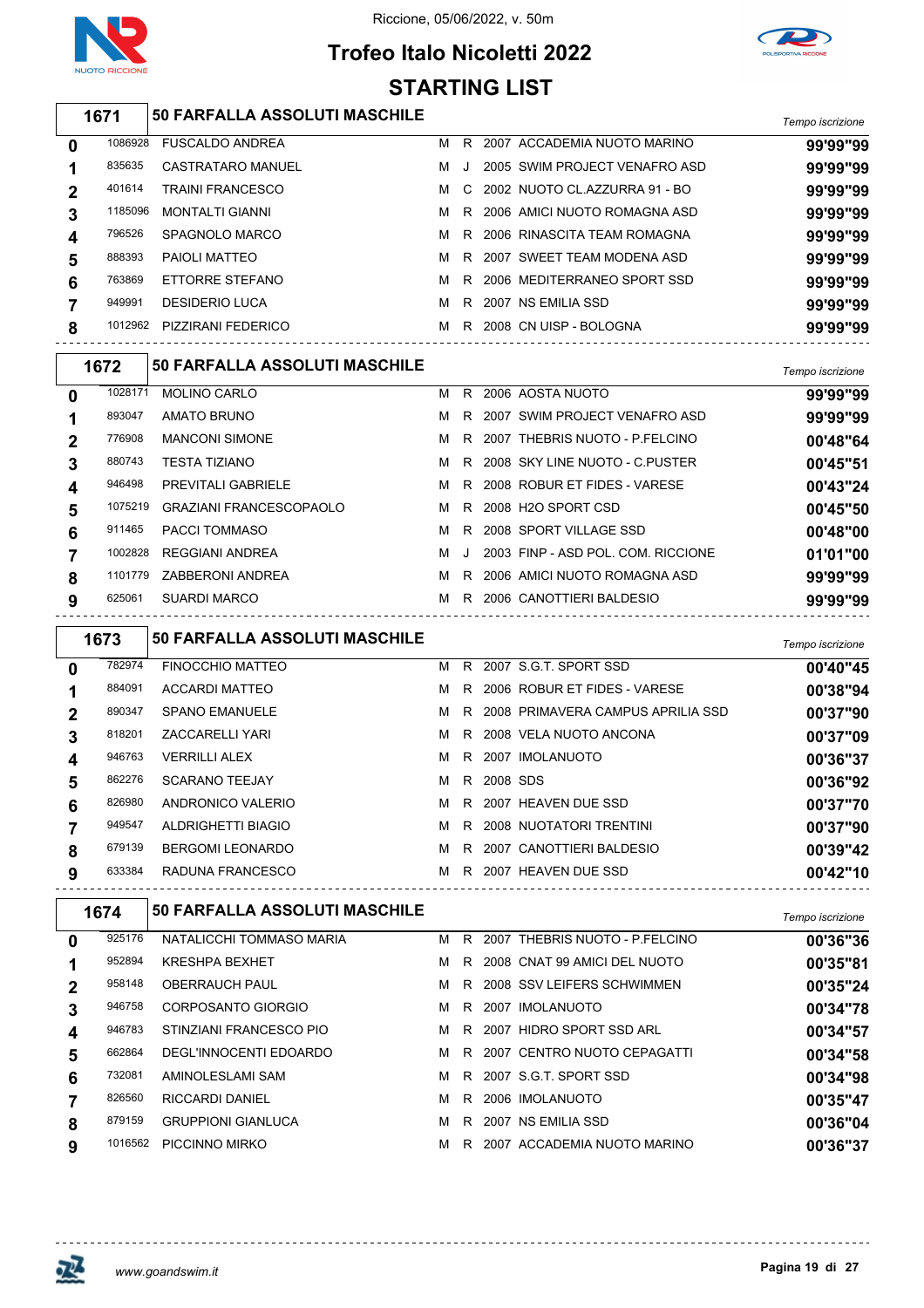

# **Trofeo Italo Nicoletti 2022**

Riccione, 05/06/2022, v. 50m



#### *Tempo iscrizione* **50 FARFALLA ASSOLUTI MASCHILE** FUSCALDO ANDREA M R 2007 ACCADEMIA NUOTO MARINO **99'99"99** CASTRATARO MANUEL M J 2005 SWIM PROJECT VENAFRO ASD **99'99"99** TRAINI FRANCESCO M C 2002 NUOTO CL.AZZURRA 91 - BO **99'99"99** MONTALTI GIANNI M R 2006 AMICI NUOTO ROMAGNA ASD **99'99"99** SPAGNOLO MARCO M R 2006 RINASCITA TEAM ROMAGNA **99'99"99** 888393 PAIOLI MATTEO **MR 2007 SWEET TEAM MODENA ASD 99'99'99**  ETTORRE STEFANO M R 2006 MEDITERRANEO SPORT SSD **99'99"99** DESIDERIO LUCA M R 2007 NS EMILIA SSD **99'99"99** PIZZIRANI FEDERICO M R 2008 CN UISP - BOLOGNA **99'99"99** *Tempo iscrizione* **50 FARFALLA ASSOLUTI MASCHILE** MOLINO CARLO M R 2006 AOSTA NUOTO **99'99"99** 893047 AMATO BRUNO **MR 2007 SWIM PROJECT VENAFRO ASD** 99'99'99 MANCONI SIMONE M R 2007 THEBRIS NUOTO - P.FELCINO **00'48"64** TESTA TIZIANO M R 2008 SKY LINE NUOTO - C.PUSTER **00'45"51** PREVITALI GABRIELE M R 2008 ROBUR ET FIDES - VARESE **00'43"24** GRAZIANI FRANCESCOPAOLO M R 2008 H2O SPORT CSD **00'45"50** PACCI TOMMASO M R 2008 SPORT VILLAGE SSD **00'48"00** REGGIANI ANDREA M J 2003 FINP - ASD POL. COM. RICCIONE **01'01"00** 1101779 ZABBERONI ANDREA **MR** 2006 AMICI NUOTO ROMAGNA ASD **99'99'99**  SUARDI MARCO M R 2006 CANOTTIERI BALDESIO **99'99"99** *Tempo iscrizione* **50 FARFALLA ASSOLUTI MASCHILE** FINOCCHIO MATTEO M R 2007 S.G.T. SPORT SSD **00'40"45** ACCARDI MATTEO M R 2006 ROBUR ET FIDES - VARESE **00'38"94** 890347 SPANO EMANUELE **MR** 2008 PRIMAVERA CAMPUS APRILIA SSD **00'37"90**  ZACCARELLI YARI M R 2008 VELA NUOTO ANCONA **00'37"09** VERRILLI ALEX M R 2007 IMOLANUOTO **00'36"37** SCARANO TEEJAY M R 2008 SDS **00'36"92 STARTING LIST**



| 0           | 925176  | NATALICCHI TOMMASO MARIA  | м | R  | 2007 THEBRIS NUOTO - P.FELCINO | 00'36"36 |
|-------------|---------|---------------------------|---|----|--------------------------------|----------|
|             | 952894  | <b>KRESHPA BEXHET</b>     | м | R. | 2008 CNAT 99 AMICI DEL NUOTO   | 00'35"81 |
| $\mathbf 2$ | 958148  | <b>OBERRAUCH PAUL</b>     | м |    | R 2008 SSV LEIFERS SCHWIMMEN   | 00'35"24 |
| 3           | 946758  | CORPOSANTO GIORGIO        | м | R. | 2007 IMOLANUOTO                | 00'34"78 |
| 4           | 946783  | STINZIANI FRANCESCO PIO   | м | R  | 2007 HIDRO SPORT SSD ARL       | 00'34"57 |
| 5           | 662864  | DEGL'INNOCENTI EDOARDO    | м |    | R 2007 CENTRO NUOTO CEPAGATTI  | 00'34"58 |
| 6           | 732081  | AMINOLESLAMI SAM          | м | R. | 2007 S.G.T. SPORT SSD          | 00'34"98 |
|             | 826560  | <b>RICCARDI DANIEL</b>    | м | R. | 2006 IMOLANUOTO                | 00'35"47 |
| 8           | 879159  | <b>GRUPPIONI GIANLUCA</b> | м |    | R 2007 NS EMILIA SSD           | 00'36"04 |
| 9           | 1016562 | PICCINNO MIRKO            | м | R  | 2007 ACCADEMIA NUOTO MARINO    | 00'36"37 |
|             |         |                           |   |    |                                |          |

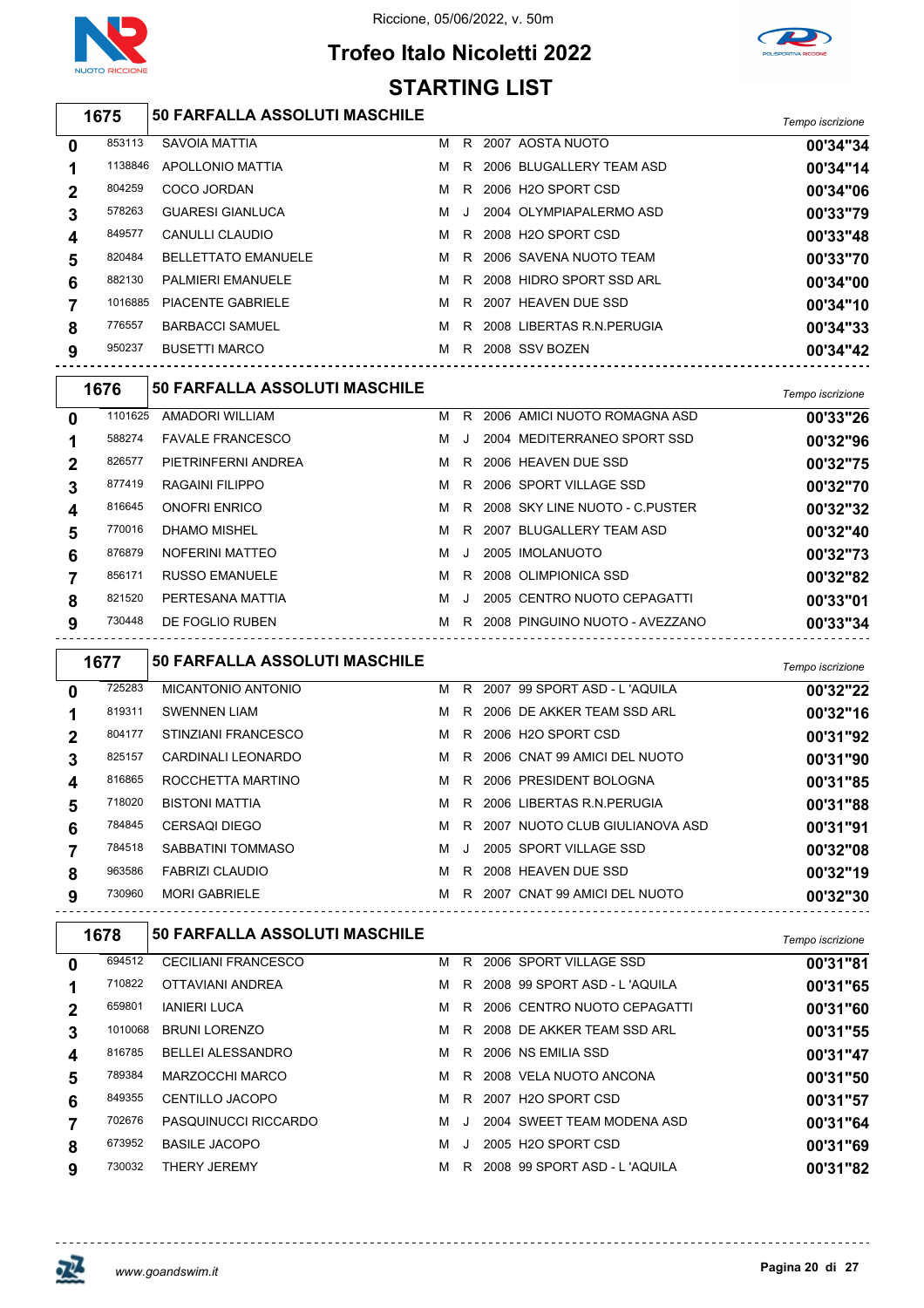

## **Trofeo Italo Nicoletti 2022 STARTING LIST**



|             | 1675    | <b>50 FARFALLA ASSOLUTI MASCHILE</b> |   |     |                             | Tempo iscrizione |
|-------------|---------|--------------------------------------|---|-----|-----------------------------|------------------|
| $\mathbf 0$ | 853113  | SAVOIA MATTIA                        | м | R.  | 2007 AOSTA NUOTO            | 00'34"34         |
|             | 1138846 | <b>APOLLONIO MATTIA</b>              | M |     | R 2006 BLUGALLERY TEAM ASD  | 00'34"14         |
| $\mathbf 2$ | 804259  | COCO JORDAN                          | м |     | R 2006 H2O SPORT CSD        | 00'34"06         |
| 3           | 578263  | <b>GUARESI GIANLUCA</b>              | M | - J | 2004 OLYMPIAPALERMO ASD     | 00'33"79         |
| 4           | 849577  | <b>CANULLI CLAUDIO</b>               | м |     | R 2008 H2O SPORT CSD        | 00'33"48         |
| 5           | 820484  | <b>BELLETTATO EMANUELE</b>           | M |     | R 2006 SAVENA NUOTO TEAM    | 00'33"70         |
| 6           | 882130  | <b>PALMIERI EMANUELE</b>             | M |     | R 2008 HIDRO SPORT SSD ARL  | 00'34"00         |
|             | 1016885 | <b>PIACENTE GABRIELE</b>             | M | R.  | 2007 HEAVEN DUE SSD         | 00'34"10         |
| 8           | 776557  | <b>BARBACCI SAMUEL</b>               | M |     | R 2008 LIBERTAS R.N.PERUGIA | 00'34"33         |
| 9           | 950237  | <b>BUSETTI MARCO</b>                 | м | R.  | 2008 SSV BOZEN              | 00'34"42         |

|             | 1676    | <b>50 FARFALLA ASSOLUTI MASCHILE</b> |   |         |                                | Tempo iscrizione |
|-------------|---------|--------------------------------------|---|---------|--------------------------------|------------------|
| $\bf{0}$    | 1101625 | AMADORI WILLIAM                      | м | R.      | 2006 AMICI NUOTO ROMAGNA ASD   | 00'33"26         |
|             | 588274  | <b>FAVALE FRANCESCO</b>              | м |         | 2004 MEDITERRANEO SPORT SSD    | 00'32"96         |
| $\mathbf 2$ | 826577  | PIETRINFERNI ANDREA                  | м | R.      | 2006 HEAVEN DUE SSD            | 00'32"75         |
| 3           | 877419  | RAGAINI FILIPPO                      | м | R.      | 2006 SPORT VILLAGE SSD         | 00'32"70         |
| 4           | 816645  | <b>ONOFRI ENRICO</b>                 | м | R.      | 2008 SKY LINE NUOTO - C PUSTER | 00'32"32         |
| 5           | 770016  | DHAMO MISHEL                         | м | R.      | 2007 BLUGALLERY TEAM ASD       | 00'32"40         |
| 6           | 876879  | NOFERINI MATTEO                      | м | $\cdot$ | 2005 IMOLANUOTO                | 00'32"73         |
|             | 856171  | <b>RUSSO EMANUELE</b>                | м | R.      | 2008 OLIMPIONICA SSD           | 00'32"82         |
| 8           | 821520  | PERTESANA MATTIA                     | м |         | 2005 CENTRO NUOTO CEPAGATTI    | 00'33"01         |
| 9           | 730448  | DE FOGLIO RUBEN                      | м | R.      | 2008 PINGUINO NUOTO - AVEZZANO | 00'33"34         |

|              | 1677   | <b>50 FARFALLA ASSOLUTI MASCHILE</b> |   |    |      |                                | Tempo iscrizione |
|--------------|--------|--------------------------------------|---|----|------|--------------------------------|------------------|
| $\mathbf{0}$ | 725283 | MICANTONIO ANTONIO                   | м |    |      | R 2007 99 SPORT ASD - L'AQUILA | 00'32"22         |
|              | 819311 | <b>SWENNEN LIAM</b>                  | м | R. |      | 2006 DE AKKER TEAM SSD ARL     | 00'32"16         |
| $\mathbf 2$  | 804177 | STINZIANI FRANCESCO                  | м | R. |      | 2006 H2O SPORT CSD             | 00'31"92         |
| 3            | 825157 | CARDINALI LEONARDO                   | м | R. |      | 2006 CNAT 99 AMICI DEL NUOTO   | 00'31"90         |
| 4            | 816865 | ROCCHETTA MARTINO                    | м | R. |      | 2006 PRESIDENT BOLOGNA         | 00'31"85         |
| 5            | 718020 | <b>BISTONI MATTIA</b>                | м | R. |      | 2006 LIBERTAS R.N. PERUGIA     | 00'31"88         |
| 6            | 784845 | <b>CERSAQI DIEGO</b>                 | м | R. |      | 2007 NUOTO CLUB GIULIANOVA ASD | 00'31"91         |
|              | 784518 | SABBATINI TOMMASO                    | м |    |      | 2005 SPORT VILLAGE SSD         | 00'32"08         |
| 8            | 963586 | <b>FABRIZI CLAUDIO</b>               | м | R. |      | 2008 HEAVEN DUE SSD            | 00'32"19         |
| 9            | 730960 | <b>MORI GABRIELE</b>                 | м | R. | 2007 | CNAT 99 AMICI DEL NUOTO        | 00'32"30         |

|             | 1678    | <b>50 FARFALLA ASSOLUTI MASCHILE</b> |   |         |                              | Tempo iscrizione |
|-------------|---------|--------------------------------------|---|---------|------------------------------|------------------|
| $\mathbf 0$ | 694512  | <b>CECILIANI FRANCESCO</b>           | м | R.      | 2006 SPORT VILLAGE SSD       | 00'31"81         |
|             | 710822  | OTTAVIANI ANDREA                     | м | R.      | 2008 99 SPORT ASD - L'AQUILA | 00'31"65         |
| 2           | 659801  | <b>IANIERI LUCA</b>                  | м | R.      | 2006 CENTRO NUOTO CEPAGATTI  | 00'31"60         |
| 3           | 1010068 | <b>BRUNI LORENZO</b>                 | м | R.      | 2008 DE AKKER TEAM SSD ARL   | 00'31"55         |
| 4           | 816785  | <b>BELLEI ALESSANDRO</b>             | м | R.      | 2006 NS EMILIA SSD           | 00'31"47         |
| 5           | 789384  | MARZOCCHI MARCO                      | м | R.      | 2008 VELA NUOTO ANCONA       | 00'31"50         |
| 6           | 849355  | <b>CENTILLO JACOPO</b>               | м | R.      | 2007 H2O SPORT CSD           | 00'31"57         |
|             | 702676  | PASQUINUCCI RICCARDO                 | м | $\cdot$ | 2004 SWEET TEAM MODENA ASD   | 00'31"64         |
| 8           | 673952  | <b>BASILE JACOPO</b>                 | м |         | 2005 H2O SPORT CSD           | 00'31"69         |
| 9           | 730032  | <b>THERY JEREMY</b>                  | м | R.      | 2008 99 SPORT ASD - L'AQUILA | 00'31"82         |

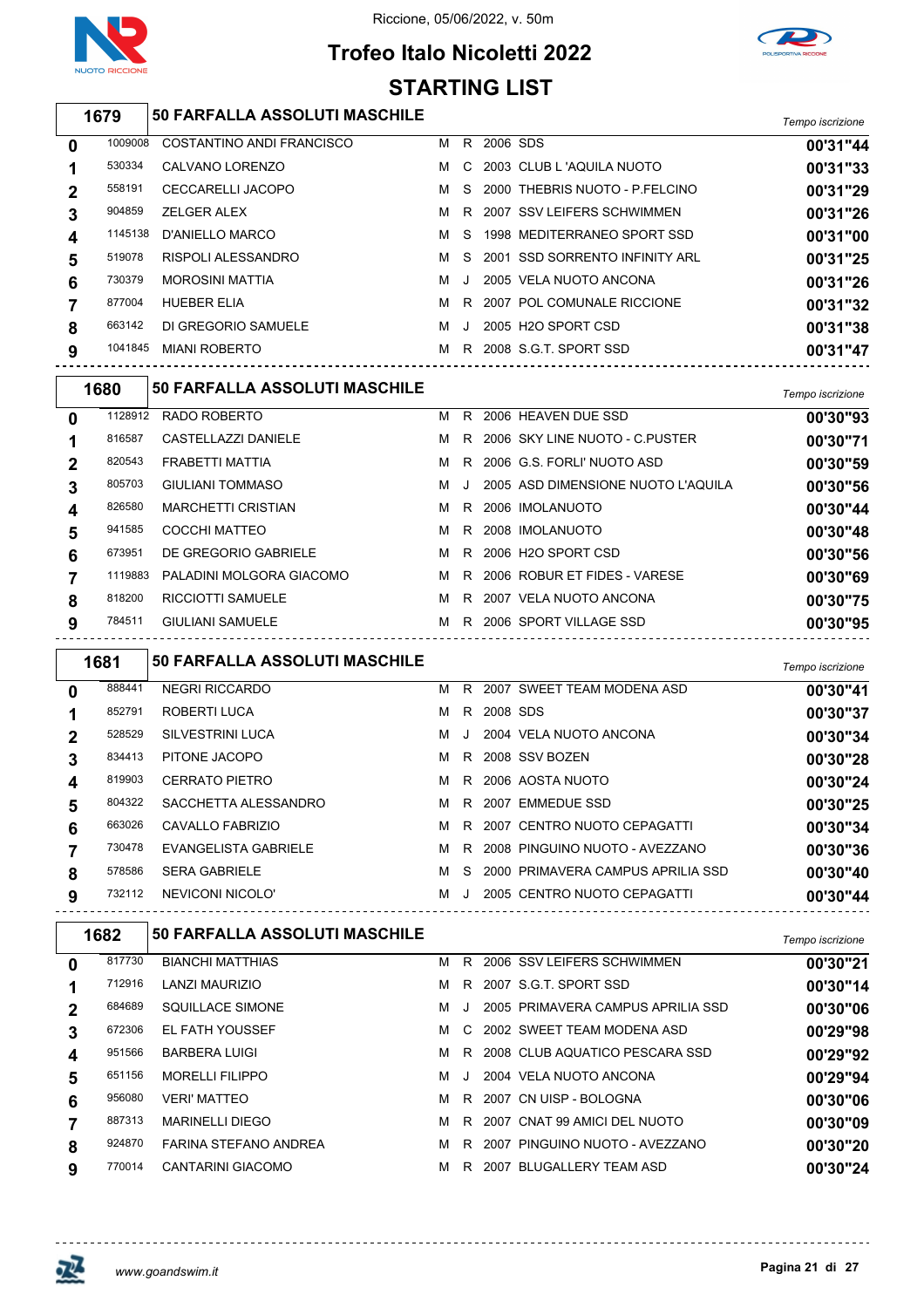

## **Trofeo Italo Nicoletti 2022 STARTING LIST**



|              | 1679    | 50 FARFALLA ASSOLUTI MASCHILE |   |     |          |                                  | Tempo iscrizione |
|--------------|---------|-------------------------------|---|-----|----------|----------------------------------|------------------|
| $\mathbf 0$  | 1009008 | COSTANTINO ANDI FRANCISCO     | м | R.  | 2006 SDS |                                  | 00'31"44         |
| 1            | 530334  | CALVANO LORENZO               | м |     |          | C 2003 CLUB L 'AQUILA NUOTO      | 00'31"33         |
| $\mathbf{2}$ | 558191  | <b>CECCARELLI JACOPO</b>      | м |     |          | S 2000 THEBRIS NUOTO - P.FELCINO | 00'31"29         |
| 3            | 904859  | <b>ZELGER ALEX</b>            | м |     |          | R 2007 SSV LEIFERS SCHWIMMEN     | 00'31"26         |
| 4            | 1145138 | D'ANIELLO MARCO               | м | - S |          | 1998 MEDITERRANEO SPORT SSD      | 00'31"00         |
| 5            | 519078  | <b>RISPOLI ALESSANDRO</b>     | м |     |          | S 2001 SSD SORRENTO INFINITY ARL | 00'31"25         |
| 6            | 730379  | <b>MOROSINI MATTIA</b>        | м |     |          | 2005 VELA NUOTO ANCONA           | 00'31"26         |
|              | 877004  | <b>HUEBER ELIA</b>            | м | R.  |          | 2007 POL COMUNALE RICCIONE       | 00'31"32         |
| 8            | 663142  | DI GREGORIO SAMUELE           | м | -J  |          | 2005 H2O SPORT CSD               | 00'31"38         |
| 9            | 1041845 | <b>MIANI ROBERTO</b>          | м | R.  |          | 2008 S.G.T. SPORT SSD            | 00'31"47         |

|                  | 1680    | 50 FARFALLA ASSOLUTI MASCHILE |   |    |                                    | Tempo iscrizione |
|------------------|---------|-------------------------------|---|----|------------------------------------|------------------|
| $\mathbf{0}$     | 1128912 | RADO ROBERTO                  | м | R. | 2006 HEAVEN DUE SSD                | 00'30"93         |
|                  | 816587  | CASTELLAZZI DANIELE           | M |    | R 2006 SKY LINE NUOTO - C.PUSTER   | 00'30"71         |
| $\mathbf 2$      | 820543  | FRABETTI MATTIA               | M |    | R 2006 G.S. FORLI' NUOTO ASD       | 00'30"59         |
| 3                | 805703  | <b>GIULIANI TOMMASO</b>       | м |    | 2005 ASD DIMENSIONE NUOTO L'AQUILA | 00'30"56         |
| $\boldsymbol{4}$ | 826580  | <b>MARCHETTI CRISTIAN</b>     | M |    | R 2006 IMOLANUOTO                  | 00'30"44         |
| 5                | 941585  | COCCHI MATTEO                 | M |    | R 2008 IMOLANUOTO                  | 00'30"48         |
| 6                | 673951  | DE GREGORIO GABRIELE          | M |    | R 2006 H2O SPORT CSD               | 00'30"56         |
|                  | 1119883 | PALADINI MOLGORA GIACOMO      | M |    | R 2006 ROBUR ET FIDES - VARESE     | 00'30"69         |
| 8                | 818200  | <b>RICCIOTTI SAMUELE</b>      | м | R. | 2007 VELA NUOTO ANCONA             | 00'30"75         |
| 9                | 784511  | <b>GIULIANI SAMUELE</b>       | м | R. | 2006 SPORT VILLAGE SSD             | 00'30"95         |
|                  |         |                               |   |    |                                    |                  |

|          | 1681   | <b>50 FARFALLA ASSOLUTI MASCHILE</b> |   |         |          |                                   | Tempo iscrizione |
|----------|--------|--------------------------------------|---|---------|----------|-----------------------------------|------------------|
| $\bf{0}$ | 888441 | <b>NEGRI RICCARDO</b>                | м | R.      |          | 2007 SWEET TEAM MODENA ASD        | 00'30"41         |
|          | 852791 | ROBERTI LUCA                         | м | R.      | 2008 SDS |                                   | 00'30"37         |
| 2        | 528529 | SILVESTRINI LUCA                     | м | -J      |          | 2004 VELA NUOTO ANCONA            | 00'30"34         |
| 3        | 834413 | PITONE JACOPO                        | м | R.      |          | 2008 SSV BOZEN                    | 00'30"28         |
| 4        | 819903 | <b>CERRATO PIETRO</b>                | м | R.      |          | 2006 AOSTA NUOTO                  | 00'30"24         |
| 5        | 804322 | SACCHETTA ALESSANDRO                 | м | R.      | 2007     | EMMEDUE SSD                       | 00'30"25         |
| 6        | 663026 | CAVALLO FABRIZIO                     | м | R.      |          | 2007 CENTRO NUOTO CEPAGATTI       | 00'30"34         |
|          | 730478 | EVANGELISTA GABRIELE                 | м | R       |          | 2008 PINGUINO NUOTO - AVEZZANO    | 00'30"36         |
| 8        | 578586 | <b>SERA GABRIELE</b>                 | м | S.      |          | 2000 PRIMAVERA CAMPUS APRILIA SSD | 00'30"40         |
| 9        | 732112 | NEVICONI NICOLO'                     | м | $\cdot$ |          | 2005 CENTRO NUOTO CEPAGATTI       | 00'30"44         |

|             | 1682   | <b>50 FARFALLA ASSOLUTI MASCHILE</b> |   |         |      |                                   | Tempo iscrizione |
|-------------|--------|--------------------------------------|---|---------|------|-----------------------------------|------------------|
| 0           | 817730 | <b>BIANCHI MATTHIAS</b>              | м | R.      |      | 2006 SSV LEIFERS SCHWIMMEN        | 00'30"21         |
|             | 712916 | LANZI MAURIZIO                       | м | R       |      | 2007 S.G.T. SPORT SSD             | 00'30"14         |
| $\mathbf 2$ | 684689 | SQUILLACE SIMONE                     | м |         |      | 2005 PRIMAVERA CAMPUS APRILIA SSD | 00'30"06         |
| 3           | 672306 | <b>EL FATH YOUSSEF</b>               | м |         |      | C 2002 SWEET TEAM MODENA ASD      | 00'29"98         |
| 4           | 951566 | <b>BARBERA LUIGI</b>                 | м | R.      |      | 2008 CLUB AQUATICO PESCARA SSD    | 00'29"92         |
| 5           | 651156 | <b>MORELLI FILIPPO</b>               | м | $\cdot$ |      | 2004 VELA NUOTO ANCONA            | 00'29"94         |
| 6           | 956080 | VERI' MATTEO                         | м | R.      |      | 2007 CN UISP - BOLOGNA            | 00'30"06         |
|             | 887313 | <b>MARINELLI DIEGO</b>               | м | R.      |      | 2007 CNAT 99 AMICI DEL NUOTO      | 00'30"09         |
| 8           | 924870 | <b>FARINA STEFANO ANDREA</b>         | м | R.      | 2007 | PINGUINO NUOTO - AVEZZANO         | 00'30"20         |
| 9           | 770014 | CANTARINI GIACOMO                    | м | R.      | 2007 | BLUGALLERY TEAM ASD               | 00'30"24         |

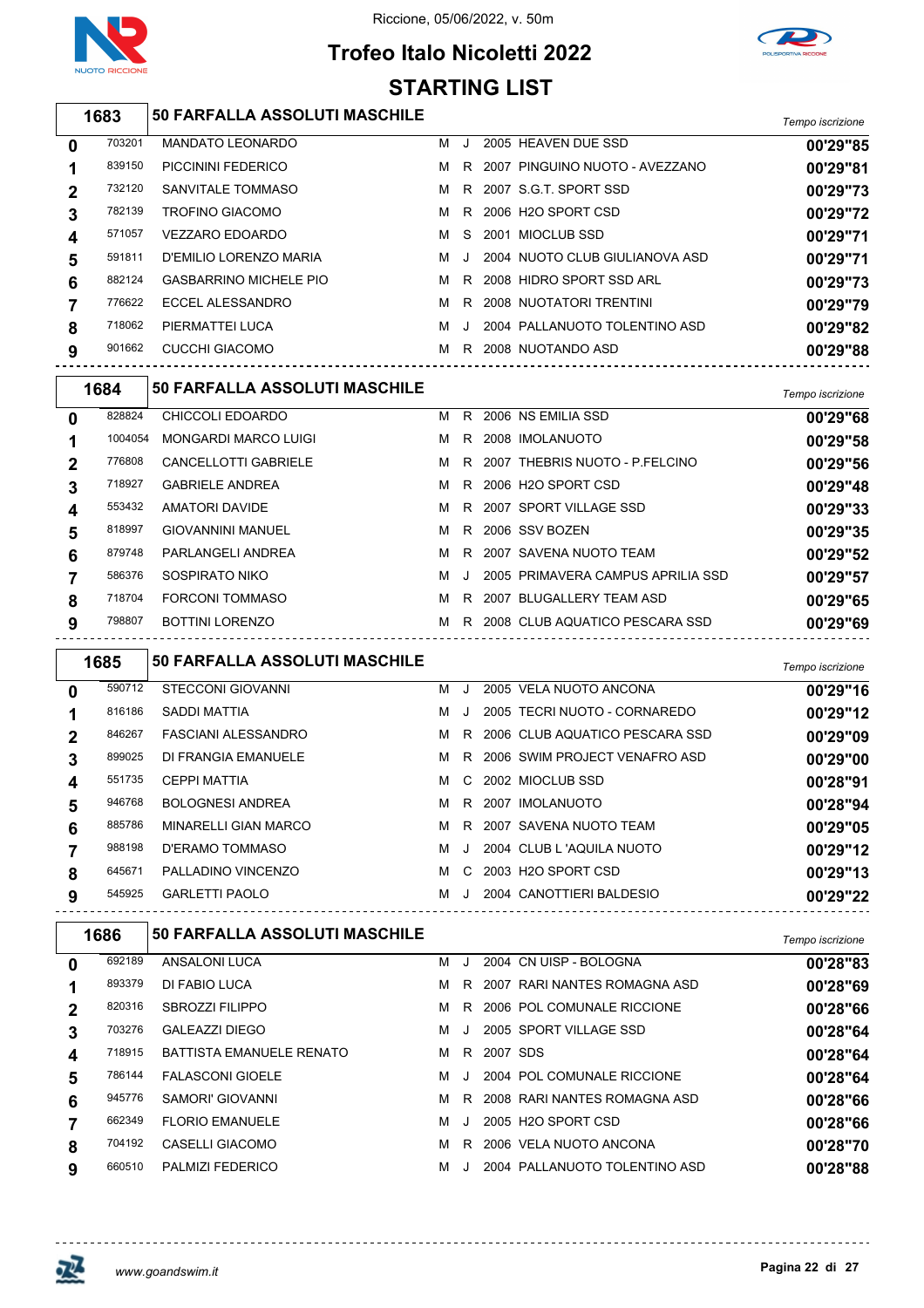

Riccione, 05/06/2022, v. 50m

### **Trofeo Italo Nicoletti 2022 STARTING LIST**



|             | 1683   | <b>50 FARFALLA ASSOLUTI MASCHILE</b> |   |         |                                | Tempo iscrizione |
|-------------|--------|--------------------------------------|---|---------|--------------------------------|------------------|
| 0           | 703201 | <b>MANDATO LEONARDO</b>              | м | $\cdot$ | 2005 HEAVEN DUE SSD            | 00'29"85         |
|             | 839150 | PICCININI FEDERICO                   | м | R.      | 2007 PINGUINO NUOTO - AVEZZANO | 00'29"81         |
| $\mathbf 2$ | 732120 | SANVITALE TOMMASO                    | м |         | R 2007 S.G.T. SPORT SSD        | 00'29"73         |
| 3           | 782139 | <b>TROFINO GIACOMO</b>               | м |         | R 2006 H2O SPORT CSD           | 00'29"72         |
| 4           | 571057 | VEZZARO EDOARDO                      | м | S.      | 2001 MIOCLUB SSD               | 00'29"71         |
| 5           | 591811 | D'EMILIO LORENZO MARIA               | м | . J     | 2004 NUOTO CLUB GIULIANOVA ASD | 00'29"71         |
| 6           | 882124 | <b>GASBARRINO MICHELE PIO</b>        | м | R       | 2008 HIDRO SPORT SSD ARL       | 00'29"73         |
|             | 776622 | ECCEL ALESSANDRO                     | м | R       | 2008 NUOTATORI TRENTINI        | 00'29"79         |
| 8           | 718062 | PIERMATTEI LUCA                      | м |         | 2004 PALLANUOTO TOLENTINO ASD  | 00'29"82         |

| 9            | 901662  | CUCCHI GIACOMO                       |   |         | M R 2008 NUOTANDO ASD<br>--------------------- | 00'29"88         |
|--------------|---------|--------------------------------------|---|---------|------------------------------------------------|------------------|
|              | 1684    | <b>50 FARFALLA ASSOLUTI MASCHILE</b> |   |         |                                                | Tempo iscrizione |
| $\mathbf{0}$ | 828824  | CHICCOLI EDOARDO                     | м |         | R 2006 NS EMILIA SSD                           | 00'29"68         |
| 1            | 1004054 | <b>MONGARDI MARCO LUIGI</b>          | м |         | R 2008 IMOLANUOTO                              | 00'29"58         |
| $\mathbf{2}$ | 776808  | CANCELLOTTI GABRIELE                 | м |         | R 2007 THEBRIS NUOTO - P FELCINO               | 00'29"56         |
| 3            | 718927  | <b>GABRIELE ANDREA</b>               | м |         | R 2006 H2O SPORT CSD                           | 00'29"48         |
| 4            | 553432  | AMATORI DAVIDE                       | м |         | R 2007 SPORT VILLAGE SSD                       | 00'29"33         |
| 5            | 818997  | <b>GIOVANNINI MANUEL</b>             | M |         | R 2006 SSV BOZEN                               | 00'29"35         |
| 6            | 879748  | PARLANGELI ANDREA                    | м |         | R 2007 SAVENA NUOTO TEAM                       | 00'29"52         |
| 7            | 586376  | SOSPIRATO NIKO                       | м | $\cdot$ | 2005 PRIMAVERA CAMPUS APRILIA SSD              | 00'29"57         |
| 8            | 718704  | <b>FORCONI TOMMASO</b>               | м |         | R 2007 BLUGALLERY TEAM ASD                     | 00'29"65         |
| 9            | 798807  | <b>BOTTINI LORENZO</b>               | м |         | R 2008 CLUB AQUATICO PESCARA SSD               | 00'29"69         |

|   | 1685   | <b>50 FARFALLA ASSOLUTI MASCHILE</b> |   |         |                                 | Tempo iscrizione |
|---|--------|--------------------------------------|---|---------|---------------------------------|------------------|
| 0 | 590712 | <b>STECCONI GIOVANNI</b>             | м |         | 2005 VELA NUOTO ANCONA          | 00'29"16         |
|   | 816186 | SADDI MATTIA                         | м | $\cdot$ | 2005 TECRI NUOTO - CORNAREDO    | 00'29"12         |
|   | 846267 | <b>FASCIANI ALESSANDRO</b>           | м | R.      | 2006 CLUB AQUATICO PESCARA SSD  | 00'29"09         |
| 3 | 899025 | DI FRANGIA EMANUELE                  | м |         | R 2006 SWIM PROJECT VENAFRO ASD | 00'29"00         |
| 4 | 551735 | <b>CEPPI MATTIA</b>                  | м |         | C 2002 MIOCLUB SSD              | 00'28"91         |
| 5 | 946768 | <b>BOLOGNESI ANDREA</b>              | м | R.      | 2007 IMOLANUOTO                 | 00'28"94         |
| 6 | 885786 | <b>MINARELLI GIAN MARCO</b>          | м | R.      | 2007 SAVENA NUOTO TEAM          | 00'29"05         |
|   | 988198 | D'ERAMO TOMMASO                      | м | $\cdot$ | 2004 CLUB L 'AQUILA NUOTO       | 00'29"12         |
| 8 | 645671 | PALLADINO VINCENZO                   | м | C.      | 2003 H2O SPORT CSD              | 00'29"13         |
| 9 | 545925 | <b>GARLETTI PAOLO</b>                | м | $\cdot$ | 2004 CANOTTIERI BALDESIO        | 00'29"22         |

| 692189 |                                 |   |         |   |                        |                                                                                                                                                                                                                                                 |
|--------|---------------------------------|---|---------|---|------------------------|-------------------------------------------------------------------------------------------------------------------------------------------------------------------------------------------------------------------------------------------------|
|        | ANSALONI LUCA                   | м | J.      |   | 2004 CN UISP - BOLOGNA | 00'28"83                                                                                                                                                                                                                                        |
| 893379 | DI FABIO LUCA                   | м | R.      |   |                        | 00'28"69                                                                                                                                                                                                                                        |
| 820316 | <b>SBROZZI FILIPPO</b>          | м | R.      |   |                        | 00'28"66                                                                                                                                                                                                                                        |
| 703276 | GALEAZZI DIEGO                  | м |         |   |                        | 00'28"64                                                                                                                                                                                                                                        |
| 718915 | <b>BATTISTA EMANUELE RENATO</b> | м | R.      |   |                        | 00'28"64                                                                                                                                                                                                                                        |
| 786144 | <b>FALASCONI GIOELE</b>         | м |         |   |                        | 00'28"64                                                                                                                                                                                                                                        |
| 945776 | SAMORI' GIOVANNI                | м | R.      |   |                        | 00'28"66                                                                                                                                                                                                                                        |
| 662349 | <b>FLORIO EMANUELE</b>          | м | $\cdot$ |   |                        | 00'28"66                                                                                                                                                                                                                                        |
| 704192 | CASELLI GIACOMO                 | м | R.      |   |                        | 00'28"70                                                                                                                                                                                                                                        |
| 660510 | <b>PALMIZI FEDERICO</b>         | м | $\cdot$ |   |                        | 00'28"88                                                                                                                                                                                                                                        |
|        |                                 |   |         | J |                        | 2007 RARI NANTES ROMAGNA ASD<br>2006 POL COMUNALE RICCIONE<br>2005 SPORT VILLAGE SSD<br>2007 SDS<br>2004 POL COMUNALE RICCIONE<br>2008 RARI NANTES ROMAGNA ASD<br>2005 H2O SPORT CSD<br>2006 VELA NUOTO ANCONA<br>2004 PALLANUOTO TOLENTINO ASD |



 $\overline{a}$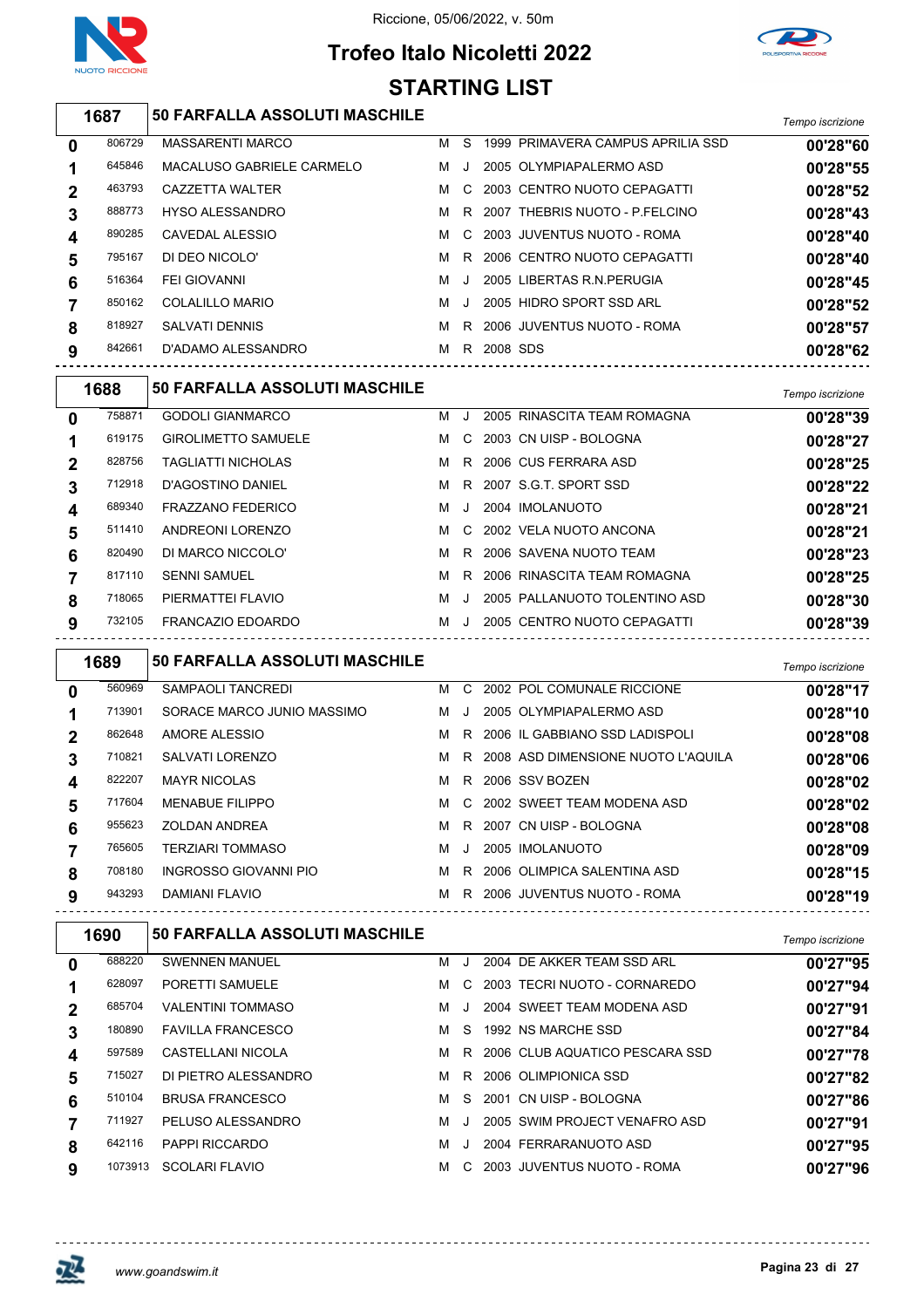

# **Trofeo Italo Nicoletti 2022 STARTING LIST**



#### *Tempo iscrizione* **50 FARFALLA ASSOLUTI MASCHILE**

| 0 | 806729 | <b>MASSARENTI MARCO</b>   | м | S.      |          | 1999 PRIMAVERA CAMPUS APRILIA SSD | 00'28"60 |
|---|--------|---------------------------|---|---------|----------|-----------------------------------|----------|
|   | 645846 | MACALUSO GABRIELE CARMELO | м | $\cdot$ |          | 2005 OLYMPIAPALERMO ASD           | 00'28"55 |
| 2 | 463793 | CAZZETTA WALTER           | м | C.      |          | 2003 CENTRO NUOTO CEPAGATTI       | 00'28"52 |
| 3 | 888773 | <b>HYSO ALESSANDRO</b>    | м | R.      |          | 2007 THEBRIS NUOTO - P.FELCINO    | 00'28"43 |
|   | 890285 | CAVEDAL ALESSIO           | м | C.      |          | 2003 JUVENTUS NUOTO - ROMA        | 00'28"40 |
| 5 | 795167 | DI DEO NICOLO'            | м | R.      |          | 2006 CENTRO NUOTO CEPAGATTI       | 00'28"40 |
| 6 | 516364 | FEI GIOVANNI              | м | $\cdot$ |          | 2005 LIBERTAS R.N. PERUGIA        | 00'28"45 |
|   | 850162 | COLALILLO MARIO           | м | J.      |          | 2005 HIDRO SPORT SSD ARL          | 00'28"52 |
| 8 | 818927 | SALVATI DENNIS            | м | R       |          | 2006 JUVENTUS NUOTO - ROMA        | 00'28"57 |
| 9 | 842661 | D'ADAMO ALESSANDRO        | м | R.      | 2008 SDS |                                   | 00'28"62 |
|   |        |                           |   |         |          |                                   |          |

| 758871<br>2005 RINASCITA TEAM ROMAGNA<br><b>GODOLI GIANMARCO</b><br>м<br>$\Box$<br>$\mathbf{0}$ | 00'28"39 |
|-------------------------------------------------------------------------------------------------|----------|
|                                                                                                 |          |
| C 2003 CN UISP - BOLOGNA<br>619175<br><b>GIROLIMETTO SAMUELE</b><br>м                           | 00'28"27 |
| 2006 CUS FERRARA ASD<br>828756<br><b>TAGLIATTI NICHOLAS</b><br>м<br>R<br>$\mathbf 2$            | 00'28"25 |
| R 2007 S.G.T. SPORT SSD<br>712918<br>D'AGOSTINO DANIEL<br>M<br>3                                | 00'28"22 |
| 2004 IMOLANUOTO<br>689340<br><b>FRAZZANO FEDERICO</b><br>м<br>$\cdot$<br>4                      | 00'28"21 |
| 511410<br>ANDREONI LORENZO<br>C 2002 VELA NUOTO ANCONA<br>м<br>5                                | 00'28"21 |
| 820490<br>DI MARCO NICCOLO'<br>R 2006 SAVENA NUOTO TEAM<br>м<br>6                               | 00'28"23 |
| 817110<br>2006 RINASCITA TEAM ROMAGNA<br><b>SENNI SAMUEL</b><br>м<br>R                          | 00'28"25 |
| 718065<br>PIERMATTEI FLAVIO<br>2005 PALLANUOTO TOLENTINO ASD<br>м<br>8<br>$\cdot$               | 00'28"30 |
| 732105<br>FRANCAZIO EDOARDO<br>2005 CENTRO NUOTO CEPAGATTI<br>м<br>9<br>$\cdot$                 | 00'28"39 |

|   | 1689   | <b>50 FARFALLA ASSOLUTI MASCHILE</b> |   |       |                                      | Tempo iscrizione |
|---|--------|--------------------------------------|---|-------|--------------------------------------|------------------|
| 0 | 560969 | <b>SAMPAOLI TANCREDI</b>             | м | C.    | 2002 POL COMUNALE RICCIONE           | 00'28"17         |
|   | 713901 | SORACE MARCO JUNIO MASSIMO           | м | . J.  | 2005 OLYMPIAPALERMO ASD              | 00'28"10         |
|   | 862648 | AMORE ALESSIO                        | м | R.    | 2006 IL GABBIANO SSD LADISPOLI       | 00'28"08         |
| 3 | 710821 | SALVATI LORENZO                      | м |       | R 2008 ASD DIMENSIONE NUOTO L'AQUILA | 00'28"06         |
| 4 | 822207 | <b>MAYR NICOLAS</b>                  | м | R.    | 2006 SSV BOZEN                       | 00'28"02         |
| 5 | 717604 | <b>MENABUE FILIPPO</b>               | м |       | C 2002 SWEET TEAM MODENA ASD         | 00'28"02         |
| 6 | 955623 | <b>ZOLDAN ANDREA</b>                 | м | R.    | 2007 CN UISP - BOLOGNA               | 00'28"08         |
|   | 765605 | TERZIARI TOMMASO                     | м | . . 1 | 2005 IMOLANUOTO                      | 00'28"09         |
| 8 | 708180 | <b>INGROSSO GIOVANNI PIO</b>         | м | R.    | 2006 OLIMPICA SALENTINA ASD          | 00'28"15         |
| 9 | 943293 | DAMIANI FLAVIO                       | м | R.    | 2006 JUVENTUS NUOTO - ROMA           | 00'28"19         |

|                | 1690    | <b>50 FARFALLA ASSOLUTI MASCHILE</b> |   |         |                                | Tempo iscrizione |
|----------------|---------|--------------------------------------|---|---------|--------------------------------|------------------|
| 0              | 688220  | <b>SWENNEN MANUEL</b>                | м |         | 2004 DE AKKER TEAM SSD ARL     | 00'27"95         |
|                | 628097  | PORETTI SAMUELE                      | м | C.      | 2003 TECRI NUOTO - CORNAREDO   | 00'27"94         |
| $\overline{2}$ | 685704  | <b>VALENTINI TOMMASO</b>             | м |         | 2004 SWEET TEAM MODENA ASD     | 00'27"91         |
| 3              | 180890  | <b>FAVILLA FRANCESCO</b>             | м | S.      | 1992 NS MARCHE SSD             | 00'27"84         |
| 4              | 597589  | CASTELLANI NICOLA                    | м | R.      | 2006 CLUB AQUATICO PESCARA SSD | 00'27"78         |
| 5              | 715027  | DI PIETRO ALESSANDRO                 | м | R.      | 2006 OLIMPIONICA SSD           | 00'27"82         |
| 6              | 510104  | <b>BRUSA FRANCESCO</b>               | м | S.      | 2001 CN UISP - BOLOGNA         | 00'27"86         |
|                | 711927  | PELUSO ALESSANDRO                    | м | $\cdot$ | 2005 SWIM PROJECT VENAFRO ASD  | 00'27"91         |
| 8              | 642116  | PAPPI RICCARDO                       | M |         | 2004 FERRARANUOTO ASD          | 00'27"95         |
| 9              | 1073913 | <b>SCOLARI FLAVIO</b>                | м | C.      | 2003 JUVENTUS NUOTO - ROMA     | 00'27"96         |

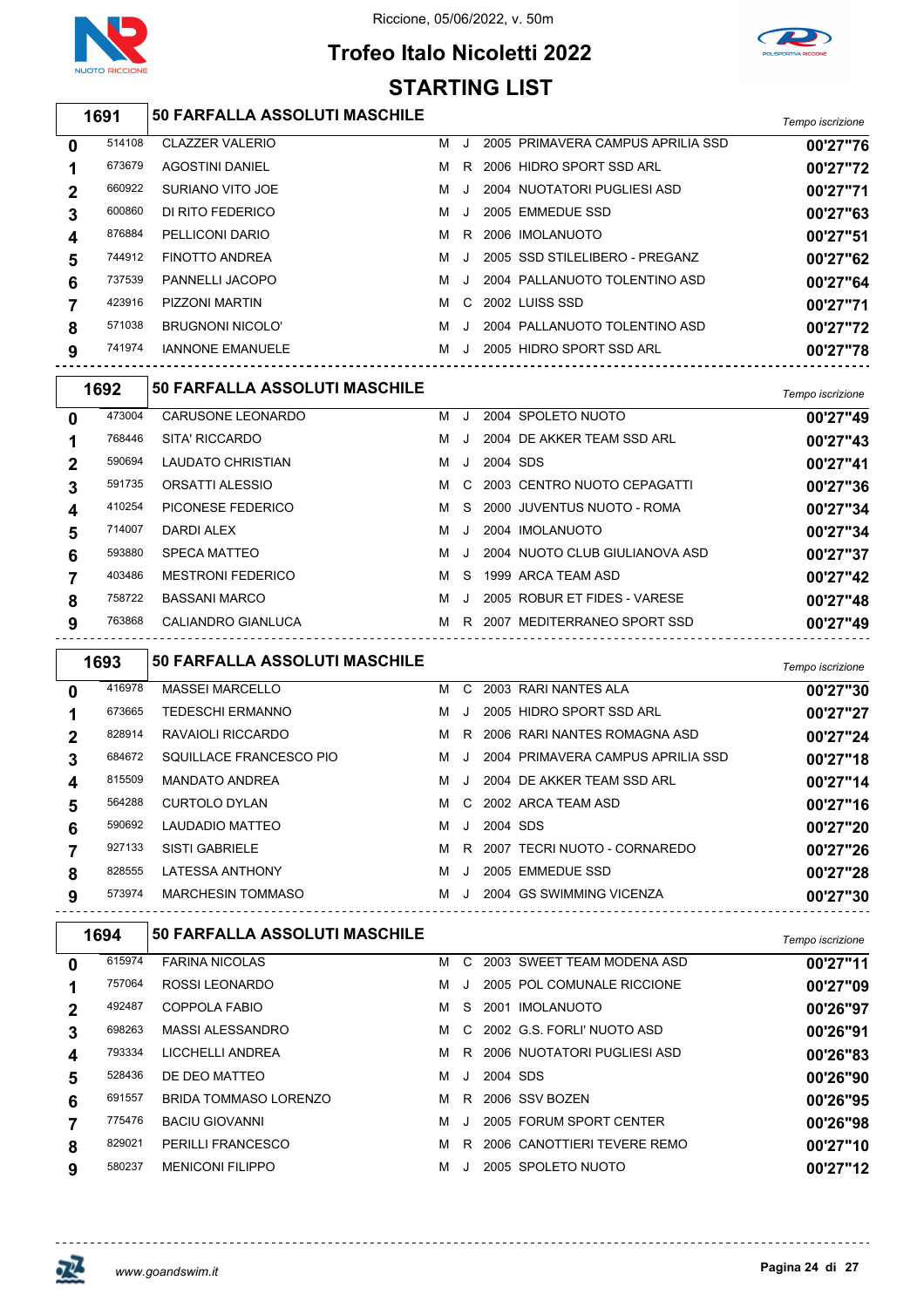





#### *Tempo iscrizione* **50 FARFALLA ASSOLUTI MASCHILE** CLAZZER VALERIO M J 2005 PRIMAVERA CAMPUS APRILIA SSD **00'27"76** AGOSTINI DANIEL M R 2006 HIDRO SPORT SSD ARL **00'27"72** SURIANO VITO JOE M J 2004 NUOTATORI PUGLIESI ASD **00'27"71** DI RITO FEDERICO M J 2005 EMMEDUE SSD **00'27"63** PELLICONI DARIO M R 2006 IMOLANUOTO **00'27"51** FINOTTO ANDREA M J 2005 SSD STILELIBERO - PREGANZ **00'27"62** PANNELLI JACOPO M J 2004 PALLANUOTO TOLENTINO ASD **00'27"64** PIZZONI MARTIN M C 2002 LUISS SSD **00'27"71** BRUGNONI NICOLO' M J 2004 PALLANUOTO TOLENTINO ASD **00'27"72** IANNONE EMANUELE M J 2005 HIDRO SPORT SSD ARL **00'27"78**

|              | 1692   | 50 FARFALLA ASSOLUTI MASCHILE |   |         |          |                                | Tempo iscrizione |
|--------------|--------|-------------------------------|---|---------|----------|--------------------------------|------------------|
| $\mathbf{0}$ | 473004 | CARUSONE LEONARDO             | м | $\cdot$ |          | 2004 SPOLETO NUOTO             | 00'27"49         |
|              | 768446 | SITA' RICCARDO                | м | $\cdot$ |          | 2004 DE AKKER TEAM SSD ARL     | 00'27"43         |
| $\mathbf 2$  | 590694 | <b>LAUDATO CHRISTIAN</b>      | м | $\cdot$ | 2004 SDS |                                | 00'27"41         |
| 3            | 591735 | ORSATTI ALESSIO               | м |         |          | C 2003 CENTRO NUOTO CEPAGATTI  | 00'27"36         |
| 4            | 410254 | PICONESE FEDERICO             | м |         |          | S 2000 JUVENTUS NUOTO - ROMA   | 00'27"34         |
| 5            | 714007 | DARDI ALEX                    | м | $\cdot$ |          | 2004 IMOLANUOTO                | 00'27"34         |
| 6            | 593880 | SPECA MATTEO                  | м | $\cdot$ |          | 2004 NUOTO CLUB GIULIANOVA ASD | 00'27"37         |
|              | 403486 | <b>MESTRONI FEDERICO</b>      | м | S.      |          | 1999 ARCA TFAM ASD             | 00'27"42         |
| 8            | 758722 | <b>BASSANI MARCO</b>          | м | $\cdot$ |          | 2005 ROBUR ET FIDES - VARESE   | 00'27"48         |
| 9            | 763868 | CALIANDRO GIANLUCA            | м |         |          | R 2007 MEDITERRANEO SPORT SSD  | 00'27"49         |

|   | 1693   | <b>50 FARFALLA ASSOLUTI MASCHILE</b> |   |              |          |                                   | Tempo iscrizione |
|---|--------|--------------------------------------|---|--------------|----------|-----------------------------------|------------------|
| 0 | 416978 | <b>MASSEI MARCELLO</b>               | м | C.           |          | 2003 RARI NANTES ALA              | 00'27"30         |
|   | 673665 | <b>TEDESCHI ERMANNO</b>              | м | $\cdot$      |          | 2005 HIDRO SPORT SSD ARL          | 00'27"27         |
| 2 | 828914 | RAVAIOLI RICCARDO                    | м |              |          | R 2006 RARI NANTES ROMAGNA ASD    | 00'27"24         |
| 3 | 684672 | SQUILLACE FRANCESCO PIO              | м | $\mathbf{J}$ |          | 2004 PRIMAVERA CAMPUS APRILIA SSD | 00'27"18         |
| 4 | 815509 | <b>MANDATO ANDREA</b>                | м | $\mathbf{I}$ |          | 2004 DE AKKER TEAM SSD ARL        | 00'27"14         |
| 5 | 564288 | <b>CURTOLO DYLAN</b>                 | м | C.           |          | 2002 ARCA TEAM ASD                | 00'27"16         |
| 6 | 590692 | LAUDADIO MATTEO                      | м | J.           | 2004 SDS |                                   | 00'27"20         |
|   | 927133 | <b>SISTI GABRIELE</b>                | м |              |          | R 2007 TECRI NUOTO - CORNAREDO    | 00'27"26         |
| 8 | 828555 | <b>LATESSA ANTHONY</b>               | м | $\cdot$      |          | 2005 EMMEDUE SSD                  | 00'27"28         |
| 9 | 573974 | <b>MARCHESIN TOMMASO</b>             | м | $\cdot$ . I  |          | 2004 GS SWIMMING VICENZA          | 00'27"30         |

|              | 1694   | <b>50 FARFALLA ASSOLUTI MASCHILE</b> |   |         |          |                              | Tempo iscrizione |
|--------------|--------|--------------------------------------|---|---------|----------|------------------------------|------------------|
| $\mathbf{0}$ | 615974 | <b>FARINA NICOLAS</b>                | м | C.      |          | 2003 SWEET TEAM MODENA ASD   | 00'27"11         |
|              | 757064 | ROSSI LEONARDO                       | м | $\cdot$ |          | 2005 POL COMUNALE RICCIONE   | 00'27"09         |
|              | 492487 | COPPOLA FABIO                        | м | S .     |          | 2001 IMOLANUOTO              | 00'26"97         |
| 3            | 698263 | MASSI ALESSANDRO                     | м |         |          | C 2002 G.S. FORLI' NUOTO ASD | 00'26"91         |
| 4            | 793334 | LICCHELLI ANDREA                     | м | R.      |          | 2006 NUOTATORI PUGLIESI ASD  | 00'26"83         |
| 5            | 528436 | DE DEO MATTEO                        | м | $\cdot$ | 2004 SDS |                              | 00'26"90         |
| 6            | 691557 | BRIDA TOMMASO LORENZO                | м | R.      |          | 2006 SSV BOZEN               | 00'26"95         |
|              | 775476 | <b>BACIU GIOVANNI</b>                | м | $\cdot$ |          | 2005 FORUM SPORT CENTER      | 00'26"98         |
| 8            | 829021 | PERILLI FRANCESCO                    | м | R       |          | 2006 CANOTTIERI TEVERE REMO  | 00'27"10         |
| 9            | 580237 | <b>MENICONI FILIPPO</b>              | м |         |          | 2005 SPOLETO NUOTO           | 00'27"12         |

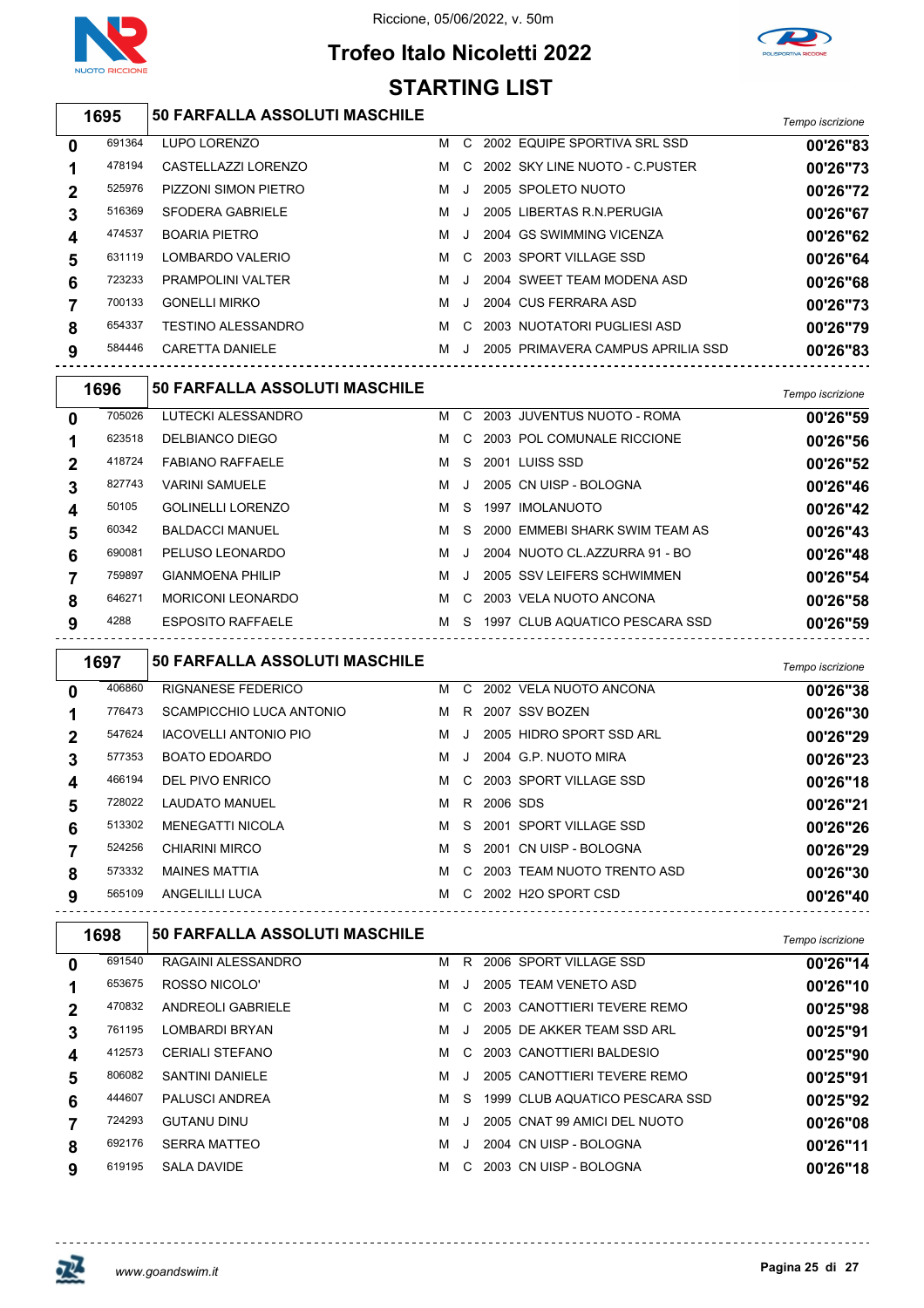

# **Trofeo Italo Nicoletti 2022 STARTING LIST**



*Tempo iscrizione* **50 FARFALLA ASSOLUTI MASCHILE**

|        |                             |   |    |  | <b>I CHIDO ISCHZIONG</b>                                                                                                                                                                                                                                                                           |
|--------|-----------------------------|---|----|--|----------------------------------------------------------------------------------------------------------------------------------------------------------------------------------------------------------------------------------------------------------------------------------------------------|
| 691364 | LUPO LORENZO                | м | C. |  | 00'26"83                                                                                                                                                                                                                                                                                           |
| 478194 | CASTELLAZZI LORENZO         | M | C. |  | 00'26"73                                                                                                                                                                                                                                                                                           |
| 525976 | <b>PIZZONI SIMON PIETRO</b> | м |    |  | 00'26"72                                                                                                                                                                                                                                                                                           |
| 516369 | SFODERA GABRIELE            | м |    |  | 00'26"67                                                                                                                                                                                                                                                                                           |
| 474537 | <b>BOARIA PIETRO</b>        | м |    |  | 00'26"62                                                                                                                                                                                                                                                                                           |
| 631119 | LOMBARDO VALERIO            | м | C. |  | 00'26"64                                                                                                                                                                                                                                                                                           |
| 723233 | <b>PRAMPOLINI VALTER</b>    | м |    |  | 00'26"68                                                                                                                                                                                                                                                                                           |
| 700133 | <b>GONELLI MIRKO</b>        | м |    |  | 00'26"73                                                                                                                                                                                                                                                                                           |
| 654337 | <b>TESTINO ALESSANDRO</b>   | м | C. |  | 00'26"79                                                                                                                                                                                                                                                                                           |
| 584446 | <b>CARETTA DANIELE</b>      | м |    |  | 00'26"83                                                                                                                                                                                                                                                                                           |
|        |                             |   |    |  | 2002 EQUIPE SPORTIVA SRL SSD<br>2002 SKY LINE NUOTO - C.PUSTER<br>2005 SPOLETO NUOTO<br>2005 LIBERTAS R.N. PERUGIA<br>2004 GS SWIMMING VICENZA<br>2003 SPORT VILLAGE SSD<br>2004 SWEET TEAM MODENA ASD<br>2004 CUS FERRARA ASD<br>2003 NUOTATORI PUGLIESI ASD<br>2005 PRIMAVERA CAMPUS APRILIA SSD |

|   | 1696   | <b>50 FARFALLA ASSOLUTI MASCHILE</b> |   |               |      |                                | Tempo iscrizione |
|---|--------|--------------------------------------|---|---------------|------|--------------------------------|------------------|
| 0 | 705026 | LUTECKI ALESSANDRO                   | м | $\mathcal{C}$ |      | 2003 JUVENTUS NUOTO - ROMA     | 00'26"59         |
|   | 623518 | DELBIANCO DIEGO                      | м | C.            |      | 2003 POL COMUNALE RICCIONE     | 00'26"56         |
| 2 | 418724 | <b>FABIANO RAFFAELE</b>              | м | S.            |      | 2001 LUISS SSD                 | 00'26"52         |
| 3 | 827743 | <b>VARINI SAMUELE</b>                | м |               |      | 2005 CN UISP - BOLOGNA         | 00'26"46         |
| 4 | 50105  | <b>GOLINELLI LORENZO</b>             | м | S.            | 1997 | <b>IMOLANUOTO</b>              | 00'26"42         |
| 5 | 60342  | <b>BALDACCI MANUEL</b>               | м | S.            |      | 2000 EMMEBI SHARK SWIM TEAM AS | 00'26"43         |
| 6 | 690081 | PELUSO LEONARDO                      | м | $\mathbf{I}$  |      | 2004 NUOTO CL.AZZURRA 91 - BO  | 00'26"48         |
|   | 759897 | <b>GIANMOENA PHILIP</b>              | м |               |      | 2005 SSV LEIFERS SCHWIMMEN     | 00'26"54         |
| 8 | 646271 | <b>MORICONI LEONARDO</b>             | м | C.            |      | 2003 VELA NUOTO ANCONA         | 00'26"58         |
| 9 | 4288   | <b>ESPOSITO RAFFAELE</b>             | м | S.            |      | 1997 CLUB AQUATICO PESCARA SSD | 00'26"59         |

|          | 1697   | <b>50 FARFALLA ASSOLUTI MASCHILE</b> |   |               |          |                            | Tempo iscrizione |
|----------|--------|--------------------------------------|---|---------------|----------|----------------------------|------------------|
| $\bf{0}$ | 406860 | <b>RIGNANESE FEDERICO</b>            | м |               |          | C 2002 VELA NUOTO ANCONA   | 00'26"38         |
|          | 776473 | SCAMPICCHIO LUCA ANTONIO             | м | R.            |          | 2007 SSV BOZEN             | 00'26"30         |
| 2        | 547624 | <b>IACOVELLI ANTONIO PIO</b>         | м | . J           |          | 2005 HIDRO SPORT SSD ARL   | 00'26"29         |
| 3        | 577353 | <b>BOATO EDOARDO</b>                 | м | $\cdot$ .     |          | 2004 G.P. NUOTO MIRA       | 00'26"23         |
| 4        | 466194 | DEL PIVO ENRICO                      | м |               |          | C 2003 SPORT VILLAGE SSD   | 00'26"18         |
| 5        | 728022 | <b>LAUDATO MANUEL</b>                | м | R.            | 2006 SDS |                            | 00'26"21         |
| 6        | 513302 | <b>MENEGATTI NICOLA</b>              | м |               |          | S 2001 SPORT VILLAGE SSD   | 00'26"26         |
|          | 524256 | CHIARINI MIRCO                       | м | S.            |          | 2001 CN UISP - BOLOGNA     | 00'26"29         |
| 8        | 573332 | <b>MAINES MATTIA</b>                 | м | C.            |          | 2003 TEAM NUOTO TRENTO ASD | 00'26"30         |
| 9        | 565109 | ANGELILLI LUCA                       | м | $\mathcal{C}$ |          | 2002 H2O SPORT CSD         | 00'26"40         |

|   | 1698   | 50 FARFALLA ASSOLUTI MASCHILE |   |    |                                | Tempo iscrizione |
|---|--------|-------------------------------|---|----|--------------------------------|------------------|
| 0 | 691540 | RAGAINI ALESSANDRO            | м | R  | 2006 SPORT VILLAGE SSD         | 00'26"14         |
|   | 653675 | ROSSO NICOLO'                 | м |    | 2005 TEAM VENETO ASD           | 00'26"10         |
| 2 | 470832 | <b>ANDREOLI GABRIELE</b>      | м | C. | 2003 CANOTTIERI TEVERE REMO    | 00'25"98         |
| 3 | 761195 | LOMBARDI BRYAN                | м |    | 2005 DE AKKER TEAM SSD ARL     | 00'25"91         |
| 4 | 412573 | <b>CERIALI STEFANO</b>        | м | C. | 2003 CANOTTIERI BALDESIO       | 00'25"90         |
| 5 | 806082 | SANTINI DANIFI F              | м |    | 2005 CANOTTIERI TEVERE REMO    | 00'25"91         |
| 6 | 444607 | <b>PALUSCI ANDREA</b>         | м | S. | 1999 CLUB AQUATICO PESCARA SSD | 00'25"92         |
|   | 724293 | <b>GUTANU DINU</b>            | м |    | 2005 CNAT 99 AMICI DEL NUOTO   | 00'26"08         |
| 8 | 692176 | <b>SERRA MATTEO</b>           | м |    | 2004 CN UISP - BOLOGNA         | 00'26"11         |
| 9 | 619195 | <b>SALA DAVIDE</b>            | м | C. | 2003 CN UISP - BOLOGNA         | 00'26"18         |

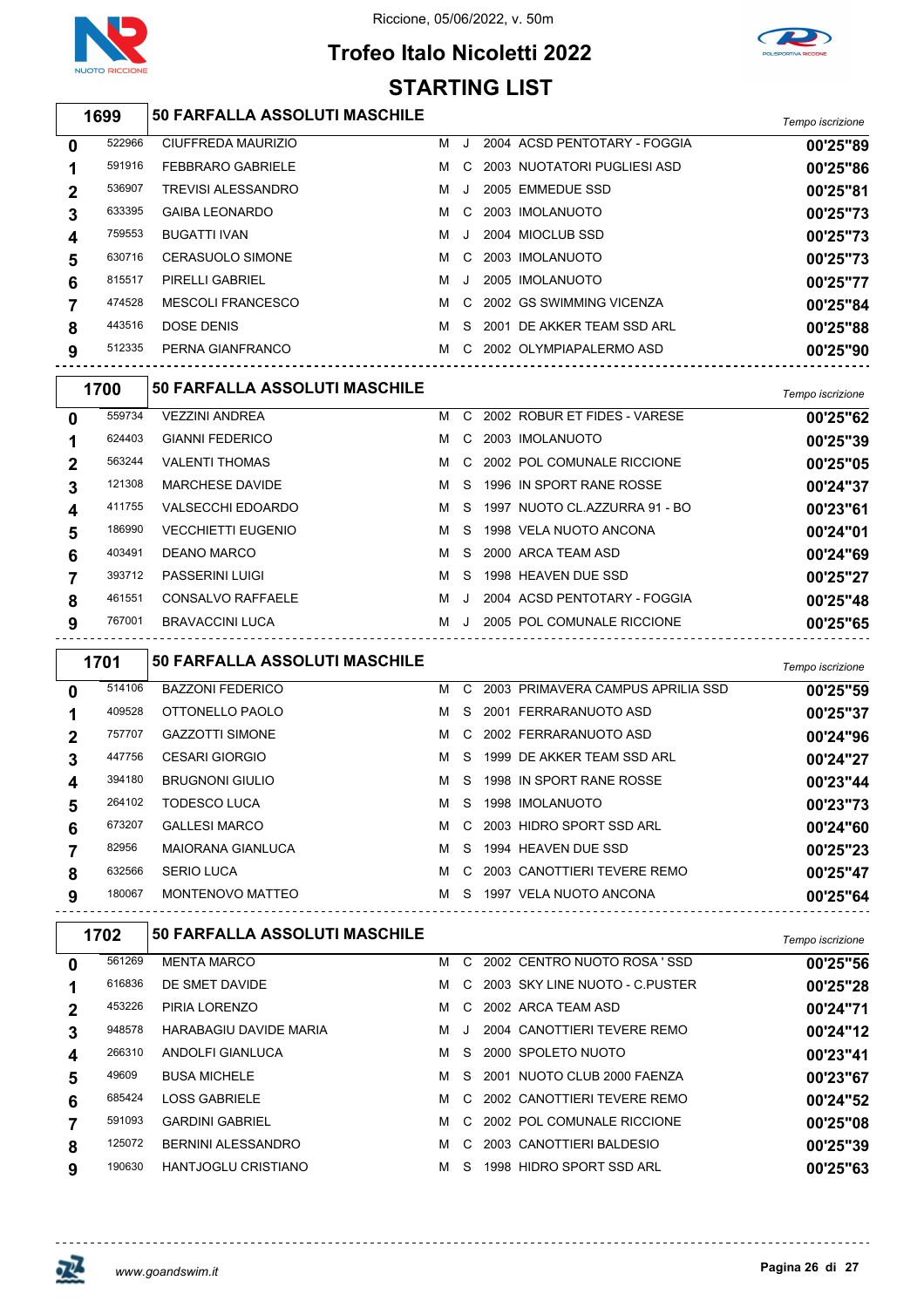

## **Trofeo Italo Nicoletti 2022 STARTING LIST**



|                | 1699   | 50 FARFALLA ASSOLUTI MASCHILE |   |         |                              | Tempo iscrizione |
|----------------|--------|-------------------------------|---|---------|------------------------------|------------------|
| $\bf{0}$       | 522966 | CIUFFREDA MAURIZIO            |   | M J     | 2004 ACSD PENTOTARY - FOGGIA | 00'25"89         |
| 1              | 591916 | <b>FEBBRARO GABRIELE</b>      | м | C       | 2003 NUOTATORI PUGLIESI ASD  | 00'25"86         |
| $\mathbf{2}$   | 536907 | <b>TREVISI ALESSANDRO</b>     | м | J.      | 2005 EMMEDUE SSD             | 00'25"81         |
| 3              | 633395 | <b>GAIBA LEONARDO</b>         | м | C       | 2003 IMOLANUOTO              | 00'25"73         |
| 4              | 759553 | <b>BUGATTI IVAN</b>           | м | $\cdot$ | 2004 MIOCLUB SSD             | 00'25"73         |
| 5              | 630716 | <b>CERASUOLO SIMONE</b>       | м | C       | 2003 IMOLANUOTO              | 00'25"73         |
| 6              | 815517 | <b>PIRELLI GABRIEL</b>        | м |         | 2005 IMOLANUOTO              | 00'25"77         |
| $\overline{7}$ | 474528 | <b>MESCOLI FRANCESCO</b>      | м | C       | 2002 GS SWIMMING VICENZA     | 00'25"84         |
| 8              | 443516 | <b>DOSE DENIS</b>             | м | S.      | 2001 DE AKKER TEAM SSD ARL   | 00'25"88         |
| 9              | 512335 | PERNA GIANFRANCO              | M |         | C 2002 OLYMPIAPALERMO ASD    | 00'25"90         |
|                | 1700   | 50 FARFALLA ASSOLUTI MASCHILE |   |         |                              | Tempo iscrizione |
| $\mathbf 0$    | 559734 | <b>VEZZINI ANDREA</b>         | м | C.      | 2002 ROBUR ET FIDES - VARESE | 00'25"62         |
|                | 624403 | <b>GIANNI FEDERICO</b>        | м | C.      | 2003 IMOLANUOTO              | 00'25"39         |
| $\mathbf 2$    | 563244 | <b>VALENTI THOMAS</b>         | м | C       | 2002 POL COMUNALE RICCIONE   | 00'25"05         |
| 2              | 121308 | <b>MARCHESE DAVIDE</b>        | м | -S      | 1996 IN SPORT RANE ROSSE     | 00'24"37         |

| 3 | 121308 | <b>MARCHESE DAVIDE</b>    | м | -S | 1996 IN SPORT RANE ROSSE      | 00'24"37 |
|---|--------|---------------------------|---|----|-------------------------------|----------|
|   | 411755 | VALSECCHI EDOARDO         | м | -S | 1997 NUOTO CL.AZZURRA 91 - BO | 00'23"61 |
|   | 186990 | <b>VECCHIETTI EUGENIO</b> | м | -S | 1998 VELA NUOTO ANCONA        | 00'24"01 |
| 6 | 403491 | DEANO MARCO               | м | S. | 2000 ARCA TEAM ASD            | 00'24"69 |
|   | 393712 | <b>PASSERINI LUIGI</b>    | м | -S | 1998 HEAVEN DUE SSD           | 00'25"27 |
| 8 | 461551 | <b>CONSALVO RAFFAELE</b>  | м |    | 2004 ACSD PENTOTARY - FOGGIA  | 00'25"48 |
| 9 | 767001 | <b>BRAVACCINI LUCA</b>    | м |    | 2005 POL COMUNALE RICCIONE    | 00'25"65 |
|   |        |                           |   |    |                               |          |

|              | 1701   | <b>50 FARFALLA ASSOLUTI MASCHILE</b> |   |    |                                   | Tempo iscrizione |
|--------------|--------|--------------------------------------|---|----|-----------------------------------|------------------|
| $\mathbf{0}$ | 514106 | <b>BAZZONI FEDERICO</b>              | м | C. | 2003 PRIMAVERA CAMPUS APRILIA SSD | 00'25"59         |
|              | 409528 | OTTONELLO PAOLO                      | м | S. | 2001 FERRARANUOTO ASD             | 00'25"37         |
|              | 757707 | <b>GAZZOTTI SIMONE</b>               | м |    | C 2002 FERRARANUOTO ASD           | 00'24"96         |
| 3            | 447756 | <b>CESARI GIORGIO</b>                | м | S. | 1999 DE AKKER TEAM SSD ARL        | 00'24"27         |
| 4            | 394180 | <b>BRUGNONI GIULIO</b>               | м | S. | 1998 IN SPORT RANE ROSSE          | 00'23"44         |
| 5            | 264102 | TODESCO LUCA                         | м | S. | 1998 IMOLANUOTO                   | 00'23"73         |
| 6            | 673207 | <b>GALLESI MARCO</b>                 | м |    | C 2003 HIDRO SPORT SSD ARL        | 00'24"60         |
|              | 82956  | <b>MAIORANA GIANLUCA</b>             | м | S. | 1994 HEAVEN DUE SSD               | 00'25"23         |
| 8            | 632566 | <b>SERIO LUCA</b>                    | м | C. | 2003 CANOTTIERI TEVERE REMO       | 00'25"47         |
| 9            | 180067 | MONTENOVO MATTEO                     | м | S. | 1997 VELA NUOTO ANCONA            | 00'25"64         |

|             | 1702   | <b>50 FARFALLA ASSOLUTI MASCHILE</b> |   |         |      |                                  | Tempo iscrizione |
|-------------|--------|--------------------------------------|---|---------|------|----------------------------------|------------------|
| 0           | 561269 | <b>MENTA MARCO</b>                   | м | C.      |      | 2002 CENTRO NUOTO ROSA 'SSD      | 00'25"56         |
|             | 616836 | DE SMET DAVIDE                       | м |         |      | C 2003 SKY LINE NUOTO - C.PUSTER | 00'25"28         |
| $\mathbf 2$ | 453226 | PIRIA LORENZO                        | м | C.      |      | 2002 ARCA TEAM ASD               | 00'24"71         |
| 3           | 948578 | <b>HARABAGIU DAVIDE MARIA</b>        | м | $\cdot$ |      | 2004 CANOTTIERI TEVERE REMO      | 00'24"12         |
| 4           | 266310 | ANDOLFI GIANLUCA                     | м | S.      |      | 2000 SPOLETO NUOTO               | 00'23"41         |
| 5           | 49609  | <b>BUSA MICHELE</b>                  | м | S.      |      | 2001 NUOTO CLUB 2000 FAENZA      | 00'23"67         |
| 6           | 685424 | <b>LOSS GABRIELE</b>                 | м | C.      |      | 2002 CANOTTIERI TEVERE REMO      | 00'24"52         |
|             | 591093 | <b>GARDINI GABRIEL</b>               | м |         |      | C 2002 POL COMUNALE RICCIONE     | 00'25"08         |
| 8           | 125072 | BERNINI ALESSANDRO                   | м | C.      |      | 2003 CANOTTIERI BALDESIO         | 00'25"39         |
| 9           | 190630 | <b>HANTJOGLU CRISTIANO</b>           | м | S.      | 1998 | <b>HIDRO SPORT SSD ARL</b>       | 00'25"63         |